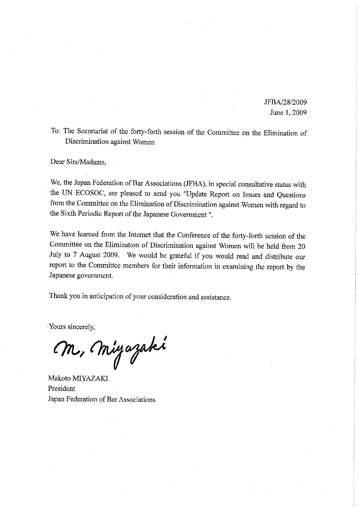JFBA/28/2009 June 1, 2009

To: The Secretariat of the forty-forth session of the Committee on the Elimination of Discrimination against Women

Dear Sirs/Madams,

We, the Japan Federation of Bar Associations (JFBA), in special consultative status with the UN ECOSOC, are pleased to send you "Update Report on Issues and Questions from the Committee on the Elimination of Discrimination against Women with regard to the Sixth Periodic Report of the Japanese Government".

We have learned from the Internet that the Conference of the forty-forth session of the Committee on the Elimination of Discrimination against Women will be held from 20 July to 7 August 2009. We would be grateful if you would read and distribute our report to the Committee members for their information in examining the report by the Japanese government.

Thank you in anticipation of your consideration and assistance.

Yours sincerely,

M, Miyazaki

Makoto MIYAZAKI President Japan Federation of Bar Associations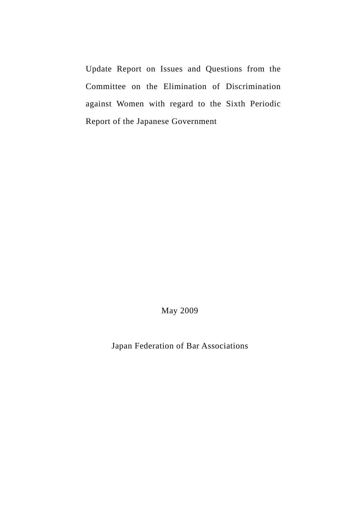Update Report on Issues and Questions from the Committee on the Elimination of Discrimination against Women with regard to the Sixth Periodic Report of the Japanese Government

May 2009

Japan Federation of Bar Associations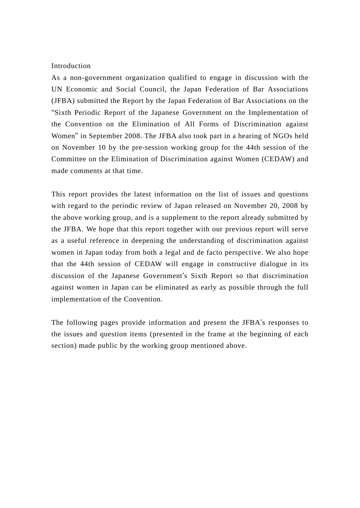#### Introduction

As a non-government organization qualified to engage in discussion with the UN Economic and Social Council, the Japan Federation of Bar Associations (JFBA) submitted the Report by the Japan Federation of Bar Associations on the "Sixth Periodic Report of the Japanese Government on the Implementation of the Convention on the Elimination of All Forms of Discrimination against Women" in September 2008. The JFBA also took part in a hearing of NGOs held on November 10 by the pre-session working group for the 44th session of the Committee on the Elimination of Discrimination against Women (CEDAW) and made comments at that time.

This report provides the latest information on the list of issues and questions with regard to the periodic review of Japan released on November 20, 2008 by the above working group, and is a supplement to the report already submitted by the JFBA. We hope that this report together with our previous report will serve as a useful reference in deepening the understanding of discrimination against women in Japan today from both a legal and de facto perspective. We also hope that the 44th session of CEDAW will engage in constructive dialogue in its discussion of the Japanese Government's Sixth Report so that discrimination against women in Japan can be eliminated as early as possible through the full implementation of the Convention.

The following pages provide information and present the JFBA's responses to the issues and question items (presented in the frame at the beginning of each section) made public by the working group mentioned above.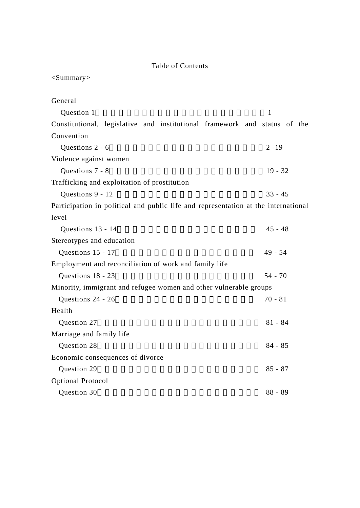# Table of Contents

| $<$ Summary $>$                                                                    |              |
|------------------------------------------------------------------------------------|--------------|
| General                                                                            |              |
| Question 1                                                                         | $\mathbf{1}$ |
| Constitutional, legislative and institutional framework and status of the          |              |
| Convention                                                                         |              |
| Questions 2 - 6                                                                    | $2 - 19$     |
| Violence against women                                                             |              |
| Questions 7 - 8                                                                    | $19 - 32$    |
| Trafficking and exploitation of prostitution                                       |              |
| Questions 9 - 12                                                                   | $33 - 45$    |
| Participation in political and public life and representation at the international |              |
| level                                                                              |              |
| Questions 13 - 14                                                                  | $45 - 48$    |
| Stereotypes and education                                                          |              |
| Questions 15 - 17                                                                  | $49 - 54$    |
| Employment and reconciliation of work and family life                              |              |
| Questions 18 - 23                                                                  | $54 - 70$    |
| Minority, immigrant and refugee women and other vulnerable groups                  |              |
| Questions 24 - 26                                                                  | $70 - 81$    |
| Health                                                                             |              |
| Question 27                                                                        | $81 - 84$    |
| Marriage and family life                                                           |              |
| Question 28                                                                        | $84 - 85$    |
| Economic consequences of divorce                                                   |              |
| Question 29                                                                        | $85 - 87$    |
| <b>Optional Protocol</b>                                                           |              |
| Question 30                                                                        | $88 - 89$    |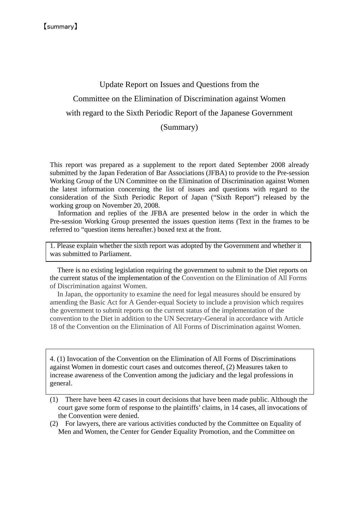# Update Report on Issues and Questions from the Committee on the Elimination of Discrimination against Women with regard to the Sixth Periodic Report of the Japanese Government (Summary)

This report was prepared as a supplement to the report dated September 2008 already submitted by the Japan Federation of Bar Associations (JFBA) to provide to the Pre-session Working Group of the UN Committee on the Elimination of Discrimination against Women the latest information concerning the list of issues and questions with regard to the consideration of the Sixth Periodic Report of Japan ("Sixth Report") released by the working group on November 20, 2008.

Information and replies of the JFBA are presented below in the order in which the Pre-session Working Group presented the issues question items (Text in the frames to be referred to "question items hereafter.) boxed text at the front.

1. Please explain whether the sixth report was adopted by the Government and whether it was submitted to Parliament.

There is no existing legislation requiring the government to submit to the Diet reports on the current status of the implementation of the Convention on the Elimination of All Forms of Discrimination against Women.

In Japan, the opportunity to examine the need for legal measures should be ensured by amending the Basic Act for A Gender-equal Society to include a provision which requires the government to submit reports on the current status of the implementation of the convention to the Diet in addition to the UN Secretary-General in accordance with Article 18 of the Convention on the Elimination of All Forms of Discrimination against Women.

4. (1) Invocation of the Convention on the Elimination of All Forms of Discriminations against Women in domestic court cases and outcomes thereof, (2) Measures taken to increase awareness of the Convention among the judiciary and the legal professions in general.

- (1) There have been 42 cases in court decisions that have been made public. Although the court gave some form of response to the plaintiffs' claims, in 14 cases, all invocations of the Convention were denied.
- (2) For lawyers, there are various activities conducted by the Committee on Equality of Men and Women, the Center for Gender Equality Promotion, and the Committee on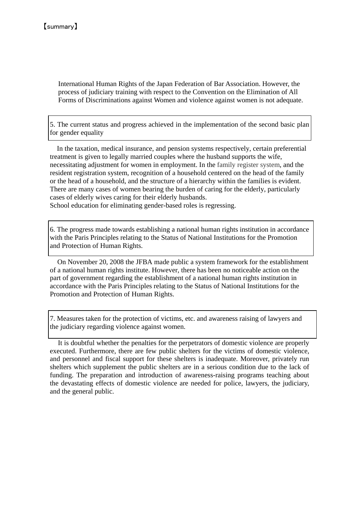International Human Rights of the Japan Federation of Bar Association. However, the process of judiciary training with respect to the Convention on the Elimination of All Forms of Discriminations against Women and violence against women is not adequate.

5. The current status and progress achieved in the implementation of the second basic plan for gender equality

 In the taxation, medical insurance, and pension systems respectively, certain preferential treatment is given to legally married couples where the husband supports the wife, necessitating adjustment for women in employment. In the family register system, and the resident registration system, recognition of a household centered on the head of the family or the head of a household, and the structure of a hierarchy within the families is evident. There are many cases of women bearing the burden of caring for the elderly, particularly cases of elderly wives caring for their elderly husbands.

School education for eliminating gender-based roles is regressing.

6. The progress made towards establishing a national human rights institution in accordance with the Paris Principles relating to the Status of National Institutions for the Promotion and Protection of Human Rights.

On November 20, 2008 the JFBA made public a system framework for the establishment of a national human rights institute. However, there has been no noticeable action on the part of government regarding the establishment of a national human rights institution in accordance with the Paris Principles relating to the Status of National Institutions for the Promotion and Protection of Human Rights.

7. Measures taken for the protection of victims, etc. and awareness raising of lawyers and the judiciary regarding violence against women.

It is doubtful whether the penalties for the perpetrators of domestic violence are properly executed. Furthermore, there are few public shelters for the victims of domestic violence, and personnel and fiscal support for these shelters is inadequate. Moreover, privately run shelters which supplement the public shelters are in a serious condition due to the lack of funding. The preparation and introduction of awareness-raising programs teaching about the devastating effects of domestic violence are needed for police, lawyers, the judiciary, and the general public.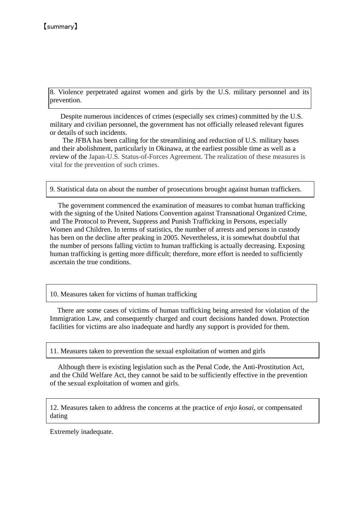8. Violence perpetrated against women and girls by the U.S. military personnel and its prevention.

 $\overline{a}$  Despite numerous incidences of crimes (especially sex crimes) committed by the U.S. military and civilian personnel, the government has not officially released relevant figures or details of such incidents.

 The JFBA has been calling for the streamlining and reduction of U.S. military bases and their abolishment, particularly in Okinawa, at the earliest possible time as well as a review of the Japan-U.S. Status-of-Forces Agreement. The realization of these measures is vital for the prevention of such crimes.

9. Statistical data on about the number of prosecutions brought against human traffickers.

The government commenced the examination of measures to combat human trafficking with the signing of the United Nations Convention against Transnational Organized Crime, and The Protocol to Prevent, Suppress and Punish Trafficking in Persons, especially Women and Children. In terms of statistics, the number of arrests and persons in custody has been on the decline after peaking in 2005. Nevertheless, it is somewhat doubtful that the number of persons falling victim to human trafficking is actually decreasing. Exposing human trafficking is getting more difficult; therefore, more effort is needed to sufficiently ascertain the true conditions.

10. Measures taken for victims of human trafficking

There are some cases of victims of human trafficking being arrested for violation of the Immigration Law, and consequently charged and court decisions handed down. Protection facilities for victims are also inadequate and hardly any support is provided for them.

11. Measures taken to prevention the sexual exploitation of women and girls

Although there is existing legislation such as the Penal Code, the Anti-Prostitution Act, and the Child Welfare Act, they cannot be said to be sufficiently effective in the prevention of the sexual exploitation of women and girls.

12. Measures taken to address the concerns at the practice of *enjo kosai,* or compensated dating

Extremely inadequate.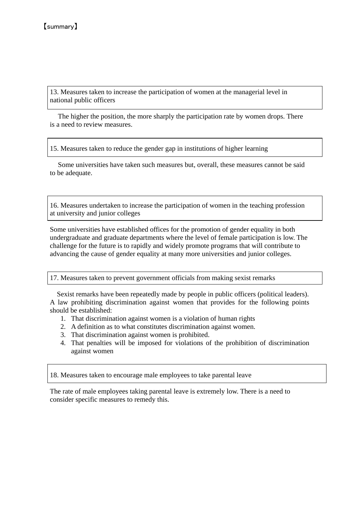l

 $\overline{a}$ 

13. Measures taken to increase the participation of women at the managerial level in national public officers

The higher the position, the more sharply the participation rate by women drops. There is a need to review measures.

15. Measures taken to reduce the gender gap in institutions of higher learning

Some universities have taken such measures but, overall, these measures cannot be said to be adequate.

16. Measures undertaken to increase the participation of women in the teaching profession at university and junior colleges

Some universities have established offices for the promotion of gender equality in both undergraduate and graduate departments where the level of female participation is low. The challenge for the future is to rapidly and widely promote programs that will contribute to advancing the cause of gender equality at many more universities and junior colleges.

17. Measures taken to prevent government officials from making sexist remarks

 Sexist remarks have been repeatedly made by people in public officers (political leaders). A law prohibiting discrimination against women that provides for the following points should be established:

- 1. That discrimination against women is a violation of human rights
- 2. A definition as to what constitutes discrimination against women.
- 3. That discrimination against women is prohibited.
- 4. That penalties will be imposed for violations of the prohibition of discrimination against women

18. Measures taken to encourage male employees to take parental leave

The rate of male employees taking parental leave is extremely low. There is a need to consider specific measures to remedy this.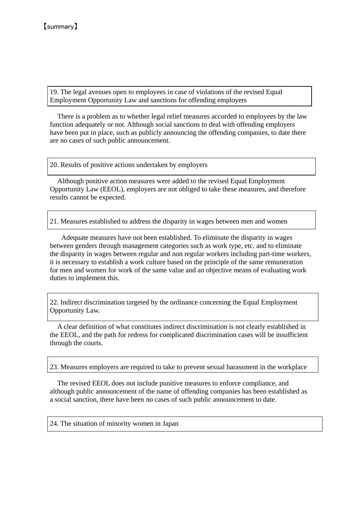19. The legal avenues open to employees in case of violations of the revised Equal Employment Opportunity Law and sanctions for offending employers

There is a problem as to whether legal relief measures accorded to employees by the law function adequately or not. Although social sanctions to deal with offending employers have been put in place, such as publicly announcing the offending companies, to date there are no cases of such public announcement.

20. Results of positive actions undertaken by employers

Although positive action measures were added to the revised Equal Employment Opportunity Law (EEOL), employers are not obliged to take these measures, and therefore results cannot be expected.

21. Measures established to address the disparity in wages between men and women

 Adequate measures have not been established. To eliminate the disparity in wages between genders through management categories such as work type, etc. and to eliminate the disparity in wages between regular and non regular workers including part-time workers, it is necessary to establish a work culture based on the principle of the same remuneration for men and women for work of the same value and an objective means of evaluating work duties to implement this.

22. Indirect discrimination targeted by the ordinance concerning the Equal Employment Opportunity Law.

A clear definition of what constitutes indirect discrimination is not clearly established in the EEOL, and the path for redress for complicated discrimination cases will be insufficient through the courts.

23. Measures employers are required to take to prevent sexual harassment in the workplace

The revised EEOL does not include punitive measures to enforce compliance, and although public announcement of the name of offending companies has been established as a social sanction, there have been no cases of such public announcement to date.

24. The situation of minority women in Japan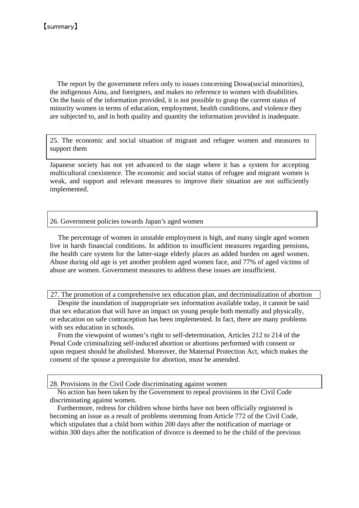The report by the government refers only to issues concerning Dowa(social minorities), the indigenous Ainu, and foreigners, and makes no reference to women with disabilities. On the basis of the information provided, it is not possible to grasp the current status of minority women in terms of education, employment, health conditions, and violence they are subjected to, and in both quality and quantity the information provided is inadequate.

25. The economic and social situation of migrant and refugee women and measures to support them

Japanese society has not yet advanced to the stage where it has a system for accepting multicultural coexistence. The economic and social status of refugee and migrant women is weak, and support and relevant measures to improve their situation are not sufficiently implemented.

#### 26. Government policies towards Japan's aged women

The percentage of women in unstable employment is high, and many single aged women live in harsh financial conditions. In addition to insufficient measures regarding pensions, the health care system for the latter-stage elderly places an added burden on aged women. Abuse during old age is yet another problem aged women face, and 77% of aged victims of abuse are women. Government measures to address these issues are insufficient.

27. The promotion of a comprehensive sex education plan, and decriminalization of abortion

Despite the inundation of inappropriate sex information available today, it cannot be said that sex education that will have an impact on young people both mentally and physically, or education on safe contraception has been implemented. In fact, there are many problems with sex education in schools.

From the viewpoint of women's right to self-determination, Articles 212 to 214 of the Penal Code criminalizing self-induced abortion or abortions performed with consent or upon request should be abolished. Moreover, the Maternal Protection Act, which makes the consent of the spouse a prerequisite for abortion, must be amended.

28. Provisions in the Civil Code discriminating against women

No action has been taken by the Government to repeal provisions in the Civil Code discriminating against women.

Furthermore, redress for children whose births have not been officially registered is becoming an issue as a result of problems stemming from Article 772 of the Civil Code, which stipulates that a child born within 200 days after the notification of marriage or within 300 days after the notification of divorce is deemed to be the child of the previous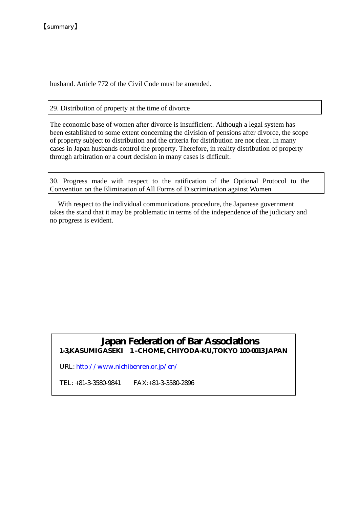husband. Article 772 of the Civil Code must be amended.

# 29. Distribution of property at the time of divorce

The economic base of women after divorce is insufficient. Although a legal system has been established to some extent concerning the division of pensions after divorce, the scope of property subject to distribution and the criteria for distribution are not clear. In many cases in Japan husbands control the property. Therefore, in reality distribution of property through arbitration or a court decision in many cases is difficult.

30. Progress made with respect to the ratification of the Optional Protocol to the Convention on the Elimination of All Forms of Discrimination against Women

With respect to the individual communications procedure, the Japanese government takes the stand that it may be problematic in terms of the independence of the judiciary and no progress is evident.

# **Japan Federation of Bar Associations 1-3,KASUMIGASEKI 1 –CHOME, CHIYODA-KU,TOKYO 100-0013 JAPAN**

URL: http://www.nichibenren.or.jp/en/

TEL: +81-3-3580-9841 FAX:+81-3-3580-2896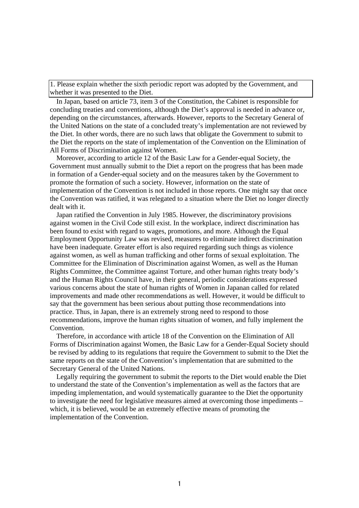1. Please explain whether the sixth periodic report was adopted by the Government, and whether it was presented to the Diet.

In Japan, based on article 73, item 3 of the Constitution, the Cabinet is responsible for concluding treaties and conventions, although the Diet's approval is needed in advance or, depending on the circumstances, afterwards. However, reports to the Secretary General of the United Nations on the state of a concluded treaty's implementation are not reviewed by the Diet. In other words, there are no such laws that obligate the Government to submit to the Diet the reports on the state of implementation of the Convention on the Elimination of All Forms of Discrimination against Women.

Moreover, according to article 12 of the Basic Law for a Gender-equal Society, the Government must annually submit to the Diet a report on the progress that has been made in formation of a Gender-equal society and on the measures taken by the Government to promote the formation of such a society. However, information on the state of implementation of the Convention is not included in those reports. One might say that once the Convention was ratified, it was relegated to a situation where the Diet no longer directly dealt with it.

Japan ratified the Convention in July 1985. However, the discriminatory provisions against women in the Civil Code still exist. In the workplace, indirect discrimination has been found to exist with regard to wages, promotions, and more. Although the Equal Employment Opportunity Law was revised, measures to eliminate indirect discrimination have been inadequate. Greater effort is also required regarding such things as violence against women, as well as human trafficking and other forms of sexual exploitation. The Committee for the Elimination of Discrimination against Women, as well as the Human Rights Committee, the Committee against Torture, and other human rights treaty body's and the Human Rights Council have, in their general, periodic considerations expressed various concerns about the state of human rights of Women in Japanan called for related improvements and made other recommendations as well. However, it would be difficult to say that the government has been serious about putting those recommendations into practice. Thus, in Japan, there is an extremely strong need to respond to those recommendations, improve the human rights situation of women, and fully implement the Convention.

Therefore, in accordance with article 18 of the Convention on the Elimination of All Forms of Discrimination against Women, the Basic Law for a Gender-Equal Society should be revised by adding to its regulations that require the Government to submit to the Diet the same reports on the state of the Convention's implementation that are submitted to the Secretary General of the United Nations.

Legally requiring the government to submit the reports to the Diet would enable the Diet to understand the state of the Convention's implementation as well as the factors that are impeding implementation, and would systematically guarantee to the Diet the opportunity to investigate the need for legislative measures aimed at overcoming those impediments – which, it is believed, would be an extremely effective means of promoting the implementation of the Convention.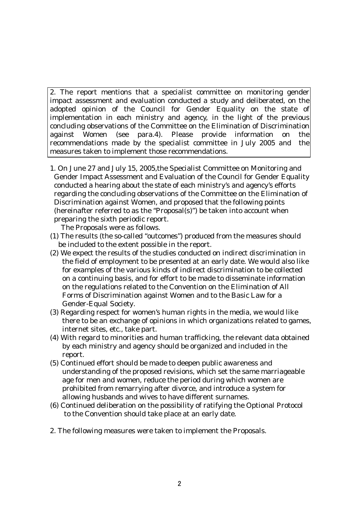2. The report mentions that a specialist committee on monitoring gender impact assessment and evaluation conducted a study and deliberated, on the adopted opinion of the Council for Gender Equality on the state of implementation in each ministry and agency, in the light of the previous concluding observations of the Committee on the Elimination of Discrimination against Women (see para.4). Please provide information on the recommendations made by the specialist committee in July 2005 and the measures taken to implement those recommendations.

1. On June 27 and July 15, 2005,the Specialist Committee on Monitoring and Gender Impact Assessment and Evaluation of the Council for Gender Equality conducted a hearing about the state of each ministry's and agency's efforts regarding the concluding observations of the Committee on the Elimination of Discrimination against Women, and proposed that the following points (hereinafter referred to as the "Proposal(s)") be taken into account when preparing the sixth periodic report.

The Proposals were as follows.

- (1) The results (the so-called "outcomes") produced from the measures should be included to the extent possible in the report.
- (2) We expect the results of the studies conducted on indirect discrimination in the field of employment to be presented at an early date. We would also like for examples of the various kinds of indirect discrimination to be collected on a continuing basis, and for effort to be made to disseminate information on the regulations related to the Convention on the Elimination of All Forms of Discrimination against Women and to the Basic Law for a Gender-Equal Society.
- (3) Regarding respect for women's human rights in the media, we would like there to be an exchange of opinions in which organizations related to games, internet sites, etc., take part.
- (4) With regard to minorities and human trafficking, the relevant data obtained by each ministry and agency should be organized and included in the report.
- (5) Continued effort should be made to deepen public awareness and understanding of the proposed revisions, which set the same marriageable age for men and women, reduce the period during which women are prohibited from remarrying after divorce, and introduce a system for allowing husbands and wives to have different surnames.
- (6) Continued deliberation on the possibility of ratifying the Optional Protocol to the Convention should take place at an early date.
- 2. The following measures were taken to implement the Proposals.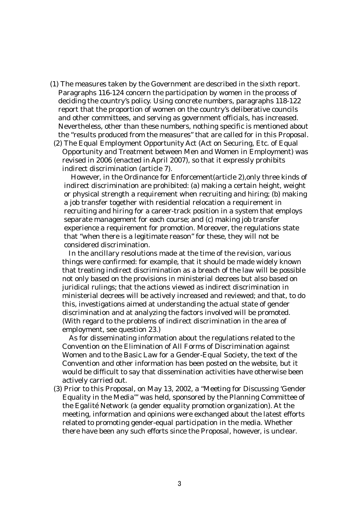- (1) The measures taken by the Government are described in the sixth report. Paragraphs 116-124 concern the participation by women in the process of deciding the country's policy. Using concrete numbers, paragraphs 118-122 report that the proportion of women on the country's deliberative councils and other committees, and serving as government officials, has increased. Nevertheless, other than these numbers, nothing specific is mentioned about the "results produced from the measures" that are called for in this Proposal.
- (2) The Equal Employment Opportunity Act (Act on Securing, Etc. of Equal Opportunity and Treatment between Men and Women in Employment) was revised in 2006 (enacted in April 2007), so that it expressly prohibits indirect discrimination (article 7).

However, in the Ordinance for Enforcement(article 2),only three kinds of indirect discrimination are prohibited: (a) making a certain height, weight or physical strength a requirement when recruiting and hiring; (b) making a job transfer together with residential relocation a requirement in recruiting and hiring for a career-track position in a system that employs separate management for each course; and (c) making job transfer experience a requirement for promotion. Moreover, the regulations state that "when there is a legitimate reason" for these, they will not be considered discrimination.

In the ancillary resolutions made at the time of the revision, various things were confirmed: for example, that it should be made widely known that treating indirect discrimination as a breach of the law will be possible not only based on the provisions in ministerial decrees but also based on juridical rulings; that the actions viewed as indirect discrimination in ministerial decrees will be actively increased and reviewed; and that, to do this, investigations aimed at understanding the actual state of gender discrimination and at analyzing the factors involved will be promoted. (With regard to the problems of indirect discrimination in the area of employment, see question 23.)

As for disseminating information about the regulations related to the Convention on the Elimination of All Forms of Discrimination against Women and to the Basic Law for a Gender-Equal Society, the text of the Convention and other information has been posted on the website, but it would be difficult to say that dissemination activities have otherwise been actively carried out.

 (3) Prior to this Proposal, on May 13, 2002, a "Meeting for Discussing 'Gender Equality in the Media'" was held, sponsored by the Planning Committee of the Egalité Network (a gender equality promotion organization). At the meeting, information and opinions were exchanged about the latest efforts related to promoting gender-equal participation in the media. Whether there have been any such efforts since the Proposal, however, is unclear.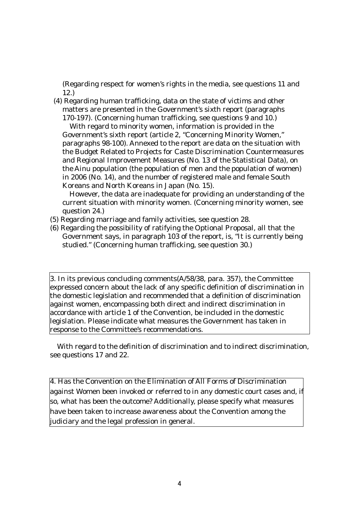(Regarding respect for women's rights in the media, see questions 11 and 12.)

 (4) Regarding human trafficking, data on the state of victims and other matters are presented in the Government's sixth report (paragraphs 170-197). (Concerning human trafficking, see questions 9 and 10.)

With regard to minority women, information is provided in the Government's sixth report (article 2, "Concerning Minority Women," paragraphs 98-100). Annexed to the report are data on the situation with the Budget Related to Projects for Caste Discrimination Countermeasures and Regional Improvement Measures (No. 13 of the Statistical Data), on the Ainu population (the population of men and the population of women) in 2006 (No. 14), and the number of registered male and female South Koreans and North Koreans in Japan (No. 15).

However, the data are inadequate for providing an understanding of the current situation with minority women. (Concerning minority women, see question 24.)

- (5) Regarding marriage and family activities, see question 28.
- (6) Regarding the possibility of ratifying the Optional Proposal, all that the Government says, in paragraph 103 of the report, is, "It is currently being studied." (Concerning human trafficking, see question 30.)

3. In its previous concluding comments(A/58/38, para. 357), the Committee expressed concern about the lack of any specific definition of discrimination in the domestic legislation and recommended that a definition of discrimination against women, encompassing both direct and indirect discrimination in accordance with article 1 of the Convention, be included in the domestic legislation. Please indicate what measures the Government has taken in response to the Committee's recommendations.

With regard to the definition of discrimination and to indirect discrimination, see questions 17 and 22.

4. Has the Convention on the Elimination of All Forms of Discrimination against Women been invoked or referred to in any domestic court cases and, if so, what has been the outcome? Additionally, please specify what measures have been taken to increase awareness about the Convention among the judiciary and the legal profession in general.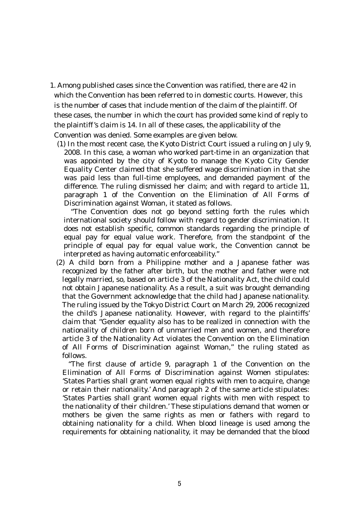- 1. Among published cases since the Convention was ratified, there are 42 in which the Convention has been referred to in domestic courts. However, this is the number of cases that include mention of the claim of the plaintiff. Of these cases, the number in which the court has provided some kind of reply to the plaintiff's claim is 14. In all of these cases, the applicability of the Convention was denied. Some examples are given below.
	- (1) In the most recent case, the Kyoto District Court issued a ruling on July 9, 2008. In this case, a woman who worked part-time in an organization that was appointed by the city of Kyoto to manage the Kyoto City Gender Equality Center claimed that she suffered wage discrimination in that she was paid less than full-time employees, and demanded payment of the difference. The ruling dismissed her claim; and with regard to article 11, paragraph 1 of the Convention on the Elimination of All Forms of Discrimination against Woman, it stated as follows.

"The Convention does not go beyond setting forth the rules which international society should follow with regard to gender discrimination. It does not establish specific, common standards regarding the principle of equal pay for equal value work. Therefore, from the standpoint of the principle of equal pay for equal value work, the Convention cannot be interpreted as having automatic enforceability."

(2) A child born from a Philippine mother and a Japanese father was recognized by the father after birth, but the mother and father were not legally married, so, based on article 3 of the Nationality Act, the child could not obtain Japanese nationality. As a result, a suit was brought demanding that the Government acknowledge that the child had Japanese nationality. The ruling issued by the Tokyo District Court on March 29, 2006 recognized the child's Japanese nationality. However, with regard to the plaintiffs' claim that "Gender equality also has to be realized in connection with the nationality of children born of unmarried men and women, and therefore article 3 of the Nationality Act violates the Convention on the Elimination of All Forms of Discrimination against Woman," the ruling stated as follows.

"The first clause of article 9, paragraph 1 of the Convention on the Elimination of All Forms of Discrimination against Women stipulates: 'States Parties shall grant women equal rights with men to acquire, change or retain their nationality.' And paragraph 2 of the same article stipulates: 'States Parties shall grant women equal rights with men with respect to the nationality of their children.' These stipulations demand that women or mothers be given the same rights as men or fathers with regard to obtaining nationality for a child. When blood lineage is used among the requirements for obtaining nationality, it may be demanded that the blood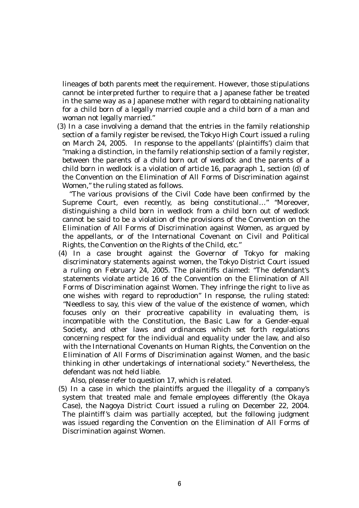lineages of both parents meet the requirement. However, those stipulations cannot be interpreted further to require that a Japanese father be treated in the same way as a Japanese mother with regard to obtaining nationality for a child born of a legally married couple and a child born of a man and woman not legally married."

(3) In a case involving a demand that the entries in the family relationship section of a family register be revised, the Tokyo High Court issued a ruling on March 24, 2005. In response to the appellants' (plaintiffs') claim that "making a distinction, in the family relationship section of a family register, between the parents of a child born out of wedlock and the parents of a child born in wedlock is a violation of article 16, paragraph 1, section (d) of the Convention on the Elimination of All Forms of Discrimination against Women," the ruling stated as follows.

"The various provisions of the Civil Code have been confirmed by the Supreme Court, even recently, as being constitutional…" "Moreover, distinguishing a child born in wedlock from a child born out of wedlock cannot be said to be a violation of the provisions of the Convention on the Elimination of All Forms of Discrimination against Women, as argued by the appellants, or of the International Covenant on Civil and Political Rights, the Convention on the Rights of the Child, etc."

(4) In a case brought against the Governor of Tokyo for making discriminatory statements against women, the Tokyo District Court issued a ruling on February 24, 2005. The plaintiffs claimed: "The defendant's statements violate article 16 of the Convention on the Elimination of All Forms of Discrimination against Women. They infringe the right to live as one wishes with regard to reproduction" In response, the ruling stated: "Needless to say, this view of the value of the existence of women, which focuses only on their procreative capability in evaluating them, is incompatible with the Constitution, the Basic Law for a Gender-equal Society, and other laws and ordinances which set forth regulations concerning respect for the individual and equality under the law, and also with the International Covenants on Human Rights, the Convention on the Elimination of All Forms of Discrimination against Women, and the basic thinking in other undertakings of international society." Nevertheless, the defendant was not held liable.

Also, please refer to question 17, which is related.

(5) In a case in which the plaintiffs argued the illegality of a company's system that treated male and female employees differently (the Okaya Case), the Nagoya District Court issued a ruling on December 22, 2004. The plaintiff's claim was partially accepted, but the following judgment was issued regarding the Convention on the Elimination of All Forms of Discrimination against Women.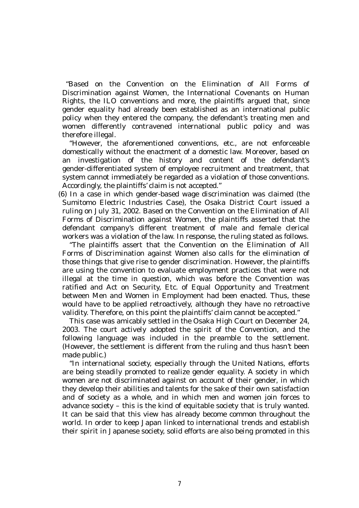"Based on the Convention on the Elimination of All Forms of Discrimination against Women, the International Covenants on Human Rights, the ILO conventions and more, the plaintiffs argued that, since gender equality had already been established as an international public policy when they entered the company, the defendant's treating men and women differently contravened international public policy and was therefore illegal.

"However, the aforementioned conventions, etc., are not enforceable domestically without the enactment of a domestic law. Moreover, based on an investigation of the history and content of the defendant's gender-differentiated system of employee recruitment and treatment, that system cannot immediately be regarded as a violation of those conventions. Accordingly, the plaintiffs' claim is not accepted."

(6) In a case in which gender-based wage discrimination was claimed (the Sumitomo Electric Industries Case), the Osaka District Court issued a ruling on July 31, 2002. Based on the Convention on the Elimination of All Forms of Discrimination against Women, the plaintiffs asserted that the defendant company's different treatment of male and female clerical workers was a violation of the law. In response, the ruling stated as follows.

"The plaintiffs assert that the Convention on the Elimination of All Forms of Discrimination against Women also calls for the elimination of those things that give rise to gender discrimination. However, the plaintiffs are using the convention to evaluate employment practices that were not illegal at the time in question, which was before the Convention was ratified and Act on Security, Etc. of Equal Opportunity and Treatment between Men and Women in Employment had been enacted. Thus, these would have to be applied retroactively, although they have no retroactive validity. Therefore, on this point the plaintiffs' claim cannot be accepted."

This case was amicably settled in the Osaka High Court on December 24, 2003. The court actively adopted the spirit of the Convention, and the following language was included in the preamble to the settlement. (However, the settlement is different from the ruling and thus hasn't been made public.)

"In international society, especially through the United Nations, efforts are being steadily promoted to realize gender equality. A society in which women are not discriminated against on account of their gender, in which they develop their abilities and talents for the sake of their own satisfaction and of society as a whole, and in which men and women join forces to advance society – this is the kind of equitable society that is truly wanted. It can be said that this view has already become common throughout the world. In order to keep Japan linked to international trends and establish their spirit in Japanese society, solid efforts are also being promoted in this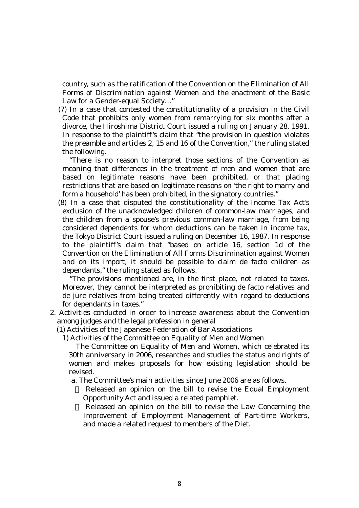country, such as the ratification of the Convention on the Elimination of All Forms of Discrimination against Women and the enactment of the Basic Law for a Gender-equal Society…"

(7) In a case that contested the constitutionality of a provision in the Civil Code that prohibits only women from remarrying for six months after a divorce, the Hiroshima District Court issued a ruling on January 28, 1991. In response to the plaintiff's claim that "the provision in question violates the preamble and articles 2, 15 and 16 of the Convention," the ruling stated the following.

"There is no reason to interpret those sections of the Convention as meaning that differences in the treatment of men and women that are based on legitimate reasons have been prohibited, or that placing restrictions that are based on legitimate reasons on 'the right to marry and form a household' has been prohibited, in the signatory countries."

(8) In a case that disputed the constitutionality of the Income Tax Act's exclusion of the unacknowledged children of common-law marriages, and the children from a spouse's previous common-law marriage, from being considered dependents for whom deductions can be taken in income tax, the Tokyo District Court issued a ruling on December 16, 1987. In response to the plaintiff's claim that "based on article 16, section 1d of the Convention on the Elimination of All Forms Discrimination against Women and on its import, it should be possible to claim de facto children as dependants," the ruling stated as follows.

"The provisions mentioned are, in the first place, not related to taxes. Moreover, they cannot be interpreted as prohibiting de facto relatives and de jure relatives from being treated differently with regard to deductions for dependants in taxes."

- 2. Activities conducted in order to increase awareness about the Convention among judges and the legal profession in general
	- (1) Activities of the Japanese Federation of Bar Associations

1) Activities of the Committee on Equality of Men and Women

The Committee on Equality of Men and Women, which celebrated its 30th anniversary in 2006, researches and studies the status and rights of women and makes proposals for how existing legislation should be revised.

a. The Committee's main activities since June 2006 are as follows.

 Released an opinion on the bill to revise the Equal Employment Opportunity Act and issued a related pamphlet.

 Released an opinion on the bill to revise the Law Concerning the Improvement of Employment Management of Part-time Workers, and made a related request to members of the Diet.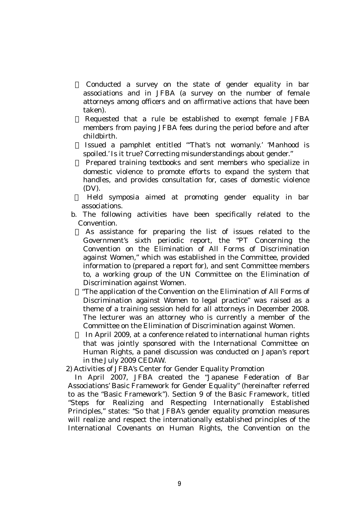Conducted a survey on the state of gender equality in bar associations and in JFBA (a survey on the number of female attorneys among officers and on affirmative actions that have been taken).

 Requested that a rule be established to exempt female JFBA members from paying JFBA fees during the period before and after childbirth.

 Issued a pamphlet entitled "'That's not womanly.' 'Manhood is spoiled.' Is it true? Correcting misunderstandings about gender."

 Prepared training textbooks and sent members who specialize in domestic violence to promote efforts to expand the system that handles, and provides consultation for, cases of domestic violence (DV).

 Held symposia aimed at promoting gender equality in bar associations.

b. The following activities have been specifically related to the Convention.

 As assistance for preparing the list of issues related to the Government's sixth periodic report, the "PT Concerning the Convention on the Elimination of All Forms of Discrimination against Women," which was established in the Committee, provided information to (prepared a report for), and sent Committee members to, a working group of the UN Committee on the Elimination of Discrimination against Women.

 "The application of the Convention on the Elimination of All Forms of Discrimination against Women to legal practice" was raised as a theme of a training session held for all attorneys in December 2008. The lecturer was an attorney who is currently a member of the Committee on the Elimination of Discrimination against Women.

 In April 2009, at a conference related to international human rights that was jointly sponsored with the International Committee on Human Rights, a panel discussion was conducted on Japan's report in the July 2009 CEDAW.

2) Activities of JFBA's Center for Gender Equality Promotion

In April 2007, JFBA created the "Japanese Federation of Bar Associations' Basic Framework for Gender Equality" (hereinafter referred to as the "Basic Framework"). Section 9 of the Basic Framework, titled "Steps for Realizing and Respecting Internationally Established Principles," states: "So that JFBA's gender equality promotion measures will realize and respect the internationally established principles of the International Covenants on Human Rights, the Convention on the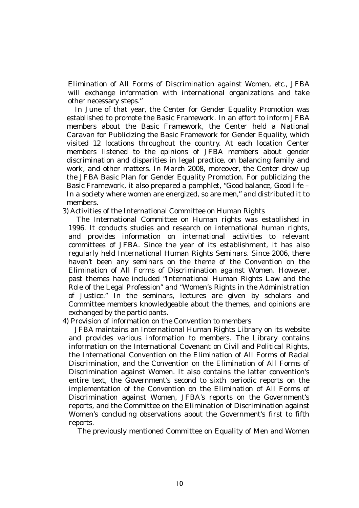Elimination of All Forms of Discrimination against Women, etc., JFBA will exchange information with international organizations and take other necessary steps."

In June of that year, the Center for Gender Equality Promotion was established to promote the Basic Framework. In an effort to inform JFBA members about the Basic Framework, the Center held a National Caravan for Publicizing the Basic Framework for Gender Equality, which visited 12 locations throughout the country. At each location Center members listened to the opinions of JFBA members about gender discrimination and disparities in legal practice, on balancing family and work, and other matters. In March 2008, moreover, the Center drew up the JFBA Basic Plan for Gender Equality Promotion. For publicizing the Basic Framework, it also prepared a pamphlet, "Good balance, Good life – In a society where women are energized, so are men," and distributed it to members.

3) Activities of the International Committee on Human Rights

The International Committee on Human rights was established in 1996. It conducts studies and research on international human rights, and provides information on international activities to relevant committees of JFBA. Since the year of its establishment, it has also regularly held International Human Rights Seminars. Since 2006, there haven't been any seminars on the theme of the Convention on the Elimination of All Forms of Discrimination against Women. However, past themes have included "International Human Rights Law and the Role of the Legal Profession" and "Women's Rights in the Administration of Justice." In the seminars, lectures are given by scholars and Committee members knowledgeable about the themes, and opinions are exchanged by the participants.

#### 4) Provision of information on the Convention to members

JFBA maintains an International Human Rights Library on its website and provides various information to members. The Library contains information on the International Covenant on Civil and Political Rights, the International Convention on the Elimination of All Forms of Racial Discrimination, and the Convention on the Elimination of All Forms of Discrimination against Women. It also contains the latter convention's entire text, the Government's second to sixth periodic reports on the implementation of the Convention on the Elimination of All Forms of Discrimination against Women, JFBA's reports on the Government's reports, and the Committee on the Elimination of Discrimination against Women's concluding observations about the Government's first to fifth reports.

The previously mentioned Committee on Equality of Men and Women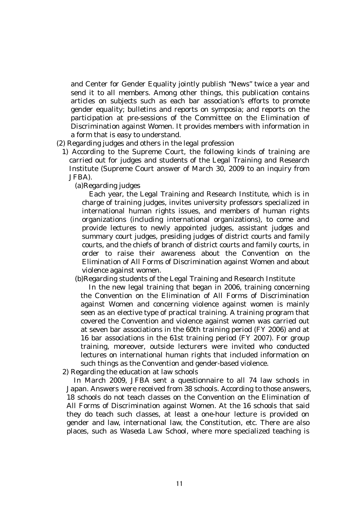and Center for Gender Equality jointly publish "News" twice a year and send it to all members. Among other things, this publication contains articles on subjects such as each bar association's efforts to promote gender equality; bulletins and reports on symposia; and reports on the participation at pre-sessions of the Committee on the Elimination of Discrimination against Women. It provides members with information in a form that is easy to understand.

- (2) Regarding judges and others in the legal profession
	- 1) According to the Supreme Court, the following kinds of training are carried out for judges and students of the Legal Training and Research Institute (Supreme Court answer of March 30, 2009 to an inquiry from JFBA).
		- (a)Regarding judges

Each year, the Legal Training and Research Institute, which is in charge of training judges, invites university professors specialized in international human rights issues, and members of human rights organizations (including international organizations), to come and provide lectures to newly appointed judges, assistant judges and summary court judges, presiding judges of district courts and family courts, and the chiefs of branch of district courts and family courts, in order to raise their awareness about the Convention on the Elimination of All Forms of Discrimination against Women and about violence against women.

(b)Regarding students of the Legal Training and Research Institute

In the new legal training that began in 2006, training concerning the Convention on the Elimination of All Forms of Discrimination against Women and concerning violence against women is mainly seen as an elective type of practical training. A training program that covered the Convention and violence against women was carried out at seven bar associations in the 60th training period (FY 2006) and at 16 bar associations in the 61st training period (FY 2007). For group training, moreover, outside lecturers were invited who conducted lectures on international human rights that included information on such things as the Convention and gender-based violence.

2) Regarding the education at law schools

In March 2009, JFBA sent a questionnaire to all 74 law schools in Japan. Answers were received from 38 schools. According to those answers, 18 schools do not teach classes on the Convention on the Elimination of All Forms of Discrimination against Women. At the 16 schools that said they do teach such classes, at least a one-hour lecture is provided on gender and law, international law, the Constitution, etc. There are also places, such as Waseda Law School, where more specialized teaching is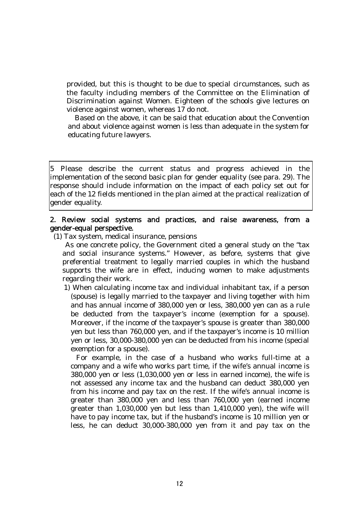provided, but this is thought to be due to special circumstances, such as the faculty including members of the Committee on the Elimination of Discrimination against Women. Eighteen of the schools give lectures on violence against women, whereas 17 do not.

Based on the above, it can be said that education about the Convention and about violence against women is less than adequate in the system for educating future lawyers.

5 Please describe the current status and progress achieved in the implementation of the second basic plan for gender equality (see para. 29). The response should include information on the impact of each policy set out for each of the 12 fields mentioned in the plan aimed at the practical realization of gender equality.

# 2. Review social systems and practices, and raise awareness, from a gender-equal perspective.

(1) Tax system, medical insurance, pensions

As one concrete policy, the Government cited a general study on the "tax and social insurance systems." However, as before, systems that give preferential treatment to legally married couples in which the husband supports the wife are in effect, inducing women to make adjustments regarding their work.

1) When calculating income tax and individual inhabitant tax, if a person (spouse) is legally married to the taxpayer and living together with him and has annual income of 380,000 yen or less, 380,000 yen can as a rule be deducted from the taxpayer's income (exemption for a spouse). Moreover, if the income of the taxpayer's spouse is greater than 380,000 yen but less than 760,000 yen, and if the taxpayer's income is 10 million yen or less, 30,000-380,000 yen can be deducted from his income (special exemption for a spouse).

For example, in the case of a husband who works full-time at a company and a wife who works part time, if the wife's annual income is 380,000 yen or less (1,030,000 yen or less in earned income), the wife is not assessed any income tax and the husband can deduct 380,000 yen from his income and pay tax on the rest. If the wife's annual income is greater than 380,000 yen and less than 760,000 yen (earned income greater than 1,030,000 yen but less than 1,410,000 yen), the wife will have to pay income tax, but if the husband's income is 10 million yen or less, he can deduct 30,000-380,000 yen from it and pay tax on the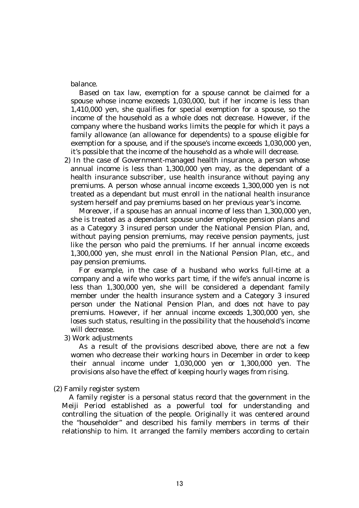balance.

Based on tax law, exemption for a spouse cannot be claimed for a spouse whose income exceeds 1,030,000, but if her income is less than 1,410,000 yen, she qualifies for special exemption for a spouse, so the income of the household as a whole does not decrease. However, if the company where the husband works limits the people for which it pays a family allowance (an allowance for dependents) to a spouse eligible for exemption for a spouse, and if the spouse's income exceeds 1,030,000 yen, it's possible that the income of the household as a whole will decrease.

2) In the case of Government-managed health insurance, a person whose annual income is less than 1,300,000 yen may, as the dependant of a health insurance subscriber, use health insurance without paying any premiums. A person whose annual income exceeds 1,300,000 yen is not treated as a dependant but must enroll in the national health insurance system herself and pay premiums based on her previous year's income.

Moreover, if a spouse has an annual income of less than 1,300,000 yen, she is treated as a dependant spouse under employee pension plans and as a Category 3 insured person under the National Pension Plan, and, without paying pension premiums, may receive pension payments, just like the person who paid the premiums. If her annual income exceeds 1,300,000 yen, she must enroll in the National Pension Plan, etc., and pay pension premiums.

For example, in the case of a husband who works full-time at a company and a wife who works part time, if the wife's annual income is less than 1,300,000 yen, she will be considered a dependant family member under the health insurance system and a Category 3 insured person under the National Pension Plan, and does not have to pay premiums. However, if her annual income exceeds 1,300,000 yen, she loses such status, resulting in the possibility that the household's income will decrease.

3) Work adjustments

As a result of the provisions described above, there are not a few women who decrease their working hours in December in order to keep their annual income under 1,030,000 yen or 1,300,000 yen. The provisions also have the effect of keeping hourly wages from rising.

(2) Family register system

A family register is a personal status record that the government in the Meiji Period established as a powerful tool for understanding and controlling the situation of the people. Originally it was centered around the "householder" and described his family members in terms of their relationship to him. It arranged the family members according to certain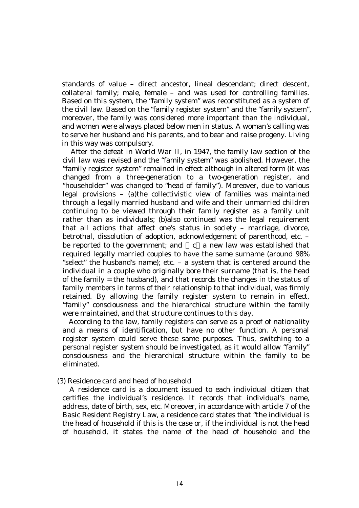standards of value – direct ancestor, lineal descendant; direct descent, collateral family; male, female – and was used for controlling families. Based on this system, the "family system" was reconstituted as a system of the civil law. Based on the "family register system" and the "family system", moreover, the family was considered more important than the individual, and women were always placed below men in status. A woman's calling was to serve her husband and his parents, and to bear and raise progeny. Living in this way was compulsory.

After the defeat in World War II, in 1947, the family law section of the civil law was revised and the "family system" was abolished. However, the "family register system" remained in effect although in altered form (it was changed from a three-generation to a two-generation register, and "householder" was changed to "head of family"). Moreover, due to various legal provisions – (a)the collectivistic view of families was maintained through a legally married husband and wife and their unmarried children continuing to be viewed through their family register as a family unit rather than as individuals; (b)also continued was the legal requirement that all actions that affect one's status in society – marriage, divorce, betrothal, dissolution of adoption, acknowledgement of parenthood, etc. – be reported to the government; and  $\phantom{a}$  c a new law was established that required legally married couples to have the same surname (around 98% "select" the husband's name); etc. – a system that is centered around the individual in a couple who originally bore their surname (that is, the head of the family = the husband), and that records the changes in the status of family members in terms of their relationship to that individual, was firmly retained. By allowing the family register system to remain in effect, "family" consciousness and the hierarchical structure within the family were maintained, and that structure continues to this day.

According to the law, family registers can serve as a proof of nationality and a means of identification, but have no other function. A personal register system could serve these same purposes. Thus, switching to a personal register system should be investigated, as it would allow "family" consciousness and the hierarchical structure within the family to be eliminated.

#### (3) Residence card and head of household

A residence card is a document issued to each individual citizen that certifies the individual's residence. It records that individual's name, address, date of birth, sex, etc. Moreover, in accordance with article 7 of the Basic Resident Registry Law, a residence card states that "the individual is the head of household if this is the case or, if the individual is not the head of household, it states the name of the head of household and the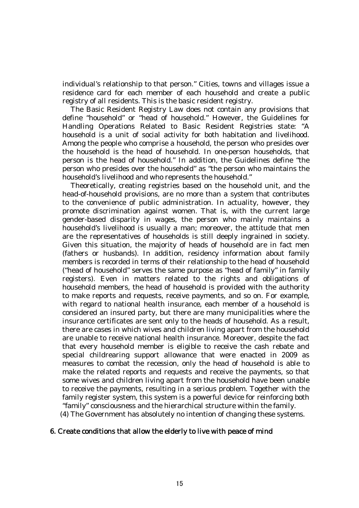individual's relationship to that person." Cities, towns and villages issue a residence card for each member of each household and create a public registry of all residents. This is the basic resident registry.

The Basic Resident Registry Law does not contain any provisions that define "household" or "head of household." However, the Guidelines for Handling Operations Related to Basic Resident Registries state: "A household is a unit of social activity for both habitation and livelihood. Among the people who comprise a household, the person who presides over the household is the head of household. In one-person households, that person is the head of household." In addition, the Guidelines define "the person who presides over the household" as "the person who maintains the household's livelihood and who represents the household."

Theoretically, creating registries based on the household unit, and the head-of-household provisions, are no more than a system that contributes to the convenience of public administration. In actuality, however, they promote discrimination against women. That is, with the current large gender-based disparity in wages, the person who mainly maintains a household's livelihood is usually a man; moreover, the attitude that men are the representatives of households is still deeply ingrained in society. Given this situation, the majority of heads of household are in fact men (fathers or husbands). In addition, residency information about family members is recorded in terms of their relationship to the head of household ("head of household" serves the same purpose as "head of family" in family registers). Even in matters related to the rights and obligations of household members, the head of household is provided with the authority to make reports and requests, receive payments, and so on. For example, with regard to national health insurance, each member of a household is considered an insured party, but there are many municipalities where the insurance certificates are sent only to the heads of household. As a result, there are cases in which wives and children living apart from the household are unable to receive national health insurance. Moreover, despite the fact that every household member is eligible to receive the cash rebate and special childrearing support allowance that were enacted in 2009 as measures to combat the recession, only the head of household is able to make the related reports and requests and receive the payments, so that some wives and children living apart from the household have been unable to receive the payments, resulting in a serious problem. Together with the family register system, this system is a powerful device for reinforcing both "family" consciousness and the hierarchical structure within the family. (4) The Government has absolutely no intention of changing these systems.

### 6. Create conditions that allow the elderly to live with peace of mind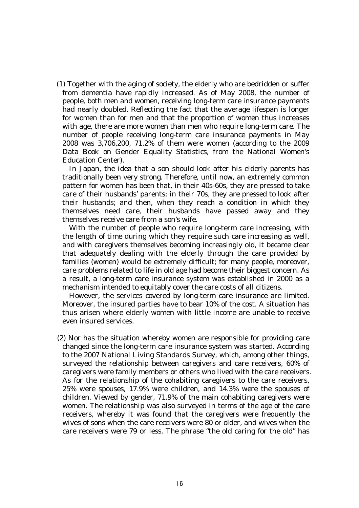(1) Together with the aging of society, the elderly who are bedridden or suffer from dementia have rapidly increased. As of May 2008, the number of people, both men and women, receiving long-term care insurance payments had nearly doubled. Reflecting the fact that the average lifespan is longer for women than for men and that the proportion of women thus increases with age, there are more women than men who require long-term care. The number of people receiving long-term care insurance payments in May 2008 was 3,706,200, 71.2% of them were women (according to the 2009 Data Book on Gender Equality Statistics, from the National Women's Education Center).

In Japan, the idea that a son should look after his elderly parents has traditionally been very strong. Therefore, until now, an extremely common pattern for women has been that, in their 40s-60s, they are pressed to take care of their husbands' parents; in their 70s, they are pressed to look after their husbands; and then, when they reach a condition in which they themselves need care, their husbands have passed away and they themselves receive care from a son's wife.

With the number of people who require long-term care increasing, with the length of time during which they require such care increasing as well, and with caregivers themselves becoming increasingly old, it became clear that adequately dealing with the elderly through the care provided by families (women) would be extremely difficult; for many people, moreover, care problems related to life in old age had become their biggest concern. As a result, a long-term care insurance system was established in 2000 as a mechanism intended to equitably cover the care costs of all citizens.

However, the services covered by long-term care insurance are limited. Moreover, the insured parties have to bear 10% of the cost. A situation has thus arisen where elderly women with little income are unable to receive even insured services.

(2) Nor has the situation whereby women are responsible for providing care changed since the long-term care insurance system was started. According to the 2007 National Living Standards Survey, which, among other things, surveyed the relationship between caregivers and care receivers, 60% of caregivers were family members or others who lived with the care receivers. As for the relationship of the cohabiting caregivers to the care receivers, 25% were spouses, 17.9% were children, and 14.3% were the spouses of children. Viewed by gender, 71.9% of the main cohabiting caregivers were women. The relationship was also surveyed in terms of the age of the care receivers, whereby it was found that the caregivers were frequently the wives of sons when the care receivers were 80 or older, and wives when the care receivers were 79 or less. The phrase "the old caring for the old" has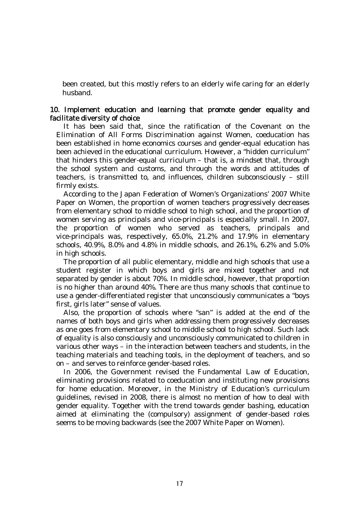been created, but this mostly refers to an elderly wife caring for an elderly husband.

# 10. Implement education and learning that promote gender equality and facilitate diversity of choice

It has been said that, since the ratification of the Covenant on the Elimination of All Forms Discrimination against Women, coeducation has been established in home economics courses and gender-equal education has been achieved in the educational curriculum. However, a "hidden curriculum" that hinders this gender-equal curriculum – that is, a mindset that, through the school system and customs, and through the words and attitudes of teachers, is transmitted to, and influences, children subconsciously – still firmly exists.

According to the Japan Federation of Women's Organizations' 2007 White Paper on Women, the proportion of women teachers progressively decreases from elementary school to middle school to high school, and the proportion of women serving as principals and vice-principals is especially small. In 2007, the proportion of women who served as teachers, principals and vice-principals was, respectively, 65.0%, 21.2% and 17.9% in elementary schools, 40.9%, 8.0% and 4.8% in middle schools, and 26.1%, 6.2% and 5.0% in high schools.

The proportion of all public elementary, middle and high schools that use a student register in which boys and girls are mixed together and not separated by gender is about 70%. In middle school, however, that proportion is no higher than around 40%. There are thus many schools that continue to use a gender-differentiated register that unconsciously communicates a "boys first, girls later" sense of values.

Also, the proportion of schools where "san" is added at the end of the names of both boys and girls when addressing them progressively decreases as one goes from elementary school to middle school to high school. Such lack of equality is also consciously and unconsciously communicated to children in various other ways – in the interaction between teachers and students, in the teaching materials and teaching tools, in the deployment of teachers, and so on – and serves to reinforce gender-based roles.

In 2006, the Government revised the Fundamental Law of Education, eliminating provisions related to coeducation and instituting new provisions for home education. Moreover, in the Ministry of Education's curriculum guidelines, revised in 2008, there is almost no mention of how to deal with gender equality. Together with the trend towards gender bashing, education aimed at eliminating the (compulsory) assignment of gender-based roles seems to be moving backwards (see the 2007 White Paper on Women).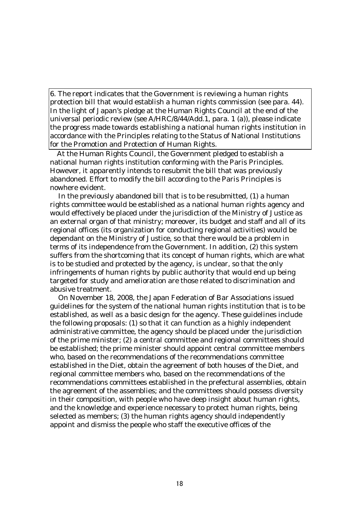6. The report indicates that the Government is reviewing a human rights protection bill that would establish a human rights commission (see para. 44). In the light of Japan's pledge at the Human Rights Council at the end of the universal periodic review (see A/HRC/8/44/Add.1, para. 1 (a)), please indicate the progress made towards establishing a national human rights institution in accordance with the Principles relating to the Status of National Institutions for the Promotion and Protection of Human Rights.

At the Human Rights Council, the Government pledged to establish a national human rights institution conforming with the Paris Principles. However, it apparently intends to resubmit the bill that was previously abandoned. Effort to modify the bill according to the Paris Principles is nowhere evident.

In the previously abandoned bill that is to be resubmitted, (1) a human rights committee would be established as a national human rights agency and would effectively be placed under the jurisdiction of the Ministry of Justice as an external organ of that ministry; moreover, its budget and staff and all of its regional offices (its organization for conducting regional activities) would be dependant on the Ministry of Justice, so that there would be a problem in terms of its independence from the Government. In addition, (2) this system suffers from the shortcoming that its concept of human rights, which are what is to be studied and protected by the agency, is unclear, so that the only infringements of human rights by public authority that would end up being targeted for study and amelioration are those related to discrimination and abusive treatment.

On November 18, 2008, the Japan Federation of Bar Associations issued guidelines for the system of the national human rights institution that is to be established, as well as a basic design for the agency. These guidelines include the following proposals: (1) so that it can function as a highly independent administrative committee, the agency should be placed under the jurisdiction of the prime minister; (2) a central committee and regional committees should be established; the prime minister should appoint central committee members who, based on the recommendations of the recommendations committee established in the Diet, obtain the agreement of both houses of the Diet, and regional committee members who, based on the recommendations of the recommendations committees established in the prefectural assemblies, obtain the agreement of the assemblies; and the committees should possess diversity in their composition, with people who have deep insight about human rights, and the knowledge and experience necessary to protect human rights, being selected as members; (3) the human rights agency should independently appoint and dismiss the people who staff the executive offices of the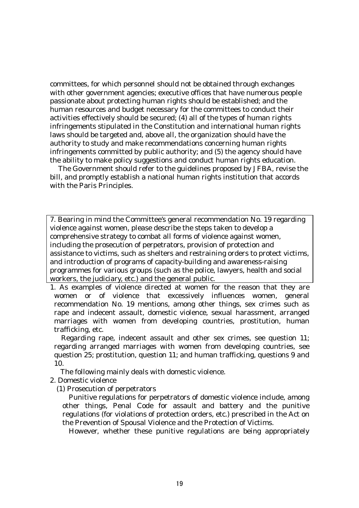committees, for which personnel should not be obtained through exchanges with other government agencies; executive offices that have numerous people passionate about protecting human rights should be established; and the human resources and budget necessary for the committees to conduct their activities effectively should be secured; (4) all of the types of human rights infringements stipulated in the Constitution and international human rights laws should be targeted and, above all, the organization should have the authority to study and make recommendations concerning human rights infringements committed by public authority; and (5) the agency should have the ability to make policy suggestions and conduct human rights education.

The Government should refer to the guidelines proposed by JFBA, revise the bill, and promptly establish a national human rights institution that accords with the Paris Principles.

7. Bearing in mind the Committee's general recommendation No. 19 regarding violence against women, please describe the steps taken to develop a comprehensive strategy to combat all forms of violence against women, including the prosecution of perpetrators, provision of protection and assistance to victims, such as shelters and restraining orders to protect victims, and introduction of programs of capacity-building and awareness-raising programmes for various groups (such as the police, lawyers, health and social workers, the judiciary, etc.) and the general public.

1. As examples of violence directed at women for the reason that they are women or of violence that excessively influences women, general recommendation No. 19 mentions, among other things, sex crimes such as rape and indecent assault, domestic violence, sexual harassment, arranged marriages with women from developing countries, prostitution, human trafficking, etc.

Regarding rape, indecent assault and other sex crimes, see question 11; regarding arranged marriages with women from developing countries, see question 25; prostitution, question 11; and human trafficking, questions 9 and 10.

The following mainly deals with domestic violence.

2. Domestic violence

(1) Prosecution of perpetrators

Punitive regulations for perpetrators of domestic violence include, among other things, Penal Code for assault and battery and the punitive regulations (for violations of protection orders, etc.) prescribed in the Act on the Prevention of Spousal Violence and the Protection of Victims.

However, whether these punitive regulations are being appropriately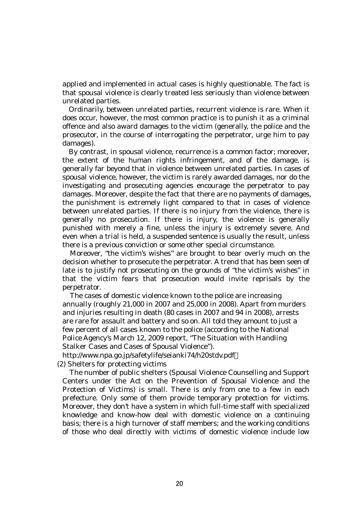applied and implemented in actual cases is highly questionable. The fact is that spousal violence is clearly treated less seriously than violence between unrelated parties.

Ordinarily, between unrelated parties, recurrent violence is rare. When it does occur, however, the most common practice is to punish it as a criminal offence and also award damages to the victim (generally, the police and the prosecutor, in the course of interrogating the perpetrator, urge him to pay damages).

By contrast, in spousal violence, recurrence is a common factor; moreover, the extent of the human rights infringement, and of the damage, is generally far beyond that in violence between unrelated parties. In cases of spousal violence, however, the victim is rarely awarded damages, nor do the investigating and prosecuting agencies encourage the perpetrator to pay damages. Moreover, despite the fact that there are no payments of damages, the punishment is extremely light compared to that in cases of violence between unrelated parties. If there is no injury from the violence, there is generally no prosecution. If there is injury, the violence is generally punished with merely a fine, unless the injury is extremely severe. And even when a trial is held, a suspended sentence is usually the result, unless there is a previous conviction or some other special circumstance.

Moreover, "the victim's wishes" are brought to bear overly much on the decision whether to prosecute the perpetrator. A trend that has been seen of late is to justify not prosecuting on the grounds of "the victim's wishes" in that the victim fears that prosecution would invite reprisals by the perpetrator.

The cases of domestic violence known to the police are increasing annually (roughly 21,000 in 2007 and 25,000 in 2008). Apart from murders and injuries resulting in death (80 cases in 2007 and 94 in 2008), arrests are rare for assault and battery and so on. All told they amount to just a few percent of all cases known to the police (according to the National Police Agency's March 12, 2009 report, "The Situation with Handling Stalker Cases and Cases of Spousal Violence").

http://www.npa.go.jp/safetylife/seianki74/h20stdv.pdf

(2) Shelters for protecting victims

The number of public shelters (Spousal Violence Counselling and Support Centers under the Act on the Prevention of Spousal Violence and the Protection of Victims) is small. There is only from one to a few in each prefecture. Only some of them provide temporary protection for victims. Moreover, they don't have a system in which full-time staff with specialized knowledge and know-how deal with domestic violence on a continuing basis; there is a high turnover of staff members; and the working conditions of those who deal directly with victims of domestic violence include low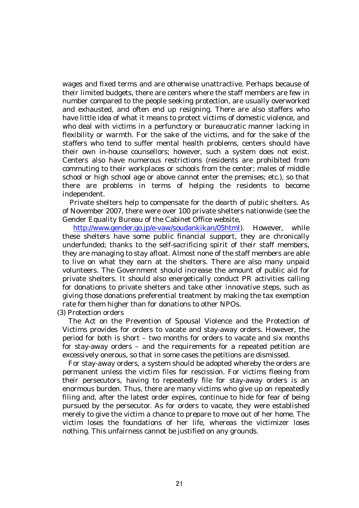wages and fixed terms and are otherwise unattractive. Perhaps because of their limited budgets, there are centers where the staff members are few in number compared to the people seeking protection, are usually overworked and exhausted, and often end up resigning. There are also staffers who have little idea of what it means to protect victims of domestic violence, and who deal with victims in a perfunctory or bureaucratic manner lacking in flexibility or warmth. For the sake of the victims, and for the sake of the staffers who tend to suffer mental health problems, centers should have their own in-house counsellors; however, such a system does not exist. Centers also have numerous restrictions (residents are prohibited from commuting to their workplaces or schools from the center; males of middle school or high school age or above cannot enter the premises; etc.), so that there are problems in terms of helping the residents to become independent.

Private shelters help to compensate for the dearth of public shelters. As of November 2007, there were over 100 private shelters nationwide (see the Gender Equality Bureau of the Cabinet Office website,

http://www.gender.go.jp/e-vaw/soudankikan/05html). However, while these shelters have some public financial support, they are chronically underfunded; thanks to the self-sacrificing spirit of their staff members, they are managing to stay afloat. Almost none of the staff members are able to live on what they earn at the shelters. There are also many unpaid volunteers. The Government should increase the amount of public aid for private shelters. It should also energetically conduct PR activities calling for donations to private shelters and take other innovative steps, such as giving those donations preferential treatment by making the tax exemption rate for them higher than for donations to other NPOs.

(3) Protection orders

The Act on the Prevention of Spousal Violence and the Protection of Victims provides for orders to vacate and stay-away orders. However, the period for both is short – two months for orders to vacate and six months for stay-away orders – and the requirements for a repeated petition are excessively onerous, so that in some cases the petitions are dismissed.

For stay-away orders, a system should be adopted whereby the orders are permanent unless the victim files for rescission. For victims fleeing from their persecutors, having to repeatedly file for stay-away orders is an enormous burden. Thus, there are many victims who give up on repeatedly filing and, after the latest order expires, continue to hide for fear of being pursued by the persecutor. As for orders to vacate, they were established merely to give the victim a chance to prepare to move out of her home. The victim loses the foundations of her life, whereas the victimizer loses nothing. This unfairness cannot be justified on any grounds.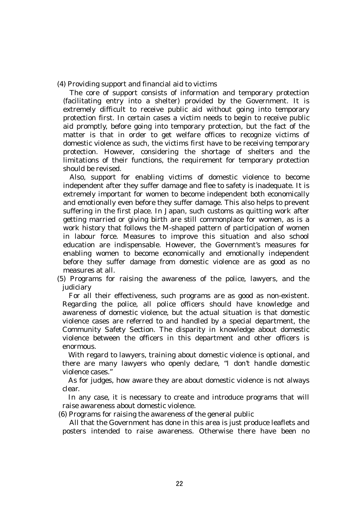(4) Providing support and financial aid to victims

The core of support consists of information and temporary protection (facilitating entry into a shelter) provided by the Government. It is extremely difficult to receive public aid without going into temporary protection first. In certain cases a victim needs to begin to receive public aid promptly, before going into temporary protection, but the fact of the matter is that in order to get welfare offices to recognize victims of domestic violence as such, the victims first have to be receiving temporary protection. However, considering the shortage of shelters and the limitations of their functions, the requirement for temporary protection should be revised.

Also, support for enabling victims of domestic violence to become independent after they suffer damage and flee to safety is inadequate. It is extremely important for women to become independent both economically and emotionally even before they suffer damage. This also helps to prevent suffering in the first place. In Japan, such customs as quitting work after getting married or giving birth are still commonplace for women, as is a work history that follows the M-shaped pattern of participation of women in labour force. Measures to improve this situation and also school education are indispensable. However, the Government's measures for enabling women to become economically and emotionally independent before they suffer damage from domestic violence are as good as no measures at all.

(5) Programs for raising the awareness of the police, lawyers, and the judiciary

For all their effectiveness, such programs are as good as non-existent. Regarding the police, all police officers should have knowledge and awareness of domestic violence, but the actual situation is that domestic violence cases are referred to and handled by a special department, the Community Safety Section. The disparity in knowledge about domestic violence between the officers in this department and other officers is enormous.

With regard to lawyers, training about domestic violence is optional, and there are many lawyers who openly declare, "I don't handle domestic violence cases."

As for judges, how aware they are about domestic violence is not always clear.

In any case, it is necessary to create and introduce programs that will raise awareness about domestic violence.

(6) Programs for raising the awareness of the general public

All that the Government has done in this area is just produce leaflets and posters intended to raise awareness. Otherwise there have been no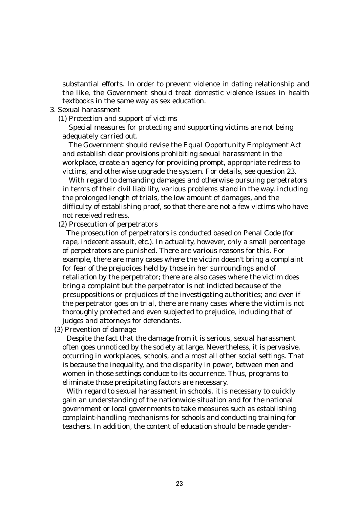substantial efforts. In order to prevent violence in dating relationship and the like, the Government should treat domestic violence issues in health textbooks in the same way as sex education.

### 3. Sexual harassment

(1) Protection and support of victims

 Special measures for protecting and supporting victims are not being adequately carried out.

 The Government should revise the Equal Opportunity Employment Act and establish clear provisions prohibiting sexual harassment in the workplace, create an agency for providing prompt, appropriate redress to victims, and otherwise upgrade the system. For details, see question 23.

 With regard to demanding damages and otherwise pursuing perpetrators in terms of their civil liability, various problems stand in the way, including the prolonged length of trials, the low amount of damages, and the difficulty of establishing proof, so that there are not a few victims who have not received redress.

(2) Prosecution of perpetrators

The prosecution of perpetrators is conducted based on Penal Code (for rape, indecent assault, etc.). In actuality, however, only a small percentage of perpetrators are punished. There are various reasons for this. For example, there are many cases where the victim doesn't bring a complaint for fear of the prejudices held by those in her surroundings and of retaliation by the perpetrator; there are also cases where the victim does bring a complaint but the perpetrator is not indicted because of the presuppositions or prejudices of the investigating authorities; and even if the perpetrator goes on trial, there are many cases where the victim is not thoroughly protected and even subjected to prejudice, including that of judges and attorneys for defendants.

(3) Prevention of damage

Despite the fact that the damage from it is serious, sexual harassment often goes unnoticed by the society at large. Nevertheless, it is pervasive, occurring in workplaces, schools, and almost all other social settings. That is because the inequality, and the disparity in power, between men and women in those settings conduce to its occurrence. Thus, programs to eliminate those precipitating factors are necessary.

With regard to sexual harassment in schools, it is necessary to quickly gain an understanding of the nationwide situation and for the national government or local governments to take measures such as establishing complaint-handling mechanisms for schools and conducting training for teachers. In addition, the content of education should be made gender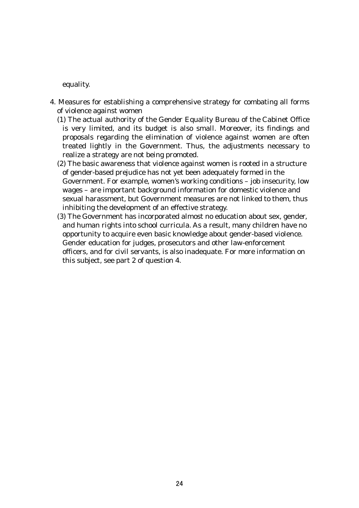equality.

- 4. Measures for establishing a comprehensive strategy for combating all forms of violence against women
	- (1) The actual authority of the Gender Equality Bureau of the Cabinet Office is very limited, and its budget is also small. Moreover, its findings and proposals regarding the elimination of violence against women are often treated lightly in the Government. Thus, the adjustments necessary to realize a strategy are not being promoted.
	- (2) The basic awareness that violence against women is rooted in a structure of gender-based prejudice has not yet been adequately formed in the Government. For example, women's working conditions – job insecurity, low wages – are important background information for domestic violence and sexual harassment, but Government measures are not linked to them, thus inhibiting the development of an effective strategy.
	- (3) The Government has incorporated almost no education about sex, gender, and human rights into school curricula. As a result, many children have no opportunity to acquire even basic knowledge about gender-based violence. Gender education for judges, prosecutors and other law-enforcement officers, and for civil servants, is also inadequate. For more information on this subject, see part 2 of question 4.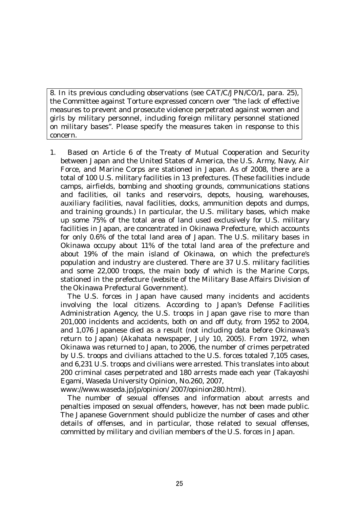8. In its previous concluding observations (see CAT/C/JPN/CO/1, para. 25), the Committee against Torture expressed concern over "the lack of effective measures to prevent and prosecute violence perpetrated against women and girls by military personnel, including foreign military personnel stationed on military bases". Please specify the measures taken in response to this concern.

1. Based on Article 6 of the Treaty of Mutual Cooperation and Security between Japan and the United States of America, the U.S. Army, Navy, Air Force, and Marine Corps are stationed in Japan. As of 2008, there are a total of 100 U.S. military facilities in 13 prefectures. (These facilities include camps, airfields, bombing and shooting grounds, communications stations and facilities, oil tanks and reservoirs, depots, housing, warehouses, auxiliary facilities, naval facilities, docks, ammunition depots and dumps, and training grounds.) In particular, the U.S. military bases, which make up some 75% of the total area of land used exclusively for U.S. military facilities in Japan, are concentrated in Okinawa Prefecture, which accounts for only 0.6% of the total land area of Japan. The U.S. military bases in Okinawa occupy about 11% of the total land area of the prefecture and about 19% of the main island of Okinawa, on which the prefecture's population and industry are clustered. There are 37 U.S. military facilities and some 22,000 troops, the main body of which is the Marine Corps, stationed in the prefecture (website of the Military Base Affairs Division of the Okinawa Prefectural Government).

 The U.S. forces in Japan have caused many incidents and accidents involving the local citizens. According to Japan's Defense Facilities Administration Agency, the U.S. troops in Japan gave rise to more than 201,000 incidents and accidents, both on and off duty, from 1952 to 2004, and 1,076 Japanese died as a result (not including data before Okinawa's return to Japan) (Akahata newspaper, July 10, 2005). From 1972, when Okinawa was returned to Japan, to 2006, the number of crimes perpetrated by U.S. troops and civilians attached to the U.S. forces totaled 7,105 cases, and 6,231 U.S. troops and civilians were arrested. This translates into about 200 criminal cases perpetrated and 180 arrests made each year (Takayoshi Egami, Waseda University Opinion, No.260, 2007,

www://www.waseda.jp/jp/opinion/ 2007/opinion280.html).

 The number of sexual offenses and information about arrests and penalties imposed on sexual offenders, however, has not been made public. The Japanese Government should publicize the number of cases and other details of offenses, and in particular, those related to sexual offenses, committed by military and civilian members of the U.S. forces in Japan.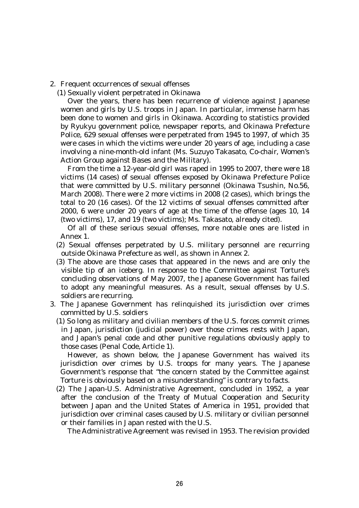2. Frequent occurrences of sexual offenses

(1) Sexually violent perpetrated in Okinawa

 Over the years, there has been recurrence of violence against Japanese women and girls by U.S. troops in Japan. In particular, immense harm has been done to women and girls in Okinawa. According to statistics provided by Ryukyu government police, newspaper reports, and Okinawa Prefecture Police, 629 sexual offenses were perpetrated from 1945 to 1997, of which 35 were cases in which the victims were under 20 years of age, including a case involving a nine-month-old infant (Ms. Suzuyo Takasato, Co-chair, Women's Action Group against Bases and the Military).

 From the time a 12-year-old girl was raped in 1995 to 2007, there were 18 victims (14 cases) of sexual offenses exposed by Okinawa Prefecture Police that were committed by U.S. military personnel (Okinawa Tsushin, No.56, March 2008). There were 2 more victims in 2008 (2 cases), which brings the total to 20 (16 cases). Of the 12 victims of sexual offenses committed after 2000, 6 were under 20 years of age at the time of the offense (ages 10, 14 (two victims), 17, and 19 (two victims); Ms. Takasato, already cited).

 Of all of these serious sexual offenses, more notable ones are listed in Annex 1.

- (2) Sexual offenses perpetrated by U.S. military personnel are recurring outside Okinawa Prefecture as well, as shown in Annex 2.
- (3) The above are those cases that appeared in the news and are only the visible tip of an iceberg. In response to the Committee against Torture's concluding observations of May 2007, the Japanese Government has failed to adopt any meaningful measures. As a result, sexual offenses by U.S. soldiers are recurring.
- 3. The Japanese Government has relinquished its jurisdiction over crimes committed by U.S. soldiers
	- (1) So long as military and civilian members of the U.S. forces commit crimes in Japan, jurisdiction (judicial power) over those crimes rests with Japan, and Japan's penal code and other punitive regulations obviously apply to those cases (Penal Code, Article 1).

 However, as shown below, the Japanese Government has waived its jurisdiction over crimes by U.S. troops for many years. The Japanese Government's response that "the concern stated by the Committee against Torture is obviously based on a misunderstanding" is contrary to facts.

(2) The Japan-U.S. Administrative Agreement, concluded in 1952, a year after the conclusion of the Treaty of Mutual Cooperation and Security between Japan and the United States of America in 1951, provided that jurisdiction over criminal cases caused by U.S. military or civilian personnel or their families in Japan rested with the U.S.

The Administrative Agreement was revised in 1953. The revision provided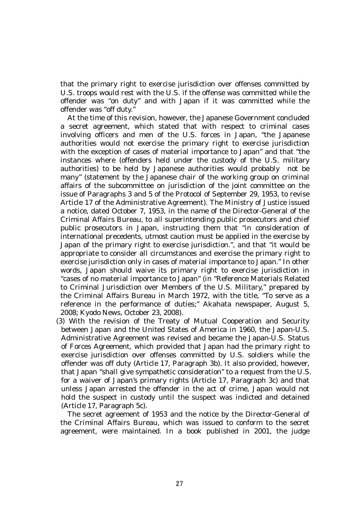that the primary right to exercise jurisdiction over offenses committed by U.S. troops would rest with the U.S. if the offense was committed while the offender was "on duty" and with Japan if it was committed while the offender was "off duty."

 At the time of this revision, however, the Japanese Government concluded a secret agreement, which stated that with respect to criminal cases involving officers and men of the U.S. forces in Japan, "the Japanese authorities would not exercise the primary right to exercise jurisdiction with the exception of cases of material importance to Japan" and that "the instances where (offenders held under the custody of the U.S. military authorities) to be held by Japanese authorities would probably not be many" (statement by the Japanese chair of the working group on criminal affairs of the subcommittee on jurisdiction of the joint committee on the issue of Paragraphs 3 and 5 of the Protocol of September 29, 1953, to revise Article 17 of the Administrative Agreement). The Ministry of Justice issued a notice, dated October 7, 1953, in the name of the Director-General of the Criminal Affairs Bureau, to all superintending public prosecutors and chief public prosecutors in Japan, instructing them that "in consideration of international precedents, utmost caution must be applied in the exercise by Japan of the primary right to exercise jurisdiction.", and that "it would be appropriate to consider all circumstances and exercise the primary right to exercise jurisdiction only in cases of material importance to Japan." In other words, Japan should waive its primary right to exercise jurisdiction in "cases of no material importance to Japan" (in "Reference Materials Related to Criminal Jurisdiction over Members of the U.S. Military," prepared by the Criminal Affairs Bureau in March 1972, with the title, "To serve as a reference in the performance of duties;" Akahata newspaper, August 5, 2008; Kyodo News, October 23, 2008).

(3) With the revision of the Treaty of Mutual Cooperation and Security between Japan and the United States of America in 1960, the Japan-U.S. Administrative Agreement was revised and became the Japan-U.S. Status of Forces Agreement, which provided that Japan had the primary right to exercise jurisdiction over offenses committed by U.S. soldiers while the offender was off duty (Article 17, Paragraph 3b). It also provided, however, that Japan "shall give sympathetic consideration" to a request from the U.S. for a waiver of Japan's primary rights (Article 17, Paragraph 3c) and that unless Japan arrested the offender in the act of crime, Japan would not hold the suspect in custody until the suspect was indicted and detained (Article 17, Paragraph 5c).

 The secret agreement of 1953 and the notice by the Director-General of the Criminal Affairs Bureau, which was issued to conform to the secret agreement, were maintained. In a book published in 2001, the judge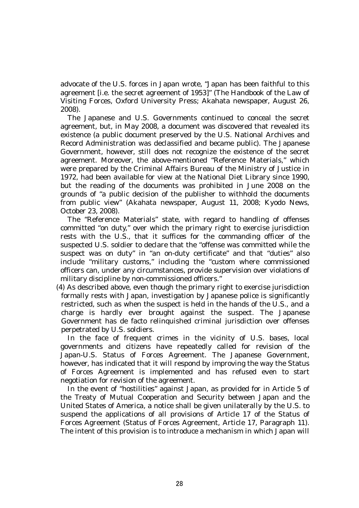advocate of the U.S. forces in Japan wrote, "Japan has been faithful to this agreement [i.e. the secret agreement of 1953]" (The Handbook of the Law of Visiting Forces, Oxford University Press; Akahata newspaper, August 26, 2008).

 The Japanese and U.S. Governments continued to conceal the secret agreement, but, in May 2008, a document was discovered that revealed its existence (a public document preserved by the U.S. National Archives and Record Administration was declassified and became public). The Japanese Government, however, still does not recognize the existence of the secret agreement. Moreover, the above-mentioned "Reference Materials," which were prepared by the Criminal Affairs Bureau of the Ministry of Justice in 1972, had been available for view at the National Diet Library since 1990, but the reading of the documents was prohibited in June 2008 on the grounds of "a public decision of the publisher to withhold the documents from public view" (Akahata newspaper, August 11, 2008; Kyodo News, October 23, 2008).

 The "Reference Materials" state, with regard to handling of offenses committed "on duty," over which the primary right to exercise jurisdiction rests with the U.S., that it suffices for the commanding officer of the suspected U.S. soldier to declare that the "offense was committed while the suspect was on duty" in "an on-duty certificate" and that "duties" also include "military customs," including the "custom where commissioned officers can, under any circumstances, provide supervision over violations of military discipline by non-commissioned officers."

(4) As described above, even though the primary right to exercise jurisdiction formally rests with Japan, investigation by Japanese police is significantly restricted, such as when the suspect is held in the hands of the U.S., and a charge is hardly ever brought against the suspect. The Japanese Government has de facto relinquished criminal jurisdiction over offenses perpetrated by U.S. soldiers.

 In the face of frequent crimes in the vicinity of U.S. bases, local governments and citizens have repeatedly called for revision of the Japan-U.S. Status of Forces Agreement. The Japanese Government, however, has indicated that it will respond by improving the way the Status of Forces Agreement is implemented and has refused even to start negotiation for revision of the agreement.

 In the event of "hostilities" against Japan, as provided for in Article 5 of the Treaty of Mutual Cooperation and Security between Japan and the United States of America, a notice shall be given unilaterally by the U.S. to suspend the applications of all provisions of Article 17 of the Status of Forces Agreement (Status of Forces Agreement, Article 17, Paragraph 11). The intent of this provision is to introduce a mechanism in which Japan will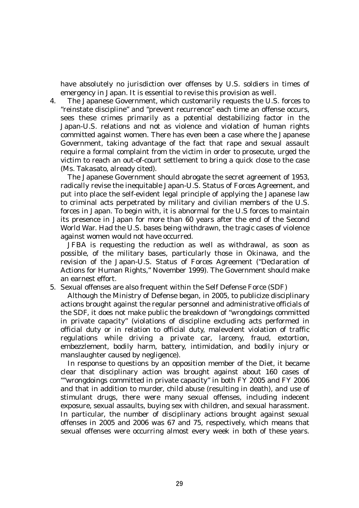have absolutely no jurisdiction over offenses by U.S. soldiers in times of emergency in Japan. It is essential to revise this provision as well.

4. The Japanese Government, which customarily requests the U.S. forces to "reinstate discipline" and "prevent recurrence" each time an offense occurs, sees these crimes primarily as a potential destabilizing factor in the Japan-U.S. relations and not as violence and violation of human rights committed against women. There has even been a case where the Japanese Government, taking advantage of the fact that rape and sexual assault require a formal complaint from the victim in order to prosecute, urged the victim to reach an out-of-court settlement to bring a quick close to the case (Ms. Takasato, already cited).

 The Japanese Government should abrogate the secret agreement of 1953, radically revise the inequitable Japan-U.S. Status of Forces Agreement, and put into place the self-evident legal principle of applying the Japanese law to criminal acts perpetrated by military and civilian members of the U.S. forces in Japan. To begin with, it is abnormal for the U.S forces to maintain its presence in Japan for more than 60 years after the end of the Second World War. Had the U.S. bases being withdrawn, the tragic cases of violence against women would not have occurred.

 JFBA is requesting the reduction as well as withdrawal, as soon as possible, of the military bases, particularly those in Okinawa, and the revision of the Japan-U.S. Status of Forces Agreement ("Declaration of Actions for Human Rights," November 1999). The Government should make an earnest effort.

5. Sexual offenses are also frequent within the Self Defense Force (SDF)

 Although the Ministry of Defense began, in 2005, to publicize disciplinary actions brought against the regular personnel and administrative officials of the SDF, it does not make public the breakdown of "wrongdoings committed in private capacity" (violations of discipline excluding acts performed in official duty or in relation to official duty, malevolent violation of traffic regulations while driving a private car, larceny, fraud, extortion, embezzlement, bodily harm, battery, intimidation, and bodily injury or manslaughter caused by negligence).

 In response to questions by an opposition member of the Diet, it became clear that disciplinary action was brought against about 160 cases of ""wrongdoings committed in private capacity" in both FY 2005 and FY 2006 and that in addition to murder, child abuse (resulting in death), and use of stimulant drugs, there were many sexual offenses, including indecent exposure, sexual assaults, buying sex with children, and sexual harassment. In particular, the number of disciplinary actions brought against sexual offenses in 2005 and 2006 was 67 and 75, respectively, which means that sexual offenses were occurring almost every week in both of these years.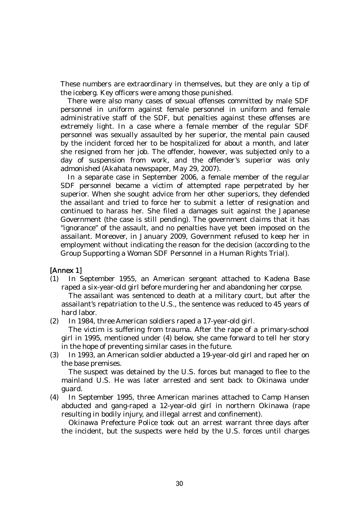These numbers are extraordinary in themselves, but they are only a tip of the iceberg. Key officers were among those punished.

 There were also many cases of sexual offenses committed by male SDF personnel in uniform against female personnel in uniform and female administrative staff of the SDF, but penalties against these offenses are extremely light. In a case where a female member of the regular SDF personnel was sexually assaulted by her superior, the mental pain caused by the incident forced her to be hospitalized for about a month, and later she resigned from her job. The offender, however, was subjected only to a day of suspension from work, and the offender's superior was only admonished (Akahata newspaper, May 29, 2007).

 In a separate case in September 2006, a female member of the regular SDF personnel became a victim of attempted rape perpetrated by her superior. When she sought advice from her other superiors, they defended the assailant and tried to force her to submit a letter of resignation and continued to harass her. She filed a damages suit against the Japanese Government (the case is still pending). The government claims that it has "ignorance" of the assault, and no penalties have yet been imposed on the assailant. Moreover, in January 2009, Government refused to keep her in employment without indicating the reason for the decision (according to the Group Supporting a Woman SDF Personnel in a Human Rights Trial).

# [Annex 1]

(1) In September 1955, an American sergeant attached to Kadena Base raped a six-year-old girl before murdering her and abandoning her corpse.

 The assailant was sentenced to death at a military court, but after the assailant's repatriation to the U.S., the sentence was reduced to 45 years of hard labor.

(2) In 1984, three American soldiers raped a 17-year-old girl.

 The victim is suffering from trauma. After the rape of a primary-school girl in 1995, mentioned under (4) below, she came forward to tell her story in the hope of preventing similar cases in the future.

(3) In 1993, an American soldier abducted a 19-year-old girl and raped her on the base premises.

 The suspect was detained by the U.S. forces but managed to flee to the mainland U.S. He was later arrested and sent back to Okinawa under guard.

(4) In September 1995, three American marines attached to Camp Hansen abducted and gang-raped a 12-year-old girl in northern Okinawa (rape resulting in bodily injury, and illegal arrest and confinement).

 Okinawa Prefecture Police took out an arrest warrant three days after the incident, but the suspects were held by the U.S. forces until charges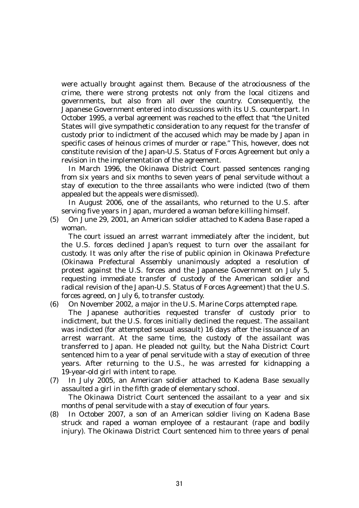were actually brought against them. Because of the atrociousness of the crime, there were strong protests not only from the local citizens and governments, but also from all over the country. Consequently, the Japanese Government entered into discussions with its U.S. counterpart. In October 1995, a verbal agreement was reached to the effect that "the United States will give sympathetic consideration to any request for the transfer of custody prior to indictment of the accused which may be made by Japan in specific cases of heinous crimes of murder or rape." This, however, does not constitute revision of the Japan-U.S. Status of Forces Agreement but only a revision in the implementation of the agreement.

 In March 1996, the Okinawa District Court passed sentences ranging from six years and six months to seven years of penal servitude without a stay of execution to the three assailants who were indicted (two of them appealed but the appeals were dismissed).

 In August 2006, one of the assailants, who returned to the U.S. after serving five years in Japan, murdered a woman before killing himself.

(5) On June 29, 2001, an American soldier attached to Kadena Base raped a woman.

 The court issued an arrest warrant immediately after the incident, but the U.S. forces declined Japan's request to turn over the assailant for custody. It was only after the rise of public opinion in Okinawa Prefecture (Okinawa Prefectural Assembly unanimously adopted a resolution of protest against the U.S. forces and the Japanese Government on July 5, requesting immediate transfer of custody of the American soldier and radical revision of the Japan-U.S. Status of Forces Agreement) that the U.S. forces agreed, on July 6, to transfer custody.

(6) On November 2002, a major in the U.S. Marine Corps attempted rape.

 The Japanese authorities requested transfer of custody prior to indictment, but the U.S. forces initially declined the request. The assailant was indicted (for attempted sexual assault) 16 days after the issuance of an arrest warrant. At the same time, the custody of the assailant was transferred to Japan. He pleaded not guilty, but the Naha District Court sentenced him to a year of penal servitude with a stay of execution of three years. After returning to the U.S., he was arrested for kidnapping a 19-year-old girl with intent to rape.

(7) In July 2005, an American soldier attached to Kadena Base sexually assaulted a girl in the fifth grade of elementary school.

 The Okinawa District Court sentenced the assailant to a year and six months of penal servitude with a stay of execution of four years.

(8) In October 2007, a son of an American soldier living on Kadena Base struck and raped a woman employee of a restaurant (rape and bodily injury). The Okinawa District Court sentenced him to three years of penal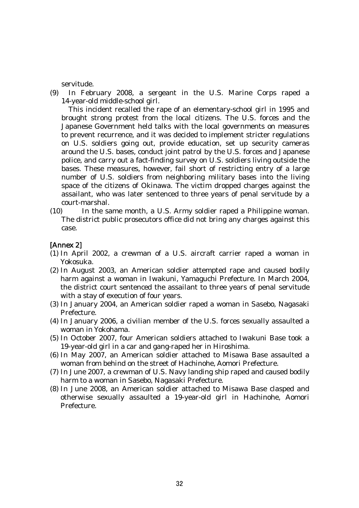servitude.

(9) In February 2008, a sergeant in the U.S. Marine Corps raped a 14-year-old middle-school girl.

 This incident recalled the rape of an elementary-school girl in 1995 and brought strong protest from the local citizens. The U.S. forces and the Japanese Government held talks with the local governments on measures to prevent recurrence, and it was decided to implement stricter regulations on U.S. soldiers going out, provide education, set up security cameras around the U.S. bases, conduct joint patrol by the U.S. forces and Japanese police, and carry out a fact-finding survey on U.S. soldiers living outside the bases. These measures, however, fail short of restricting entry of a large number of U.S. soldiers from neighboring military bases into the living space of the citizens of Okinawa. The victim dropped charges against the assailant, who was later sentenced to three years of penal servitude by a court-marshal.

(10) In the same month, a U.S. Army soldier raped a Philippine woman. The district public prosecutors office did not bring any charges against this case.

## [Annex 2]

- (1) In April 2002, a crewman of a U.S. aircraft carrier raped a woman in Yokosuka.
- (2) In August 2003, an American soldier attempted rape and caused bodily harm against a woman in Iwakuni, Yamaguchi Prefecture. In March 2004, the district court sentenced the assailant to three years of penal servitude with a stay of execution of four years.
- (3) In January 2004, an American soldier raped a woman in Sasebo, Nagasaki Prefecture.
- (4) In January 2006, a civilian member of the U.S. forces sexually assaulted a woman in Yokohama.
- (5) In October 2007, four American soldiers attached to Iwakuni Base took a 19-year-old girl in a car and gang-raped her in Hiroshima.
- (6) In May 2007, an American soldier attached to Misawa Base assaulted a woman from behind on the street of Hachinohe, Aomori Prefecture.
- (7) In June 2007, a crewman of U.S. Navy landing ship raped and caused bodily harm to a woman in Sasebo, Nagasaki Prefecture.
- (8) In June 2008, an American soldier attached to Misawa Base clasped and otherwise sexually assaulted a 19-year-old girl in Hachinohe, Aomori Prefecture.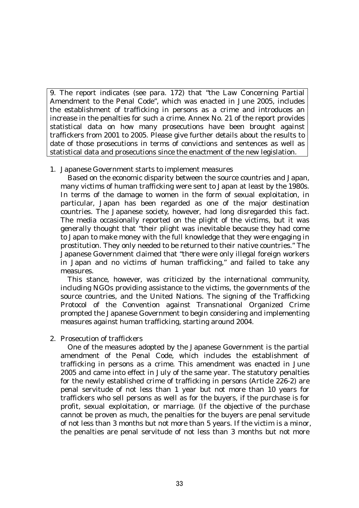9. The report indicates (see para. 172) that "the Law Concerning Partial Amendment to the Penal Code", which was enacted in June 2005, includes the establishment of trafficking in persons as a crime and introduces an increase in the penalties for such a crime. Annex No. 21 of the report provides statistical data on how many prosecutions have been brought against traffickers from 2001 to 2005. Please give further details about the results to date of those prosecutions in terms of convictions and sentences as well as statistical data and prosecutions since the enactment of the new legislation.

## 1. Japanese Government starts to implement measures

 Based on the economic disparity between the source countries and Japan, many victims of human trafficking were sent to Japan at least by the 1980s. In terms of the damage to women in the form of sexual exploitation, in particular, Japan has been regarded as one of the major destination countries. The Japanese society, however, had long disregarded this fact. The media occasionally reported on the plight of the victims, but it was generally thought that "their plight was inevitable because they had come to Japan to make money with the full knowledge that they were engaging in prostitution. They only needed to be returned to their native countries." The Japanese Government claimed that "there were only illegal foreign workers in Japan and no victims of human trafficking," and failed to take any measures.

 This stance, however, was criticized by the international community, including NGOs providing assistance to the victims, the governments of the source countries, and the United Nations. The signing of the Trafficking Protocol of the Convention against Transnational Organized Crime prompted the Japanese Government to begin considering and implementing measures against human trafficking, starting around 2004.

### 2. Prosecution of traffickers

 One of the measures adopted by the Japanese Government is the partial amendment of the Penal Code, which includes the establishment of trafficking in persons as a crime. This amendment was enacted in June 2005 and came into effect in July of the same year. The statutory penalties for the newly established crime of trafficking in persons (Article 226-2) are penal servitude of not less than 1 year but not more than 10 years for traffickers who sell persons as well as for the buyers, if the purchase is for profit, sexual exploitation, or marriage. (If the objective of the purchase cannot be proven as much, the penalties for the buyers are penal servitude of not less than 3 months but not more than 5 years. If the victim is a minor, the penalties are penal servitude of not less than 3 months but not more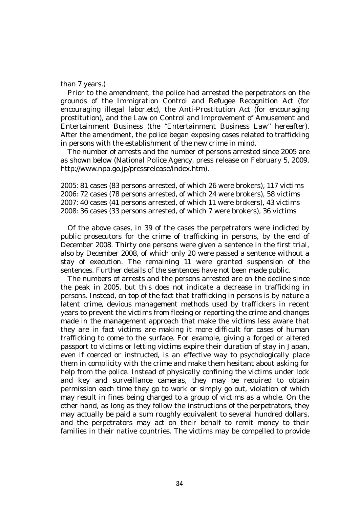### than 7 years.)

 Prior to the amendment, the police had arrested the perpetrators on the grounds of the Immigration Control and Refugee Recognition Act (for encouraging illegal labor.etc), the Anti-Prostitution Act (for encouraging prostitution), and the Law on Control and Improvement of Amusement and Entertainment Business (the "Entertainment Business Law" hereafter). After the amendment, the police began exposing cases related to trafficking in persons with the establishment of the new crime in mind.

 The number of arrests and the number of persons arrested since 2005 are as shown below (National Police Agency, press release on February 5, 2009, http://www.npa.go.jp/pressrelease/index.htm).

2005: 81 cases (83 persons arrested, of which 26 were brokers), 117 victims 2006: 72 cases (78 persons arrested, of which 24 were brokers), 58 victims 2007: 40 cases (41 persons arrested, of which 11 were brokers), 43 victims 2008: 36 cases (33 persons arrested, of which 7 were brokers), 36 victims

 Of the above cases, in 39 of the cases the perpetrators were indicted by public prosecutors for the crime of trafficking in persons, by the end of December 2008. Thirty one persons were given a sentence in the first trial, also by December 2008, of which only 20 were passed a sentence without a stay of execution. The remaining 11 were granted suspension of the sentences. Further details of the sentences have not been made public.

 The numbers of arrests and the persons arrested are on the decline since the peak in 2005, but this does not indicate a decrease in trafficking in persons. Instead, on top of the fact that trafficking in persons is by nature a latent crime, devious management methods used by traffickers in recent years to prevent the victims from fleeing or reporting the crime and changes made in the management approach that make the victims less aware that they are in fact victims are making it more difficult for cases of human trafficking to come to the surface. For example, giving a forged or altered passport to victims or letting victims expire their duration of stay in Japan, even if coerced or instructed, is an effective way to psychologically place them in complicity with the crime and make them hesitant about asking for help from the police. Instead of physically confining the victims under lock and key and surveillance cameras, they may be required to obtain permission each time they go to work or simply go out, violation of which may result in fines being charged to a group of victims as a whole. On the other hand, as long as they follow the instructions of the perpetrators, they may actually be paid a sum roughly equivalent to several hundred dollars, and the perpetrators may act on their behalf to remit money to their families in their native countries. The victims may be compelled to provide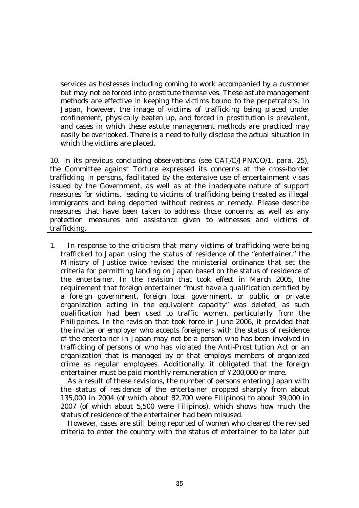services as hostesses including coming to work accompanied by a customer but may not be forced into prostitute themselves. These astute management methods are effective in keeping the victims bound to the perpetrators. In Japan, however, the image of victims of trafficking being placed under confinement, physically beaten up, and forced in prostitution is prevalent, and cases in which these astute management methods are practiced may easily be overlooked. There is a need to fully disclose the actual situation in which the victims are placed.

10. In its previous concluding observations (see CAT/C/JPN/CO/1, para. 25), the Committee against Torture expressed its concerns at the cross-border trafficking in persons, facilitated by the extensive use of entertainment visas issued by the Government, as well as at the inadequate nature of support measures for victims, leading to victims of trafficking being treated as illegal immigrants and being deported without redress or remedy. Please describe measures that have been taken to address those concerns as well as any protection measures and assistance given to witnesses and victims of trafficking.

1. In response to the criticism that many victims of trafficking were being trafficked to Japan using the status of residence of the "entertainer," the Ministry of Justice twice revised the ministerial ordinance that set the criteria for permitting landing on Japan based on the status of residence of the entertainer. In the revision that took effect in March 2005, the requirement that foreign entertainer "must have a qualification certified by a foreign government, foreign local government, or public or private organization acting in the equivalent capacity" was deleted, as such qualification had been used to traffic women, particularly from the Philippines. In the revision that took force in June 2006, it provided that the inviter or employer who accepts foreigners with the status of residence of the entertainer in Japan may not be a person who has been involved in trafficking of persons or who has violated the Anti-Prostitution Act or an organization that is managed by or that employs members of organized crime as regular employees. Additionally, it obligated that the foreign entertainer must be paid monthly remuneration of ¥200,000 or more.

 As a result of these revisions, the number of persons entering Japan with the status of residence of the entertainer dropped sharply from about 135,000 in 2004 (of which about 82,700 were Filipinos) to about 39,000 in 2007 (of which about 5,500 were Filipinos), which shows how much the status of residence of the entertainer had been misused.

 However, cases are still being reported of women who cleared the revised criteria to enter the country with the status of entertainer to be later put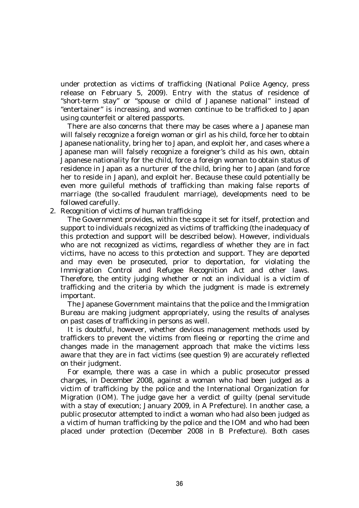under protection as victims of trafficking (National Police Agency, press release on February 5, 2009). Entry with the status of residence of "short-term stay" or "spouse or child of Japanese national" instead of "entertainer" is increasing, and women continue to be trafficked to Japan using counterfeit or altered passports.

 There are also concerns that there may be cases where a Japanese man will falsely recognize a foreign woman or girl as his child, force her to obtain Japanese nationality, bring her to Japan, and exploit her, and cases where a Japanese man will falsely recognize a foreigner's child as his own, obtain Japanese nationality for the child, force a foreign woman to obtain status of residence in Japan as a nurturer of the child, bring her to Japan (and force her to reside in Japan), and exploit her. Because these could potentially be even more guileful methods of trafficking than making false reports of marriage (the so-called fraudulent marriage), developments need to be followed carefully.

2. Recognition of victims of human trafficking

 The Government provides, within the scope it set for itself, protection and support to individuals recognized as victims of trafficking (the inadequacy of this protection and support will be described below). However, individuals who are not recognized as victims, regardless of whether they are in fact victims, have no access to this protection and support. They are deported and may even be prosecuted, prior to deportation, for violating the Immigration Control and Refugee Recognition Act and other laws. Therefore, the entity judging whether or not an individual is a victim of trafficking and the criteria by which the judgment is made is extremely important.

 The Japanese Government maintains that the police and the Immigration Bureau are making judgment appropriately, using the results of analyses on past cases of trafficking in persons as well.

 It is doubtful, however, whether devious management methods used by traffickers to prevent the victims from fleeing or reporting the crime and changes made in the management approach that make the victims less aware that they are in fact victims (see question 9) are accurately reflected on their judgment.

 For example, there was a case in which a public prosecutor pressed charges, in December 2008, against a woman who had been judged as a victim of trafficking by the police and the International Organization for Migration (IOM). The judge gave her a verdict of guilty (penal servitude with a stay of execution; January 2009, in A Prefecture). In another case, a public prosecutor attempted to indict a woman who had also been judged as a victim of human trafficking by the police and the IOM and who had been placed under protection (December 2008 in B Prefecture). Both cases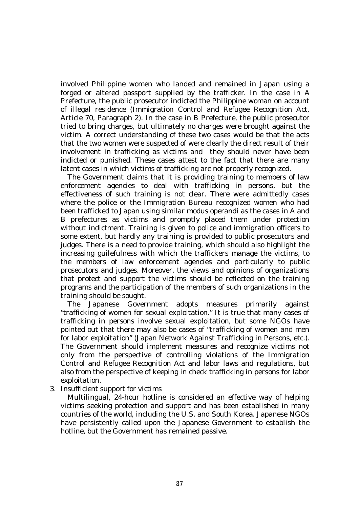involved Philippine women who landed and remained in Japan using a forged or altered passport supplied by the trafficker. In the case in A Prefecture, the public prosecutor indicted the Philippine woman on account of illegal residence (Immigration Control and Refugee Recognition Act, Article 70, Paragraph 2). In the case in B Prefecture, the public prosecutor tried to bring charges, but ultimately no charges were brought against the victim. A correct understanding of these two cases would be that the acts that the two women were suspected of were clearly the direct result of their involvement in trafficking as victims and they should never have been indicted or punished. These cases attest to the fact that there are many latent cases in which victims of trafficking are not properly recognized.

 The Government claims that it is providing training to members of law enforcement agencies to deal with trafficking in persons, but the effectiveness of such training is not clear. There were admittedly cases where the police or the Immigration Bureau recognized women who had been trafficked to Japan using similar modus operandi as the cases in A and B prefectures as victims and promptly placed them under protection without indictment. Training is given to police and immigration officers to some extent, but hardly any training is provided to public prosecutors and judges. There is a need to provide training, which should also highlight the increasing guilefulness with which the traffickers manage the victims, to the members of law enforcement agencies and particularly to public prosecutors and judges. Moreover, the views and opinions of organizations that protect and support the victims should be reflected on the training programs and the participation of the members of such organizations in the training should be sought.

 The Japanese Government adopts measures primarily against "trafficking of women for sexual exploitation." It is true that many cases of trafficking in persons involve sexual exploitation, but some NGOs have pointed out that there may also be cases of "trafficking of women and men for labor exploitation" (Japan Network Against Trafficking in Persons, etc.). The Government should implement measures and recognize victims not only from the perspective of controlling violations of the Immigration Control and Refugee Recognition Act and labor laws and regulations, but also from the perspective of keeping in check trafficking in persons for labor exploitation.

3. Insufficient support for victims

 Multilingual, 24-hour hotline is considered an effective way of helping victims seeking protection and support and has been established in many countries of the world, including the U.S. and South Korea. Japanese NGOs have persistently called upon the Japanese Government to establish the hotline, but the Government has remained passive.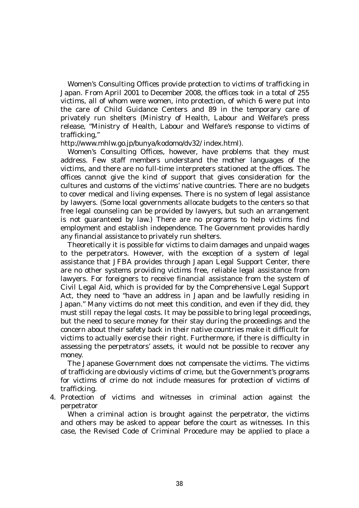Women's Consulting Offices provide protection to victims of trafficking in Japan. From April 2001 to December 2008, the offices took in a total of 255 victims, all of whom were women, into protection, of which 6 were put into the care of Child Guidance Centers and 89 in the temporary care of privately run shelters (Ministry of Health, Labour and Welfare's press release, "Ministry of Health, Labour and Welfare's response to victims of trafficking,"

#### http://www.mhlw.go.jp/bunya/kodomo/dv32/ index.html).

 Women's Consulting Offices, however, have problems that they must address. Few staff members understand the mother languages of the victims, and there are no full-time interpreters stationed at the offices. The offices cannot give the kind of support that gives consideration for the cultures and customs of the victims' native countries. There are no budgets to cover medical and living expenses. There is no system of legal assistance by lawyers. (Some local governments allocate budgets to the centers so that free legal counseling can be provided by lawyers, but such an arrangement is not guaranteed by law.) There are no programs to help victims find employment and establish independence. The Government provides hardly any financial assistance to privately run shelters.

 Theoretically it is possible for victims to claim damages and unpaid wages to the perpetrators. However, with the exception of a system of legal assistance that JFBA provides through Japan Legal Support Center, there are no other systems providing victims free, reliable legal assistance from lawyers. For foreigners to receive financial assistance from the system of Civil Legal Aid, which is provided for by the Comprehensive Legal Support Act, they need to "have an address in Japan and be lawfully residing in Japan." Many victims do not meet this condition, and even if they did, they must still repay the legal costs. It may be possible to bring legal proceedings, but the need to secure money for their stay during the proceedings and the concern about their safety back in their native countries make it difficult for victims to actually exercise their right. Furthermore, if there is difficulty in assessing the perpetrators' assets, it would not be possible to recover any money.

 The Japanese Government does not compensate the victims. The victims of trafficking are obviously victims of crime, but the Government's programs for victims of crime do not include measures for protection of victims of trafficking.

4. Protection of victims and witnesses in criminal action against the perpetrator

 When a criminal action is brought against the perpetrator, the victims and others may be asked to appear before the court as witnesses. In this case, the Revised Code of Criminal Procedure may be applied to place a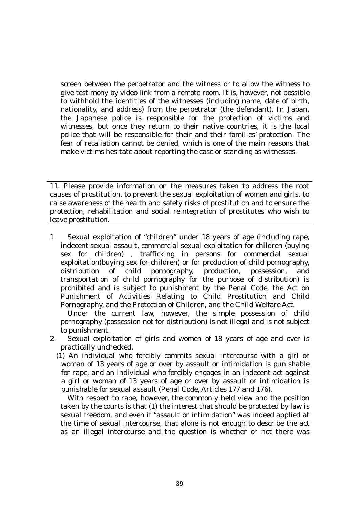screen between the perpetrator and the witness or to allow the witness to give testimony by video link from a remote room. It is, however, not possible to withhold the identities of the witnesses (including name, date of birth, nationality, and address) from the perpetrator (the defendant). In Japan, the Japanese police is responsible for the protection of victims and witnesses, but once they return to their native countries, it is the local police that will be responsible for their and their families' protection. The fear of retaliation cannot be denied, which is one of the main reasons that make victims hesitate about reporting the case or standing as witnesses.

11. Please provide information on the measures taken to address the root causes of prostitution, to prevent the sexual exploitation of women and girls, to raise awareness of the health and safety risks of prostitution and to ensure the protection, rehabilitation and social reintegration of prostitutes who wish to leave prostitution.

1. Sexual exploitation of "children" under 18 years of age (including rape, indecent sexual assault, commercial sexual exploitation for children (buying sex for children) , trafficking in persons for commercial sexual exploitation(buying sex for children) or for production of child pornography, distribution of child pornography, production, possession, and transportation of child pornography for the purpose of distribution) is prohibited and is subject to punishment by the Penal Code, the Act on Punishment of Activities Relating to Child Prostitution and Child Pornography, and the Protection of Children, and the Child Welfare Act.

 Under the current law, however, the simple possession of child pornography (possession not for distribution) is not illegal and is not subject to punishment.

- 2. Sexual exploitation of girls and women of 18 years of age and over is practically unchecked.
	- (1) An individual who forcibly commits sexual intercourse with a girl or woman of 13 years of age or over by assault or intimidation is punishable for rape, and an individual who forcibly engages in an indecent act against a girl or woman of 13 years of age or over by assault or intimidation is punishable for sexual assault (Penal Code, Articles 177 and 176).

 With respect to rape, however, the commonly held view and the position taken by the courts is that (1) the interest that should be protected by law is sexual freedom, and even if "assault or intimidation" was indeed applied at the time of sexual intercourse, that alone is not enough to describe the act as an illegal intercourse and the question is whether or not there was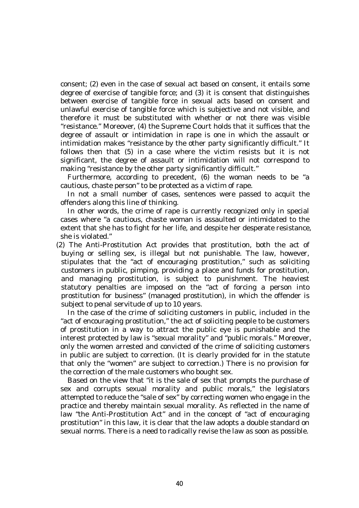consent; (2) even in the case of sexual act based on consent, it entails some degree of exercise of tangible force; and (3) it is consent that distinguishes between exercise of tangible force in sexual acts based on consent and unlawful exercise of tangible force which is subjective and not visible, and therefore it must be substituted with whether or not there was visible "resistance." Moreover, (4) the Supreme Court holds that it suffices that the degree of assault or intimidation in rape is one in which the assault or intimidation makes "resistance by the other party significantly difficult." It follows then that (5) in a case where the victim resists but it is not significant, the degree of assault or intimidation will not correspond to making "resistance by the other party significantly difficult."

 Furthermore, according to precedent, (6) the woman needs to be "a cautious, chaste person" to be protected as a victim of rape.

 In not a small number of cases, sentences were passed to acquit the offenders along this line of thinking.

 In other words, the crime of rape is currently recognized only in special cases where "a cautious, chaste woman is assaulted or intimidated to the extent that she has to fight for her life, and despite her desperate resistance, she is violated."

(2) The Anti-Prostitution Act provides that prostitution, both the act of buying or selling sex, is illegal but not punishable. The law, however, stipulates that the "act of encouraging prostitution," such as soliciting customers in public, pimping, providing a place and funds for prostitution, and managing prostitution, is subject to punishment. The heaviest statutory penalties are imposed on the "act of forcing a person into prostitution for business" (managed prostitution), in which the offender is subject to penal servitude of up to 10 years.

 In the case of the crime of soliciting customers in public, included in the "act of encouraging prostitution," the act of soliciting people to be customers of prostitution in a way to attract the public eye is punishable and the interest protected by law is "sexual morality" and "public morals." Moreover, only the women arrested and convicted of the crime of soliciting customers in public are subject to correction. (It is clearly provided for in the statute that only the "women" are subject to correction.) There is no provision for the correction of the male customers who bought sex.

 Based on the view that "it is the sale of sex that prompts the purchase of sex and corrupts sexual morality and public morals," the legislators attempted to reduce the "sale of sex" by correcting women who engage in the practice and thereby maintain sexual morality. As reflected in the name of law "the Anti-Prostitution Act" and in the concept of "act of encouraging prostitution" in this law, it is clear that the law adopts a double standard on sexual norms. There is a need to radically revise the law as soon as possible.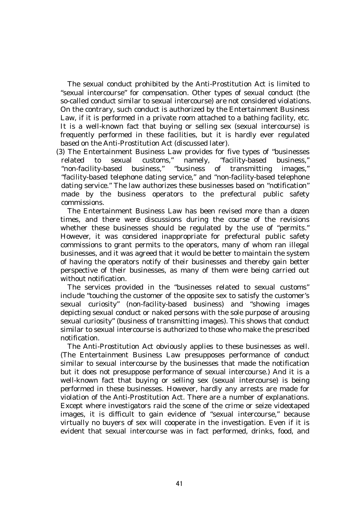The sexual conduct prohibited by the Anti-Prostitution Act is limited to "sexual intercourse" for compensation. Other types of sexual conduct (the so-called conduct similar to sexual intercourse) are not considered violations. On the contrary, such conduct is authorized by the Entertainment Business Law, if it is performed in a private room attached to a bathing facility, etc. It is a well-known fact that buying or selling sex (sexual intercourse) is frequently performed in these facilities, but it is hardly ever regulated based on the Anti-Prostitution Act (discussed later).

(3) The Entertainment Business Law provides for five types of "businesses related to sexual customs," namely, "facility-based business," "non-facility-based business," "business of transmitting images," "facility-based telephone dating service," and "non-facility-based telephone dating service." The law authorizes these businesses based on "notification" made by the business operators to the prefectural public safety commissions.

 The Entertainment Business Law has been revised more than a dozen times, and there were discussions during the course of the revisions whether these businesses should be regulated by the use of "permits." However, it was considered inappropriate for prefectural public safety commissions to grant permits to the operators, many of whom ran illegal businesses, and it was agreed that it would be better to maintain the system of having the operators notify of their businesses and thereby gain better perspective of their businesses, as many of them were being carried out without notification.

 The services provided in the "businesses related to sexual customs" include "touching the customer of the opposite sex to satisfy the customer's sexual curiosity" (non-facility-based business) and "showing images depicting sexual conduct or naked persons with the sole purpose of arousing sexual curiosity" (business of transmitting images). This shows that conduct similar to sexual intercourse is authorized to those who make the prescribed notification.

 The Anti-Prostitution Act obviously applies to these businesses as well. (The Entertainment Business Law presupposes performance of conduct similar to sexual intercourse by the businesses that made the notification but it does not presuppose performance of sexual intercourse.) And it is a well-known fact that buying or selling sex (sexual intercourse) is being performed in these businesses. However, hardly any arrests are made for violation of the Anti-Prostitution Act. There are a number of explanations. Except where investigators raid the scene of the crime or seize videotaped images, it is difficult to gain evidence of "sexual intercourse," because virtually no buyers of sex will cooperate in the investigation. Even if it is evident that sexual intercourse was in fact performed, drinks, food, and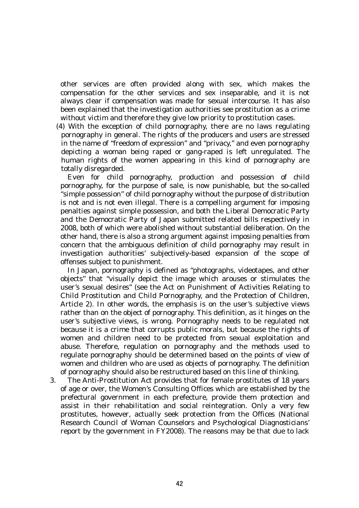other services are often provided along with sex, which makes the compensation for the other services and sex inseparable, and it is not always clear if compensation was made for sexual intercourse. It has also been explained that the investigation authorities see prostitution as a crime without victim and therefore they give low priority to prostitution cases.

(4) With the exception of child pornography, there are no laws regulating pornography in general. The rights of the producers and users are stressed in the name of "freedom of expression" and "privacy," and even pornography depicting a woman being raped or gang-raped is left unregulated. The human rights of the women appearing in this kind of pornography are totally disregarded.

 Even for child pornography, production and possession of child pornography, for the purpose of sale, is now punishable, but the so-called "simple possession" of child pornography without the purpose of distribution is not and is not even illegal. There is a compelling argument for imposing penalties against simple possession, and both the Liberal Democratic Party and the Democratic Party of Japan submitted related bills respectively in 2008, both of which were abolished without substantial deliberation. On the other hand, there is also a strong argument against imposing penalties from concern that the ambiguous definition of child pornography may result in investigation authorities' subjectively-based expansion of the scope of offenses subject to punishment.

 In Japan, pornography is defined as "photographs, videotapes, and other objects" that "visually depict the image which arouses or stimulates the user's sexual desires" (see the Act on Punishment of Activities Relating to Child Prostitution and Child Pornography, and the Protection of Children, Article 2). In other words, the emphasis is on the user's subjective views rather than on the object of pornography. This definition, as it hinges on the user's subjective views, is wrong. Pornography needs to be regulated not because it is a crime that corrupts public morals, but because the rights of women and children need to be protected from sexual exploitation and abuse. Therefore, regulation on pornography and the methods used to regulate pornography should be determined based on the points of view of women and children who are used as objects of pornography. The definition of pornography should also be restructured based on this line of thinking.

3. The Anti-Prostitution Act provides that for female prostitutes of 18 years of age or over, the Women's Consulting Offices which are established by the prefectural government in each prefecture, provide them protection and assist in their rehabilitation and social reintegration. Only a very few prostitutes, however, actually seek protection from the Offices (National Research Council of Woman Counselors and Psychological Diagnosticians' report by the government in FY2008). The reasons may be that due to lack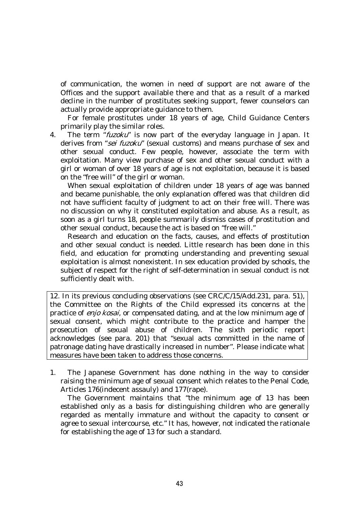of communication, the women in need of support are not aware of the Offices and the support available there and that as a result of a marked decline in the number of prostitutes seeking support, fewer counselors can actually provide appropriate guidance to them.

 For female prostitutes under 18 years of age, Child Guidance Centers primarily play the similar roles.

4. The term "*fuzoku*" is now part of the everyday language in Japan. It derives from "sei fuzoku" (sexual customs) and means purchase of sex and other sexual conduct. Few people, however, associate the term with exploitation. Many view purchase of sex and other sexual conduct with a girl or woman of over 18 years of age is not exploitation, because it is based on the "free will" of the girl or woman.

 When sexual exploitation of children under 18 years of age was banned and became punishable, the only explanation offered was that children did not have sufficient faculty of judgment to act on their free will. There was no discussion on why it constituted exploitation and abuse. As a result, as soon as a girl turns 18, people summarily dismiss cases of prostitution and other sexual conduct, because the act is based on "free will."

 Research and education on the facts, causes, and effects of prostitution and other sexual conduct is needed. Little research has been done in this field, and education for promoting understanding and preventing sexual exploitation is almost nonexistent. In sex education provided by schools, the subject of respect for the right of self-determination in sexual conduct is not sufficiently dealt with.

12. In its previous concluding observations (see CRC/C/15/Add.231, para. 51), the Committee on the Rights of the Child expressed its concerns at the practice of enjo kosai, or compensated dating, and at the low minimum age of sexual consent, which might contribute to the practice and hamper the prosecution of sexual abuse of children. The sixth periodic report acknowledges (see para. 201) that "sexual acts committed in the name of patronage dating have drastically increased in number". Please indicate what measures have been taken to address those concerns.

1. The Japanese Government has done nothing in the way to consider raising the minimum age of sexual consent which relates to the Penal Code, Articles 176(indecent assauly) and 177(rape).

 The Government maintains that "the minimum age of 13 has been established only as a basis for distinguishing children who are generally regarded as mentally immature and without the capacity to consent or agree to sexual intercourse, etc." It has, however, not indicated the rationale for establishing the age of 13 for such a standard.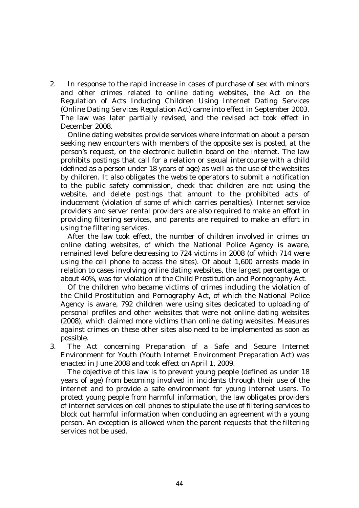2. In response to the rapid increase in cases of purchase of sex with minors and other crimes related to online dating websites, the Act on the Regulation of Acts Inducing Children Using Internet Dating Services (Online Dating Services Regulation Act) came into effect in September 2003. The law was later partially revised, and the revised act took effect in December 2008.

 Online dating websites provide services where information about a person seeking new encounters with members of the opposite sex is posted, at the person's request, on the electronic bulletin board on the internet. The law prohibits postings that call for a relation or sexual intercourse with a child (defined as a person under 18 years of age) as well as the use of the websites by children. It also obligates the website operators to submit a notification to the public safety commission, check that children are not using the website, and delete postings that amount to the prohibited acts of inducement (violation of some of which carries penalties). Internet service providers and server rental providers are also required to make an effort in providing filtering services, and parents are required to make an effort in using the filtering services.

 After the law took effect, the number of children involved in crimes on online dating websites, of which the National Police Agency is aware, remained level before decreasing to 724 victims in 2008 (of which 714 were using the cell phone to access the sites). Of about 1,600 arrests made in relation to cases involving online dating websites, the largest percentage, or about 40%, was for violation of the Child Prostitution and Pornography Act.

 Of the children who became victims of crimes including the violation of the Child Prostitution and Pornography Act, of which the National Police Agency is aware, 792 children were using sites dedicated to uploading of personal profiles and other websites that were not online dating websites (2008), which claimed more victims than online dating websites. Measures against crimes on these other sites also need to be implemented as soon as possible.

3. The Act concerning Preparation of a Safe and Secure Internet Environment for Youth (Youth Internet Environment Preparation Act) was enacted in June 2008 and took effect on April 1, 2009.

 The objective of this law is to prevent young people (defined as under 18 years of age) from becoming involved in incidents through their use of the internet and to provide a safe environment for young internet users. To protect young people from harmful information, the law obligates providers of internet services on cell phones to stipulate the use of filtering services to block out harmful information when concluding an agreement with a young person. An exception is allowed when the parent requests that the filtering services not be used.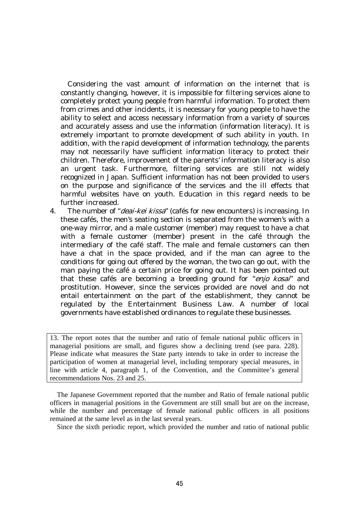Considering the vast amount of information on the internet that is constantly changing, however, it is impossible for filtering services alone to completely protect young people from harmful information. To protect them from crimes and other incidents, it is necessary for young people to have the ability to select and access necessary information from a variety of sources and accurately assess and use the information (information literacy). It is extremely important to promote development of such ability in youth. In addition, with the rapid development of information technology, the parents may not necessarily have sufficient information literacy to protect their children. Therefore, improvement of the parents' information literacy is also an urgent task. Furthermore, filtering services are still not widely recognized in Japan. Sufficient information has not been provided to users on the purpose and significance of the services and the ill effects that harmful websites have on youth. Education in this regard needs to be further increased.

4. The number of "*deai-kei kissa*" (cafés for new encounters) is increasing. In these cafés, the men's seating section is separated from the women's with a one-way mirror, and a male customer (member) may request to have a chat with a female customer (member) present in the café through the intermediary of the café staff. The male and female customers can then have a chat in the space provided, and if the man can agree to the conditions for going out offered by the woman, the two can go out, with the man paying the café a certain price for going out. It has been pointed out that these cafés are becoming a breeding ground for "enjo kosai" and prostitution. However, since the services provided are novel and do not entail entertainment on the part of the establishment, they cannot be regulated by the Entertainment Business Law. A number of local governments have established ordinances to regulate these businesses.

13. The report notes that the number and ratio of female national public officers in managerial positions are small, and figures show a declining trend (see para. 228). Please indicate what measures the State party intends to take in order to increase the participation of women at managerial level, including temporary special measures, in line with article 4, paragraph 1, of the Convention, and the Committee's general recommendations Nos. 23 and 25.

 The Japanese Government reported that the number and Ratio of female national public officers in managerial positions in the Government are still small but are on the increase, while the number and percentage of female national public officers in all positions remained at the same level as in the last several years.

Since the sixth periodic report, which provided the number and ratio of national public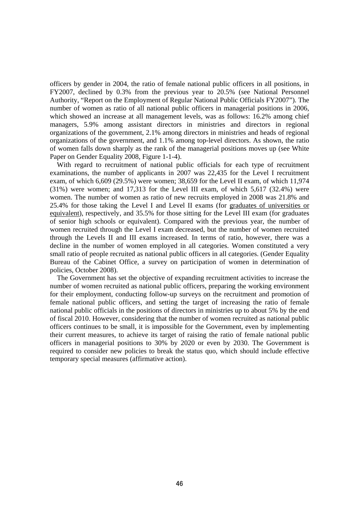officers by gender in 2004, the ratio of female national public officers in all positions, in FY2007, declined by 0.3% from the previous year to 20.5% (see National Personnel Authority, "Report on the Employment of Regular National Public Officials FY2007"). The number of women as ratio of all national public officers in managerial positions in 2006, which showed an increase at all management levels, was as follows: 16.2% among chief managers, 5.9% among assistant directors in ministries and directors in regional organizations of the government, 2.1% among directors in ministries and heads of regional organizations of the government, and 1.1% among top-level directors. As shown, the ratio of women falls down sharply as the rank of the managerial positions moves up (see White Paper on Gender Equality 2008, Figure 1-1-4).

 With regard to recruitment of national public officials for each type of recruitment examinations, the number of applicants in 2007 was 22,435 for the Level I recruitment exam, of which 6,609 (29.5%) were women; 38,659 for the Level II exam, of which 11,974 (31%) were women; and 17,313 for the Level III exam, of which 5,617 (32.4%) were women. The number of women as ratio of new recruits employed in 2008 was 21.8% and 25.4% for those taking the Level I and Level II exams (for graduates of universities or equivalent), respectively, and 35.5% for those sitting for the Level III exam (for graduates of senior high schools or equivalent). Compared with the previous year, the number of women recruited through the Level I exam decreased, but the number of women recruited through the Levels II and III exams increased. In terms of ratio, however, there was a decline in the number of women employed in all categories. Women constituted a very small ratio of people recruited as national public officers in all categories. (Gender Equality Bureau of the Cabinet Office, a survey on participation of women in determination of policies, October 2008).

 The Government has set the objective of expanding recruitment activities to increase the number of women recruited as national public officers, preparing the working environment for their employment, conducting follow-up surveys on the recruitment and promotion of female national public officers, and setting the target of increasing the ratio of female national public officials in the positions of directors in ministries up to about 5% by the end of fiscal 2010. However, considering that the number of women recruited as national public officers continues to be small, it is impossible for the Government, even by implementing their current measures, to achieve its target of raising the ratio of female national public officers in managerial positions to 30% by 2020 or even by 2030. The Government is required to consider new policies to break the status quo, which should include effective temporary special measures (affirmative action).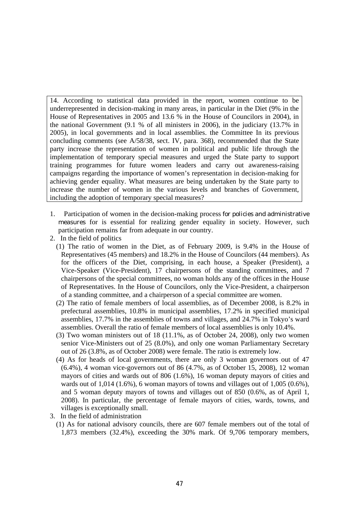14. According to statistical data provided in the report, women continue to be underrepresented in decision-making in many areas, in particular in the Diet (9% in the House of Representatives in 2005 and 13.6 % in the House of Councilors in 2004), in the national Government (9.1 % of all ministers in 2006), in the judiciary (13.7% in 2005), in local governments and in local assemblies. the Committee In its previous concluding comments (see A/58/38, sect. IV, para. 368), recommended that the State party increase the representation of women in political and public life through the implementation of temporary special measures and urged the State party to support training programmes for future women leaders and carry out awareness-raising campaigns regarding the importance of women's representation in decision-making for achieving gender equality. What measures are being undertaken by the State party to increase the number of women in the various levels and branches of Government, including the adoption of temporary special measures?

- 1. Participation of women in the decision-making process for policies and administrative measures for is essential for realizing gender equality in society. However, such participation remains far from adequate in our country.
- 2. In the field of politics
	- (1) The ratio of women in the Diet, as of February 2009, is 9.4% in the House of Representatives (45 members) and 18.2% in the House of Councilors (44 members). As for the officers of the Diet, comprising, in each house, a Speaker (President), a Vice-Speaker (Vice-President), 17 chairpersons of the standing committees, and 7 chairpersons of the special committees, no woman holds any of the offices in the House of Representatives. In the House of Councilors, only the Vice-President, a chairperson of a standing committee, and a chairperson of a special committee are women.
	- (2) The ratio of female members of local assemblies, as of December 2008, is 8.2% in prefectural assemblies, 10.8% in municipal assemblies, 17.2% in specified municipal assemblies, 17.7% in the assemblies of towns and villages, and 24.7% in Tokyo's ward assemblies. Overall the ratio of female members of local assemblies is only 10.4%.
	- (3) Two woman ministers out of 18 (11.1%, as of October 24, 2008), only two women senior Vice-Ministers out of 25 (8.0%), and only one woman Parliamentary Secretary out of 26 (3.8%, as of October 2008) were female. The ratio is extremely low.
	- (4) As for heads of local governments, there are only 3 woman governors out of 47 (6.4%), 4 woman vice-governors out of 86 (4.7%, as of October 15, 2008), 12 woman mayors of cities and wards out of 806 (1.6%), 16 woman deputy mayors of cities and wards out of 1,014 (1.6%), 6 woman mayors of towns and villages out of 1,005 (0.6%), and 5 woman deputy mayors of towns and villages out of 850 (0.6%, as of April 1, 2008). In particular, the percentage of female mayors of cities, wards, towns, and villages is exceptionally small.
- 3. In the field of administration
	- (1) As for national advisory councils, there are 607 female members out of the total of 1,873 members (32.4%), exceeding the 30% mark. Of 9,706 temporary members,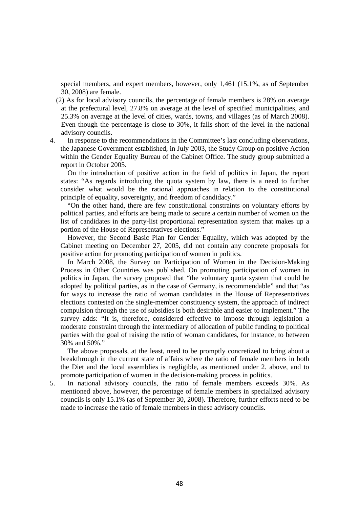special members, and expert members, however, only 1,461 (15.1%, as of September 30, 2008) are female.

- (2) As for local advisory councils, the percentage of female members is 28% on average at the prefectural level, 27.8% on average at the level of specified municipalities, and 25.3% on average at the level of cities, wards, towns, and villages (as of March 2008). Even though the percentage is close to 30%, it falls short of the level in the national advisory councils.
- 4. In response to the recommendations in the Committee's last concluding observations, the Japanese Government established, in July 2003, the Study Group on positive Action within the Gender Equality Bureau of the Cabinet Office. The study group submitted a report in October 2005.

 On the introduction of positive action in the field of politics in Japan, the report states: "As regards introducing the quota system by law, there is a need to further consider what would be the rational approaches in relation to the constitutional principle of equality, sovereignty, and freedom of candidacy."

 "On the other hand, there are few constitutional constraints on voluntary efforts by political parties, and efforts are being made to secure a certain number of women on the list of candidates in the party-list proportional representation system that makes up a portion of the House of Representatives elections."

 However, the Second Basic Plan for Gender Equality, which was adopted by the Cabinet meeting on December 27, 2005, did not contain any concrete proposals for positive action for promoting participation of women in politics.

 In March 2008, the Survey on Participation of Women in the Decision-Making Process in Other Countries was published. On promoting participation of women in politics in Japan, the survey proposed that "the voluntary quota system that could be adopted by political parties, as in the case of Germany, is recommendable" and that "as for ways to increase the ratio of woman candidates in the House of Representatives elections contested on the single-member constituency system, the approach of indirect compulsion through the use of subsidies is both desirable and easier to implement." The survey adds: "It is, therefore, considered effective to impose through legislation a moderate constraint through the intermediary of allocation of public funding to political parties with the goal of raising the ratio of woman candidates, for instance, to between 30% and 50%."

 The above proposals, at the least, need to be promptly concretized to bring about a breakthrough in the current state of affairs where the ratio of female members in both the Diet and the local assemblies is negligible, as mentioned under 2. above, and to promote participation of women in the decision-making process in politics.

5. In national advisory councils, the ratio of female members exceeds 30%. As mentioned above, however, the percentage of female members in specialized advisory councils is only 15.1% (as of September 30, 2008). Therefore, further efforts need to be made to increase the ratio of female members in these advisory councils.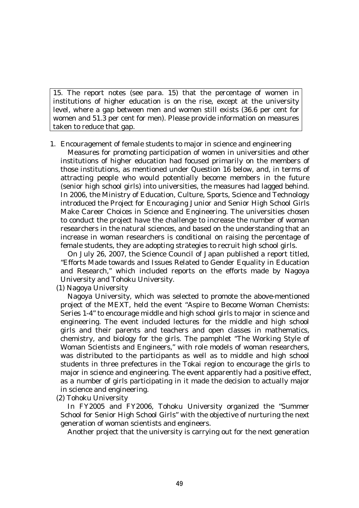15. The report notes (see para. 15) that the percentage of women in institutions of higher education is on the rise, except at the university level, where a gap between men and women still exists (36.6 per cent for women and 51.3 per cent for men). Please provide information on measures taken to reduce that gap.

1. Encouragement of female students to major in science and engineering

 Measures for promoting participation of women in universities and other institutions of higher education had focused primarily on the members of those institutions, as mentioned under Question 16 below, and, in terms of attracting people who would potentially become members in the future (senior high school girls) into universities, the measures had lagged behind. In 2006, the Ministry of Education, Culture, Sports, Science and Technology introduced the Project for Encouraging Junior and Senior High School Girls Make Career Choices in Science and Engineering. The universities chosen to conduct the project have the challenge to increase the number of woman researchers in the natural sciences, and based on the understanding that an increase in woman researchers is conditional on raising the percentage of female students, they are adopting strategies to recruit high school girls.

 On July 26, 2007, the Science Council of Japan published a report titled, "Efforts Made towards and Issues Related to Gender Equality in Education and Research," which included reports on the efforts made by Nagoya University and Tohoku University.

(1) Nagoya University

 Nagoya University, which was selected to promote the above-mentioned project of the MEXT, held the event "Aspire to Become Woman Chemists: Series 1-4" to encourage middle and high school girls to major in science and engineering. The event included lectures for the middle and high school girls and their parents and teachers and open classes in mathematics, chemistry, and biology for the girls. The pamphlet "The Working Style of Woman Scientists and Engineers," with role models of woman researchers, was distributed to the participants as well as to middle and high school students in three prefectures in the Tokai region to encourage the girls to major in science and engineering. The event apparently had a positive effect, as a number of girls participating in it made the decision to actually major in science and engineering.

(2) Tohoku University

 In FY2005 and FY2006, Tohoku University organized the "Summer School for Senior High School Girls" with the objective of nurturing the next generation of woman scientists and engineers.

Another project that the university is carrying out for the next generation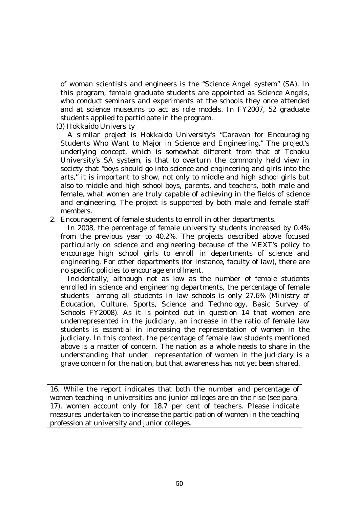of woman scientists and engineers is the "Science Angel system" (SA). In this program, female graduate students are appointed as Science Angels, who conduct seminars and experiments at the schools they once attended and at science museums to act as role models. In FY2007, 52 graduate students applied to participate in the program.

(3) Hokkaido University

 A similar project is Hokkaido University's "Caravan for Encouraging Students Who Want to Major in Science and Engineering." The project's underlying concept, which is somewhat different from that of Tohoku University's SA system, is that to overturn the commonly held view in society that "boys should go into science and engineering and girls into the arts," it is important to show, not only to middle and high school girls but also to middle and high school boys, parents, and teachers, both male and female, what women are truly capable of achieving in the fields of science and engineering. The project is supported by both male and female staff members.

2. Encouragement of female students to enroll in other departments.

 In 2008, the percentage of female university students increased by 0.4% from the previous year to 40.2%. The projects described above focused particularly on science and engineering because of the MEXT's policy to encourage high school girls to enroll in departments of science and engineering. For other departments (for instance, faculty of law), there are no specific policies to encourage enrollment.

 Incidentally, although not as low as the number of female students enrolled in science and engineering departments, the percentage of female students among all students in law schools is only 27.6% (Ministry of Education, Culture, Sports, Science and Technology, Basic Survey of Schools FY2008). As it is pointed out in question 14 that women are underrepresented in the judiciary, an increase in the ratio of female law students is essential in increasing the representation of women in the judiciary. In this context, the percentage of female law students mentioned above is a matter of concern. The nation as a whole needs to share in the understanding that under representation of women in the judiciary is a grave concern for the nation, but that awareness has not yet been shared.

16. While the report indicates that both the number and percentage of women teaching in universities and junior colleges are on the rise (see para. 17), women account only for 18.7 per cent of teachers. Please indicate measures undertaken to increase the participation of women in the teaching profession at university and junior colleges.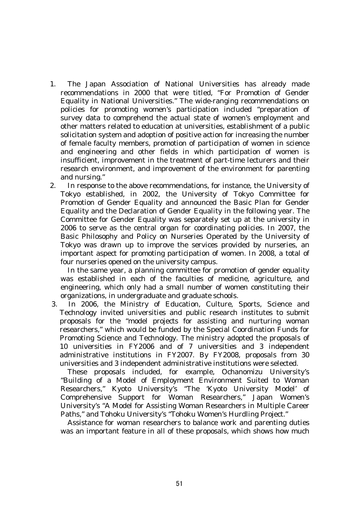- 1. The Japan Association of National Universities has already made recommendations in 2000 that were titled, "For Promotion of Gender Equality in National Universities." The wide-ranging recommendations on policies for promoting women's participation included "preparation of survey data to comprehend the actual state of women's employment and other matters related to education at universities, establishment of a public solicitation system and adoption of positive action for increasing the number of female faculty members, promotion of participation of women in science and engineering and other fields in which participation of women is insufficient, improvement in the treatment of part-time lecturers and their research environment, and improvement of the environment for parenting and nursing."
- 2. In response to the above recommendations, for instance, the University of Tokyo established, in 2002, the University of Tokyo Committee for Promotion of Gender Equality and announced the Basic Plan for Gender Equality and the Declaration of Gender Equality in the following year. The Committee for Gender Equality was separately set up at the university in 2006 to serve as the central organ for coordinating policies. In 2007, the Basic Philosophy and Policy on Nurseries Operated by the University of Tokyo was drawn up to improve the services provided by nurseries, an important aspect for promoting participation of women. In 2008, a total of four nurseries opened on the university campus.

 In the same year, a planning committee for promotion of gender equality was established in each of the faculties of medicine, agriculture, and engineering, which only had a small number of women constituting their organizations, in undergraduate and graduate schools.

3. In 2006, the Ministry of Education, Culture, Sports, Science and Technology invited universities and public research institutes to submit proposals for the "model projects for assisting and nurturing woman researchers," which would be funded by the Special Coordination Funds for Promoting Science and Technology. The ministry adopted the proposals of 10 universities in FY2006 and of 7 universities and 3 independent administrative institutions in FY2007. By FY2008, proposals from 30 universities and 3 independent administrative institutions were selected.

 These proposals included, for example, Ochanomizu University's "Building of a Model of Employment Environment Suited to Woman Researchers," Kyoto University's "The 'Kyoto University Model' of Comprehensive Support for Woman Researchers," Japan Women's University's "A Model for Assisting Woman Researchers in Multiple Career Paths," and Tohoku University's "Tohoku Women's Hurdling Project."

 Assistance for woman researchers to balance work and parenting duties was an important feature in all of these proposals, which shows how much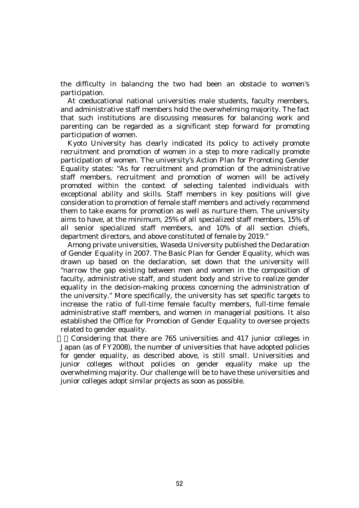the difficulty in balancing the two had been an obstacle to women's participation.

 At coeducational national universities male students, faculty members, and administrative staff members hold the overwhelming majority. The fact that such institutions are discussing measures for balancing work and parenting can be regarded as a significant step forward for promoting participation of women.

 Kyoto University has clearly indicated its policy to actively promote recruitment and promotion of women in a step to more radically promote participation of women. The university's Action Plan for Promoting Gender Equality states: "As for recruitment and promotion of the administrative staff members, recruitment and promotion of women will be actively promoted within the context of selecting talented individuals with exceptional ability and skills. Staff members in key positions will give consideration to promotion of female staff members and actively recommend them to take exams for promotion as well as nurture them. The university aims to have, at the minimum, 25% of all specialized staff members, 15% of all senior specialized staff members, and 10% of all section chiefs, department directors, and above constituted of female by 2019."

 Among private universities, Waseda University published the Declaration of Gender Equality in 2007. The Basic Plan for Gender Equality, which was drawn up based on the declaration, set down that the university will "narrow the gap existing between men and women in the composition of faculty, administrative staff, and student body and strive to realize gender equality in the decision-making process concerning the administration of the university." More specifically, the university has set specific targets to increase the ratio of full-time female faculty members, full-time female administrative staff members, and women in managerial positions. It also established the Office for Promotion of Gender Equality to oversee projects related to gender equality.

4.Considering that there are 765 universities and 417 junior colleges in Japan (as of FY2008), the number of universities that have adopted policies for gender equality, as described above, is still small. Universities and junior colleges without policies on gender equality make up the overwhelming majority. Our challenge will be to have these universities and junior colleges adopt similar projects as soon as possible.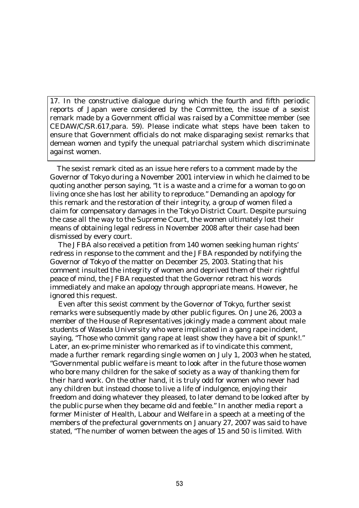17. In the constructive dialogue during which the fourth and fifth periodic reports of Japan were considered by the Committee, the issue of a sexist remark made by a Government official was raised by a Committee member (see CEDAW/C/SR.617,para. 59). Please indicate what steps have been taken to ensure that Government officials do not make disparaging sexist remarks that demean women and typify the unequal patriarchal system which discriminate against women.

The sexist remark cited as an issue here refers to a comment made by the Governor of Tokyo during a November 2001 interview in which he claimed to be quoting another person saying, "It is a waste and a crime for a woman to go on living once she has lost her ability to reproduce." Demanding an apology for this remark and the restoration of their integrity, a group of women filed a claim for compensatory damages in the Tokyo District Court. Despite pursuing the case all the way to the Supreme Court, the women ultimately lost their means of obtaining legal redress in November 2008 after their case had been dismissed by every court.

The JFBA also received a petition from 140 women seeking human rights' redress in response to the comment and the JFBA responded by notifying the Governor of Tokyo of the matter on December 25, 2003. Stating that his comment insulted the integrity of women and deprived them of their rightful peace of mind, the JFBA requested that the Governor retract his words immediately and make an apology through appropriate means. However, he ignored this request.

Even after this sexist comment by the Governor of Tokyo, further sexist remarks were subsequently made by other public figures. On June 26, 2003 a member of the House of Representatives jokingly made a comment about male students of Waseda University who were implicated in a gang rape incident, saying, "Those who commit gang rape at least show they have a bit of spunk!." Later, an ex-prime minister who remarked as if to vindicate this comment, made a further remark regarding single women on July 1, 2003 when he stated, "Governmental public welfare is meant to look after in the future those women who bore many children for the sake of society as a way of thanking them for their hard work. On the other hand, it is truly odd for women who never had any children but instead choose to live a life of indulgence, enjoying their freedom and doing whatever they pleased, to later demand to be looked after by the public purse when they became old and feeble." In another media report a former Minister of Health, Labour and Welfare in a speech at a meeting of the members of the prefectural governments on January 27, 2007 was said to have stated, "The number of women between the ages of 15 and 50 is limited. With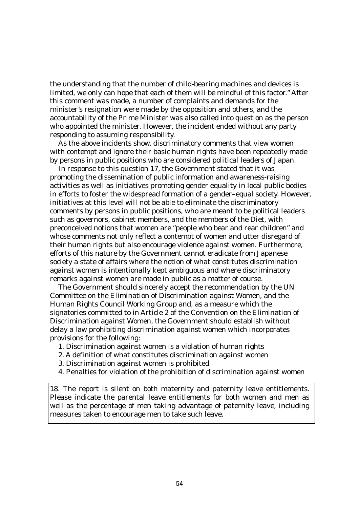the understanding that the number of child-bearing machines and devices is limited, we only can hope that each of them will be mindful of this factor." After this comment was made, a number of complaints and demands for the minister's resignation were made by the opposition and others, and the accountability of the Prime Minister was also called into question as the person who appointed the minister. However, the incident ended without any party responding to assuming responsibility.

As the above incidents show, discriminatory comments that view women with contempt and ignore their basic human rights have been repeatedly made by persons in public positions who are considered political leaders of Japan.

In response to this question 17, the Government stated that it was promoting the dissemination of public information and awareness-raising activities as well as initiatives promoting gender equality in local public bodies in efforts to foster the widespread formation of a gender–equal society. However, initiatives at this level will not be able to eliminate the discriminatory comments by persons in public positions, who are meant to be political leaders such as governors, cabinet members, and the members of the Diet, with preconceived notions that women are "people who bear and rear children" and whose comments not only reflect a contempt of women and utter disregard of their human rights but also encourage violence against women. Furthermore, efforts of this nature by the Government cannot eradicate from Japanese society a state of affairs where the notion of what constitutes discrimination against women is intentionally kept ambiguous and where discriminatory remarks against women are made in public as a matter of course.

The Government should sincerely accept the recommendation by the UN Committee on the Elimination of Discrimination against Women, and the Human Rights Council Working Group and, as a measure which the signatories committed to in Article 2 of the Convention on the Elimination of Discrimination against Women, the Government should establish without delay a law prohibiting discrimination against women which incorporates provisions for the following:

- 1. Discrimination against women is a violation of human rights
- 2. A definition of what constitutes discrimination against women
- 3. Discrimination against women is prohibited

 $\overline{a}$ 

4. Penalties for violation of the prohibition of discrimination against women

18. The report is silent on both maternity and paternity leave entitlements. Please indicate the parental leave entitlements for both women and men as well as the percentage of men taking advantage of paternity leave, including measures taken to encourage men to take such leave.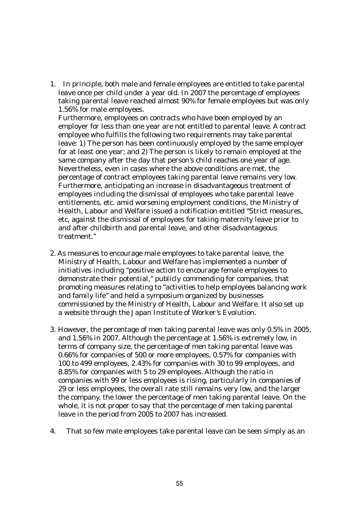1. In principle, both male and female employees are entitled to take parental leave once per child under a year old. In 2007 the percentage of employees taking parental leave reached almost 90% for female employees but was only 1.56% for male employees.

 Furthermore, employees on contracts who have been employed by an employer for less than one year are not entitled to parental leave. A contract employee who fulfills the following two requirements may take parental leave: 1) The person has been continuously employed by the same employer for at least one year; and 2) The person is likely to remain employed at the same company after the day that person's child reaches one year of age. Nevertheless, even in cases where the above conditions are met, the percentage of contract employees taking parental leave remains very low. Furthermore, anticipating an increase in disadvantageous treatment of employees including the dismissal of employees who take parental leave entitlements, etc. amid worsening employment conditions, the Ministry of Health, Labour and Welfare issued a notification entitled "Strict measures, etc, against the dismissal of employees for taking maternity leave prior to and after childbirth and parental leave, and other disadvantageous treatment."

- 2. As measures to encourage male employees to take parental leave, the Ministry of Health, Labour and Welfare has implemented a number of initiatives including "positive action to encourage female employees to demonstrate their potential," publicly commending for companies, that promoting measures relating to "activities to help employees balancing work and family life" and held a symposium organized by businesses commissioned by the Ministry of Health, Labour and Welfare. It also set up a website through the Japan Institute of Worker's Evolution.
- 3. However, the percentage of men taking parental leave was only 0.5% in 2005, and 1.56% in 2007. Although the percentage at 1.56% is extremely low, in terms of company size, the percentage of men taking parental leave was 0.66% for companies of 500 or more employees, 0.57% for companies with 100 to 499 employees, 2.43% for companies with 30 to 99 employees, and 8.85% for companies with 5 to 29 employees. Although the ratio in companies with 99 or less employees is rising, particularly in companies of 29 or less employees, the overall rate still remains very low, and the larger the company, the lower the percentage of men taking parental leave. On the whole, it is not proper to say that the percentage of men taking parental leave in the period from 2005 to 2007 has increased.
- 4. That so few male employees take parental leave can be seen simply as an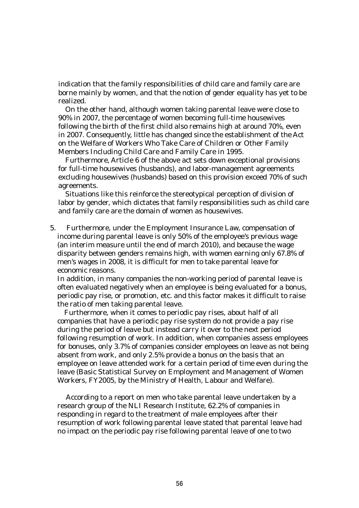indication that the family responsibilities of child care and family care are borne mainly by women, and that the notion of gender equality has yet to be realized.

 On the other hand, although women taking parental leave were close to 90% in 2007, the percentage of women becoming full-time housewives following the birth of the first child also remains high at around 70%, even in 2007. Consequently, little has changed since the establishment of the Act on the Welfare of Workers Who Take Care of Children or Other Family Members Including Child Care and Family Care in 1995.

 Furthermore, Article 6 of the above act sets down exceptional provisions for full-time housewives (husbands), and labor-management agreements excluding housewives (husbands) based on this provision exceed 70% of such agreements.

 Situations like this reinforce the stereotypical perception of division of labor by gender, which dictates that family responsibilities such as child care and family care are the domain of women as housewives.

5. Furthermore, under the Employment Insurance Law, compensation of income during parental leave is only 50% of the employee's previous wage (an interim measure until the end of march 2010), and because the wage disparity between genders remains high, with women earning only 67.8% of men's wages in 2008, it is difficult for men to take parental leave for economic reasons.

 In addition, in many companies the non-working period of parental leave is often evaluated negatively when an employee is being evaluated for a bonus, periodic pay rise, or promotion, etc. and this factor makes it difficult to raise the ratio of men taking parental leave.

Furthermore, when it comes to periodic pay rises, about half of all companies that have a periodic pay rise system do not provide a pay rise during the period of leave but instead carry it over to the next period following resumption of work. In addition, when companies assess employees for bonuses, only 3.7% of companies consider employees on leave as not being absent from work, and only 2.5% provide a bonus on the basis that an employee on leave attended work for a certain period of time even during the leave (Basic Statistical Survey on Employment and Management of Women Workers, FY2005, by the Ministry of Health, Labour and Welfare).

According to a report on men who take parental leave undertaken by a research group of the NLI Research Institute, 62.2% of companies in responding in regard to the treatment of male employees after their resumption of work following parental leave stated that parental leave had no impact on the periodic pay rise following parental leave of one to two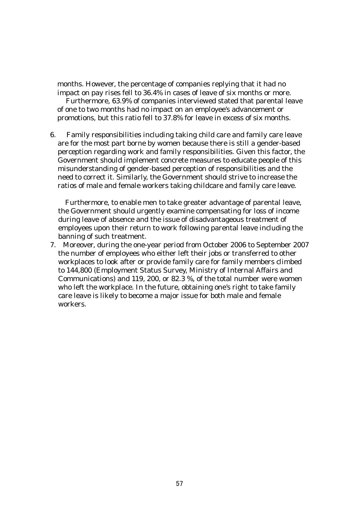months. However, the percentage of companies replying that it had no impact on pay rises fell to 36.4% in cases of leave of six months or more.

Furthermore, 63.9% of companies interviewed stated that parental leave of one to two months had no impact on an employee's advancement or promotions, but this ratio fell to 37.8% for leave in excess of six months.

6. Family responsibilities including taking child care and family care leave are for the most part borne by women because there is still a gender-based perception regarding work and family responsibilities. Given this factor, the Government should implement concrete measures to educate people of this misunderstanding of gender-based perception of responsibilities and the need to correct it. Similarly, the Government should strive to increase the ratios of male and female workers taking childcare and family care leave.

Furthermore, to enable men to take greater advantage of parental leave, the Government should urgently examine compensating for loss of income during leave of absence and the issue of disadvantageous treatment of employees upon their return to work following parental leave including the banning of such treatment.

7. Moreover, during the one-year period from October 2006 to September 2007 the number of employees who either left their jobs or transferred to other workplaces to look after or provide family care for family members climbed to 144,800 (Employment Status Survey, Ministry of Internal Affairs and Communications) and 119, 200, or 82.3 %, of the total number were women who left the workplace. In the future, obtaining one's right to take family care leave is likely to become a major issue for both male and female workers.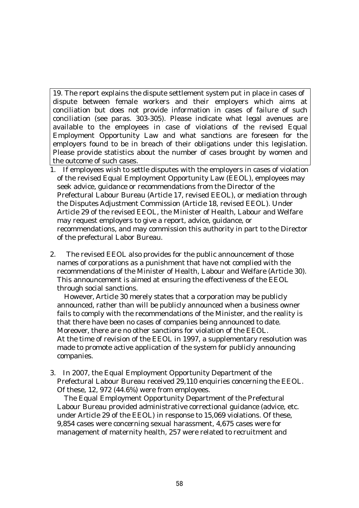19. The report explains the dispute settlement system put in place in cases of dispute between female workers and their employers which aims at conciliation but does not provide information in cases of failure of such conciliation (see paras. 303-305). Please indicate what legal avenues are available to the employees in case of violations of the revised Equal Employment Opportunity Law and what sanctions are foreseen for the employers found to be in breach of their obligations under this legislation. Please provide statistics about the number of cases brought by women and the outcome of such cases.

- 1. If employees wish to settle disputes with the employers in cases of violation of the revised Equal Employment Opportunity Law (EEOL), employees may seek advice, guidance or recommendations from the Director of the Prefectural Labour Bureau (Article 17, revised EEOL), or mediation through the Disputes Adjustment Commission (Article 18, revised EEOL). Under Article 29 of the revised EEOL, the Minister of Health, Labour and Welfare may request employers to give a report, advice, guidance, or recommendations, and may commission this authority in part to the Director of the prefectural Labor Bureau.
- 2. The revised EEOL also provides for the public announcement of those names of corporations as a punishment that have not complied with the recommendations of the Minister of Health, Labour and Welfare (Article 30). This announcement is aimed at ensuring the effectiveness of the EEOL through social sanctions.

However, Article 30 merely states that a corporation may be publicly announced, rather than will be publicly announced when a business owner fails to comply with the recommendations of the Minister, and the reality is that there have been no cases of companies being announced to date. Moreover, there are no other sanctions for violation of the EEOL. At the time of revision of the EEOL in 1997, a supplementary resolution was made to promote active application of the system for publicly announcing companies.

3. In 2007, the Equal Employment Opportunity Department of the Prefectural Labour Bureau received 29,110 enquiries concerning the EEOL. Of these, 12, 972 (44.6%) were from employees.

 The Equal Employment Opportunity Department of the Prefectural Labour Bureau provided administrative correctional guidance (advice, etc. under Article 29 of the EEOL) in response to 15,069 violations. Of these, 9,854 cases were concerning sexual harassment, 4,675 cases were for management of maternity health, 257 were related to recruitment and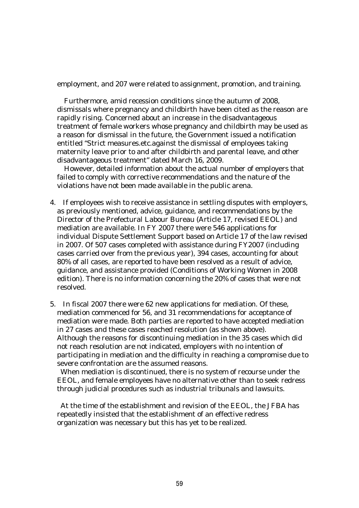employment, and 207 were related to assignment, promotion, and training.

 Furthermore, amid recession conditions since the autumn of 2008, dismissals where pregnancy and childbirth have been cited as the reason are rapidly rising. Concerned about an increase in the disadvantageous treatment of female workers whose pregnancy and childbirth may be used as a reason for dismissal in the future, the Government issued a notification entitled "Strict measures.etc.against the dismissal of employees taking maternity leave prior to and after childbirth and parental leave, and other disadvantageous treatment" dated March 16, 2009.

 However, detailed information about the actual number of employers that failed to comply with corrective recommendations and the nature of the violations have not been made available in the public arena.

- 4. If employees wish to receive assistance in settling disputes with employers, as previously mentioned, advice, guidance, and recommendations by the Director of the Prefectural Labour Bureau (Article 17, revised EEOL) and mediation are available. In FY 2007 there were 546 applications for individual Dispute Settlement Support based on Article 17 of the law revised in 2007. Of 507 cases completed with assistance during FY2007 (including cases carried over from the previous year), 394 cases, accounting for about 80% of all cases, are reported to have been resolved as a result of advice, guidance, and assistance provided (Conditions of Working Women in 2008 edition). There is no information concerning the 20% of cases that were not resolved.
- 5. In fiscal 2007 there were 62 new applications for mediation. Of these, mediation commenced for 56, and 31 recommendations for acceptance of mediation were made. Both parties are reported to have accepted mediation in 27 cases and these cases reached resolution (as shown above). Although the reasons for discontinuing mediation in the 35 cases which did not reach resolution are not indicated, employers with no intention of participating in mediation and the difficulty in reaching a compromise due to severe confrontation are the assumed reasons.

 When mediation is discontinued, there is no system of recourse under the EEOL, and female employees have no alternative other than to seek redress through judicial procedures such as industrial tribunals and lawsuits.

 At the time of the establishment and revision of the EEOL, the JFBA has repeatedly insisted that the establishment of an effective redress organization was necessary but this has yet to be realized.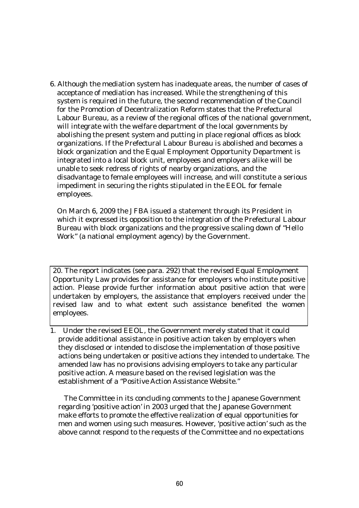6. Although the mediation system has inadequate areas, the number of cases of acceptance of mediation has increased. While the strengthening of this system is required in the future, the second recommendation of the Council for the Promotion of Decentralization Reform states that the Prefectural Labour Bureau, as a review of the regional offices of the national government, will integrate with the welfare department of the local governments by abolishing the present system and putting in place regional offices as block organizations. If the Prefectural Labour Bureau is abolished and becomes a block organization and the Equal Employment Opportunity Department is integrated into a local block unit, employees and employers alike will be unable to seek redress of rights of nearby organizations, and the disadvantage to female employees will increase, and will constitute a serious impediment in securing the rights stipulated in the EEOL for female employees.

 On March 6, 2009 the JFBA issued a statement through its President in which it expressed its opposition to the integration of the Prefectural Labour Bureau with block organizations and the progressive scaling down of "Hello Work" (a national employment agency) by the Government.

20. The report indicates (see para. 292) that the revised Equal Employment Opportunity Law provides for assistance for employers who institute positive action. Please provide further information about positive action that were undertaken by employers, the assistance that employers received under the revised law and to what extent such assistance benefited the women employees.

1. Under the revised EEOL, the Government merely stated that it could provide additional assistance in positive action taken by employers when they disclosed or intended to disclose the implementation of those positive actions being undertaken or positive actions they intended to undertake. The amended law has no provisions advising employers to take any particular positive action. A measure based on the revised legislation was the establishment of a "Positive Action Assistance Website."

 The Committee in its concluding comments to the Japanese Government regarding 'positive action' in 2003 urged that the Japanese Government make efforts to promote the effective realization of equal opportunities for men and women using such measures. However, 'positive action' such as the above cannot respond to the requests of the Committee and no expectations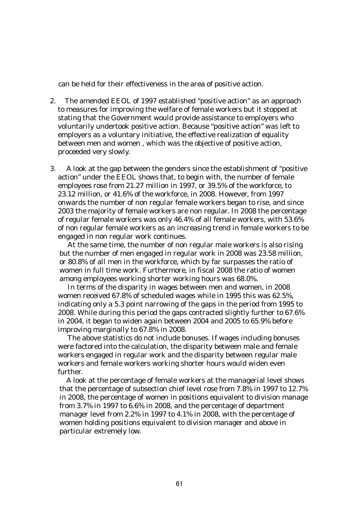can be held for their effectiveness in the area of positive action.

- 2. The amended EEOL of 1997 established "positive action" as an approach to measures for improving the welfare of female workers but it stopped at stating that the Government would provide assistance to employers who voluntarily undertook positive action. Because "positive action" was left to employers as a voluntary initiative, the effective realization of equality between men and women , which was the objective of positive action, proceeded very slowly.
- 3. A look at the gap between the genders since the establishment of "positive action" under the EEOL shows that, to begin with, the number of female employees rose from 21.27 million in 1997, or 39.5% of the workforce, to 23.12 million, or 41.6% of the workforce, in 2008. However, from 1997 onwards the number of non regular female workers began to rise, and since 2003 the majority of female workers are non regular. In 2008 the percentage of regular female workers was only 46.4% of all female workers, with 53.6% of non regular female workers as an increasing trend in female workers to be engaged in non regular work continues.

 At the same time, the number of non regular male workers is also rising but the number of men engaged in regular work in 2008 was 23.58 million, or 80.8% of all men in the workforce, which by far surpasses the ratio of women in full time work. Furthermore, in fiscal 2008 the ratio of women among employees working shorter working hours was 68.0%.

 In terms of the disparity in wages between men and women, in 2008 women received 67.8% of scheduled wages while in 1995 this was 62.5%, indicating only a 5.3 point narrowing of the gaps in the period from 1995 to 2008. While during this period the gaps contracted slightly further to 67.6% in 2004, it began to widen again between 2004 and 2005 to 65.9% before improving marginally to 67.8% in 2008.

 The above statistics do not include bonuses. If wages including bonuses were factored into the calculation, the disparity between male and female workers engaged in regular work and the disparity between regular male workers and female workers working shorter hours would widen even further.

 A look at the percentage of female workers at the managerial level shows that the percentage of subsection chief level rose from 7.8% in 1997 to 12.7% in 2008, the percentage of women in positions equivalent to division manage from 3.7% in 1997 to 6.6% in 2008, and the percentage of department manager level from 2.2% in 1997 to 4.1% in 2008, with the percentage of women holding positions equivalent to division manager and above in particular extremely low.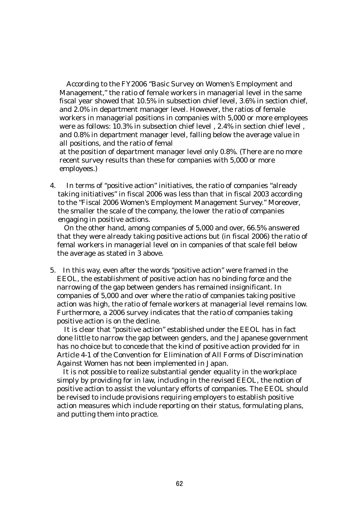According to the FY2006 "Basic Survey on Women's Employment and Management," the ratio of female workers in managerial level in the same fiscal year showed that 10.5% in subsection chief level, 3.6% in section chief, and 2.0% in department manager level. However, the ratios of female workers in managerial positions in companies with 5,000 or more employees were as follows: 10.3% in subsection chief level , 2.4% in section chief level , and 0.8% in department manager level, falling below the average value in all positions, and the ratio of femal

at the position of department manager level only 0.8%. (There are no more recent survey results than these for companies with 5,000 or more employees.)

4. In terms of "positive action" initiatives, the ratio of companies "already taking initiatives" in fiscal 2006 was less than that in fiscal 2003 according to the "Fiscal 2006 Women's Employment Management Survey." Moreover, the smaller the scale of the company, the lower the ratio of companies engaging in positive actions.

 On the other hand, among companies of 5,000 and over, 66.5% answered that they were already taking positive actions but (in fiscal 2006) the ratio of femal workers in managerial level on in companies of that scale fell below the average as stated in 3 above.

5. In this way, even after the words "positive action" were framed in the EEOL, the establishment of positive action has no binding force and the narrowing of the gap between genders has remained insignificant. In companies of 5,000 and over where the ratio of companies taking positive action was high, the ratio of female workers at managerial level remains low. Furthermore, a 2006 survey indicates that the ratio of companies taking positive action is on the decline.

 It is clear that "positive action" established under the EEOL has in fact done little to narrow the gap between genders, and the Japanese government has no choice but to concede that the kind of positive action provided for in Article 4-1 of the Convention for Elimination of All Forms of Discrimination Against Women has not been implemented in Japan.

It is not possible to realize substantial gender equality in the workplace simply by providing for in law, including in the revised EEOL, the notion of positive action to assist the voluntary efforts of companies. The EEOL should be revised to include provisions requiring employers to establish positive action measures which include reporting on their status, formulating plans, and putting them into practice.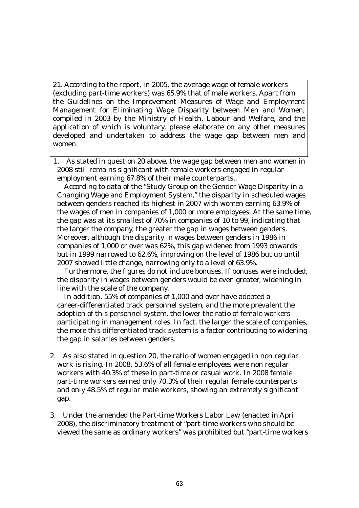21. According to the report, in 2005, the average wage of female workers (excluding part-time workers) was 65.9% that of male workers. Apart from the Guidelines on the Improvement Measures of Wage and Employment Management for Eliminating Wage Disparity between Men and Women, compiled in 2003 by the Ministry of Health, Labour and Welfare, and the application of which is voluntary, please elaborate on any other measures developed and undertaken to address the wage gap between men and women.

 1. As stated in question 20 above, the wage gap between men and women in 2008 still remains significant with female workers engaged in regular employment earning 67.8% of their male counterparts,.

 According to data of the "Study Group on the Gender Wage Disparity in a Changing Wage and Employment System," the disparity in scheduled wages between genders reached its highest in 2007 with women earning 63.9% of the wages of men in companies of 1,000 or more employees. At the same time, the gap was at its smallest of 70% in companies of 10 to 99, indicating that the larger the company, the greater the gap in wages between genders. Moreover, although the disparity in wages between genders in 1986 in companies of 1,000 or over was 62%, this gap widened from 1993 onwards but in 1999 narrowed to 62.6%, improving on the level of 1986 but up until 2007 showed little change, narrowing only to a level of 63.9%.

 Furthermore, the figures do not include bonuses. If bonuses were included, the disparity in wages between genders would be even greater, widening in line with the scale of the company.

 In addition, 55% of companies of 1,000 and over have adopted a career-differentiated track personnel system, and the more prevalent the adoption of this personnel system, the lower the ratio of female workers participating in management roles. In fact, the larger the scale of companies, the more this differentiated track system is a factor contributing to widening the gap in salaries between genders.

- 2. As also stated in question 20, the ratio of women engaged in non regular work is rising. In 2008, 53.6% of all female employees were non regular workers with 40.3% of these in part-time or casual work. In 2008 female part-time workers earned only 70.3% of their regular female counterparts and only 48.5% of regular male workers, showing an extremely significant gap.
- 3. Under the amended the Part-time Workers Labor Law (enacted in April 2008), the discriminatory treatment of "part-time workers who should be viewed the same as ordinary workers" was prohibited but "part-time workers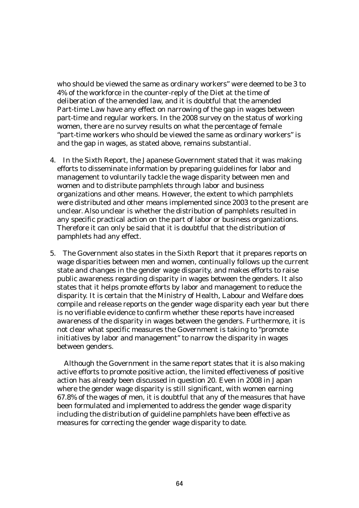who should be viewed the same as ordinary workers" were deemed to be 3 to 4% of the workforce in the counter-reply of the Diet at the time of deliberation of the amended law, and it is doubtful that the amended Part-time Law have any effect on narrowing of the gap in wages between part-time and regular workers. In the 2008 survey on the status of working women, there are no survey results on what the percentage of female "part-time workers who should be viewed the same as ordinary workers" is and the gap in wages, as stated above, remains substantial.

- 4. In the Sixth Report, the Japanese Government stated that it was making efforts to disseminate information by preparing guidelines for labor and management to voluntarily tackle the wage disparity between men and women and to distribute pamphlets through labor and business organizations and other means. However, the extent to which pamphlets were distributed and other means implemented since 2003 to the present are unclear. Also unclear is whether the distribution of pamphlets resulted in any specific practical action on the part of labor or business organizations. Therefore it can only be said that it is doubtful that the distribution of pamphlets had any effect.
- 5. The Government also states in the Sixth Report that it prepares reports on wage disparities between men and women, continually follows up the current state and changes in the gender wage disparity, and makes efforts to raise public awareness regarding disparity in wages between the genders. It also states that it helps promote efforts by labor and management to reduce the disparity. It is certain that the Ministry of Health, Labour and Welfare does compile and release reports on the gender wage disparity each year but there is no verifiable evidence to confirm whether these reports have increased awareness of the disparity in wages between the genders. Furthermore, it is not clear what specific measures the Government is taking to "promote initiatives by labor and management" to narrow the disparity in wages between genders.

 Although the Government in the same report states that it is also making active efforts to promote positive action, the limited effectiveness of positive action has already been discussed in question 20. Even in 2008 in Japan where the gender wage disparity is still significant, with women earning 67.8% of the wages of men, it is doubtful that any of the measures that have been formulated and implemented to address the gender wage disparity including the distribution of guideline pamphlets have been effective as measures for correcting the gender wage disparity to date.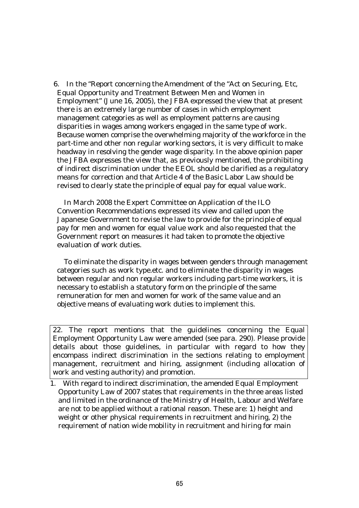6. In the "Report concerning the Amendment of the "Act on Securing, Etc, Equal Opportunity and Treatment Between Men and Women in Employment" (June 16, 2005), the JFBA expressed the view that at present there is an extremely large number of cases in which employment management categories as well as employment patterns are causing disparities in wages among workers engaged in the same type of work. Because women comprise the overwhelming majority of the workforce in the part-time and other non regular working sectors, it is very difficult to make headway in resolving the gender wage disparity. In the above opinion paper the JFBA expresses the view that, as previously mentioned, the prohibiting of indirect discrimination under the EEOL should be clarified as a regulatory means for correction and that Article 4 of the Basic Labor Law should be revised to clearly state the principle of equal pay for equal value work.

 In March 2008 the Expert Committee on Application of the ILO Convention Recommendations expressed its view and called upon the Japanese Government to revise the law to provide for the principle of equal pay for men and women for equal value work and also requested that the Government report on measures it had taken to promote the objective evaluation of work duties.

 To eliminate the disparity in wages between genders through management categories such as work type.etc. and to eliminate the disparity in wages between regular and non regular workers including part-time workers, it is necessary to establish a statutory form on the principle of the same remuneration for men and women for work of the same value and an objective means of evaluating work duties to implement this.

22. The report mentions that the guidelines concerning the Equal Employment Opportunity Law were amended (see para. 290). Please provide details about those guidelines, in particular with regard to how they encompass indirect discrimination in the sections relating to employment management, recruitment and hiring, assignment (including allocation of work and vesting authority) and promotion.

1. With regard to indirect discrimination, the amended Equal Employment Opportunity Law of 2007 states that requirements in the three areas listed and limited in the ordinance of the Ministry of Health, Labour and Welfare are not to be applied without a rational reason. These are: 1) height and weight or other physical requirements in recruitment and hiring, 2) the requirement of nation wide mobility in recruitment and hiring for main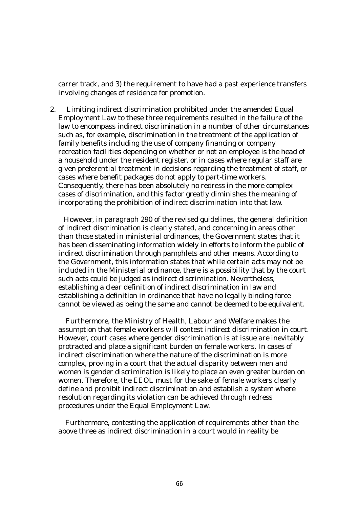carrer track, and 3) the requirement to have had a past experience transfers involving changes of residence for promotion.

2. Limiting indirect discrimination prohibited under the amended Equal Employment Law to these three requirements resulted in the failure of the law to encompass indirect discrimination in a number of other circumstances such as, for example, discrimination in the treatment of the application of family benefits including the use of company financing or company recreation facilities depending on whether or not an employee is the head of a household under the resident register, or in cases where regular staff are given preferential treatment in decisions regarding the treatment of staff, or cases where benefit packages do not apply to part-time workers. Consequently, there has been absolutely no redress in the more complex cases of discrimination, and this factor greatly diminishes the meaning of incorporating the prohibition of indirect discrimination into that law.

However, in paragraph 290 of the revised guidelines, the general definition of indirect discrimination is clearly stated, and concerning in areas other than those stated in ministerial ordinances, the Government states that it has been disseminating information widely in efforts to inform the public of indirect discrimination through pamphlets and other means. According to the Government, this information states that while certain acts may not be included in the Ministerial ordinance, there is a possibility that by the court such acts could be judged as indirect discrimination. Nevertheless, establishing a clear definition of indirect discrimination in law and establishing a definition in ordinance that have no legally binding force cannot be viewed as being the same and cannot be deemed to be equivalent.

Furthermore, the Ministry of Health, Labour and Welfare makes the assumption that female workers will contest indirect discrimination in court. However, court cases where gender discrimination is at issue are inevitably protracted and place a significant burden on female workers. In cases of indirect discrimination where the nature of the discrimination is more complex, proving in a court that the actual disparity between men and women is gender discrimination is likely to place an even greater burden on women. Therefore, the EEOL must for the sake of female workers clearly define and prohibit indirect discrimination and establish a system where resolution regarding its violation can be achieved through redress procedures under the Equal Employment Law.

 Furthermore, contesting the application of requirements other than the above three as indirect discrimination in a court would in reality be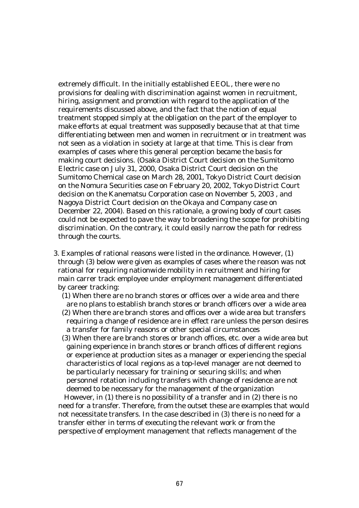extremely difficult. In the initially established EEOL, there were no provisions for dealing with discrimination against women in recruitment, hiring, assignment and promotion with regard to the application of the requirements discussed above, and the fact that the notion of equal treatment stopped simply at the obligation on the part of the employer to make efforts at equal treatment was supposedly because that at that time differentiating between men and women in recruitment or in treatment was not seen as a violation in society at large at that time. This is clear from examples of cases where this general perception became the basis for making court decisions. (Osaka District Court decision on the Sumitomo Electric case on July 31, 2000, Osaka District Court decision on the Sumitomo Chemical case on March 28, 2001, Tokyo District Court decision on the Nomura Securities case on February 20, 2002, Tokyo District Court decision on the Kanematsu Corporation case on November 5, 2003 , and Nagoya District Court decision on the Okaya and Company case on December 22, 2004). Based on this rationale, a growing body of court cases could not be expected to pave the way to broadening the scope for prohibiting discrimination. On the contrary, it could easily narrow the path for redress through the courts.

- 3. Examples of rational reasons were listed in the ordinance. However, (1) through (3) below were given as examples of cases where the reason was not rational for requiring nationwide mobility in recruitment and hiring for main carrer track employee under employment management differentiated by career tracking:
	- (1) When there are no branch stores or offices over a wide area and there are no plans to establish branch stores or branch officers over a wide area
	- (2) When there are branch stores and offices over a wide area but transfers requiring a change of residence are in effect rare unless the person desires a transfer for family reasons or other special circumstances
	- (3) When there are branch stores or branch offices, etc. over a wide area but gaining experience in branch stores or branch offices of different regions or experience at production sites as a manager or experiencing the special characteristics of local regions as a top-level manager are not deemed to be particularly necessary for training or securing skills; and when personnel rotation including transfers with change of residence are not deemed to be necessary for the management of the organization

 However, in (1) there is no possibility of a transfer and in (2) there is no need for a transfer. Therefore, from the outset these are examples that would not necessitate transfers. In the case described in (3) there is no need for a transfer either in terms of executing the relevant work or from the perspective of employment management that reflects management of the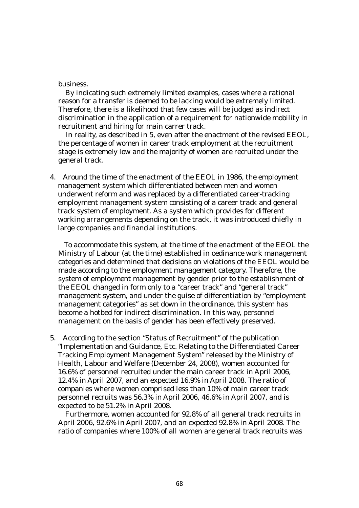business.

By indicating such extremely limited examples, cases where a rational reason for a transfer is deemed to be lacking would be extremely limited. Therefore, there is a likelihood that few cases will be judged as indirect discrimination in the application of a requirement for nationwide mobility in recruitment and hiring for main carrer track.

In reality, as described in 5, even after the enactment of the revised EEOL, the percentage of women in career track employment at the recruitment stage is extremely low and the majority of women are recruited under the general track.

4. Around the time of the enactment of the EEOL in 1986, the employment management system which differentiated between men and women underwent reform and was replaced by a differentiated career-tracking employment management system consisting of a career track and general track system of employment. As a system which provides for different working arrangements depending on the track, it was introduced chiefly in large companies and financial institutions.

 To accommodate this system, at the time of the enactment of the EEOL the Ministry of Labour (at the time) established in oedinance work management categories and determined that decisions on violations of the EEOL would be made according to the employment management category. Therefore, the system of employment management by gender prior to the establishment of the EEOL changed in form only to a "career track" and "general track" management system, and under the guise of differentiation by "employment management categories" as set down in the ordinance, this system has become a hotbed for indirect discrimination. In this way, personnel management on the basis of gender has been effectively preserved.

5. According to the section "Status of Recruitment" of the publication "Implementation and Guidance, Etc. Relating to the Differentiated Career Tracking Employment Management System" released by the Ministry of Health, Labour and Welfare (December 24, 2008), women accounted for 16.6% of personnel recruited under the main career track in April 2006, 12.4% in April 2007, and an expected 16.9% in April 2008. The ratio of companies where women comprised less than 10% of main career track personnel recruits was 56.3% in April 2006, 46.6% in April 2007, and is expected to be 51.2% in April 2008.

 Furthermore, women accounted for 92.8% of all general track recruits in April 2006, 92.6% in April 2007, and an expected 92.8% in April 2008. The ratio of companies where 100% of all women are general track recruits was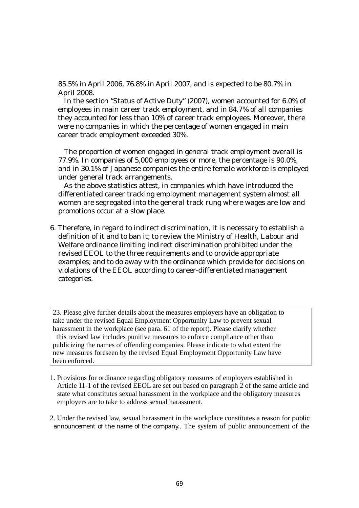85.5% in April 2006, 76.8% in April 2007, and is expected to be 80.7% in April 2008.

 In the section "Status of Active Duty" (2007), women accounted for 6.0% of employees in main career track employment, and in 84.7% of all companies they accounted for less than 10% of career track employees. Moreover, there were no companies in which the percentage of women engaged in main career track employment exceeded 30%.

 The proportion of women engaged in general track employment overall is 77.9%. In companies of 5,000 employees or more, the percentage is 90.0%, and in 30.1% of Japanese companies the entire female workforce is employed under general track arrangements.

 As the above statistics attest, in companies which have introduced the differentiated career tracking employment management system almost all women are segregated into the general track rung where wages are low and promotions occur at a slow place.

6. Therefore, in regard to indirect discrimination, it is necessary to establish a definition of it and to ban it; to review the Ministry of Health, Labour and Welfare ordinance limiting indirect discrimination prohibited under the revised EEOL to the three requirements and to provide appropriate examples; and to do away with the ordinance which provide for decisions on violations of the EEOL according to career-differentiated management categories.

23. Please give further details about the measures employers have an obligation to take under the revised Equal Employment Opportunity Law to prevent sexual harassment in the workplace (see para. 61 of the report). Please clarify whether this revised law includes punitive measures to enforce compliance other than publicizing the names of offending companies. Please indicate to what extent the new measures foreseen by the revised Equal Employment Opportunity Law have been enforced.

- 1. Provisions for ordinance regarding obligatory measures of employers established in Article 11-1 of the revised EEOL are set out based on paragraph 2 of the same article and state what constitutes sexual harassment in the workplace and the obligatory measures employers are to take to address sexual harassment.
- 2. Under the revised law, sexual harassment in the workplace constitutes a reason for public announcement of the name of the company.. The system of public announcement of the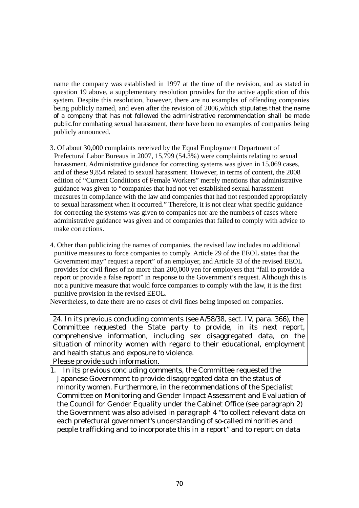name the company was established in 1997 at the time of the revision, and as stated in question 19 above, a supplementary resolution provides for the active application of this system. Despite this resolution, however, there are no examples of offending companies being publicly named, and even after the revision of 2006,which stipulates that the name of a company that has not followed the administrative recommendation shall be made public.for combating sexual harassment, there have been no examples of companies being publicly announced.

- 3. Of about 30,000 complaints received by the Equal Employment Department of Prefectural Labor Bureaus in 2007, 15,799 (54.3%) were complaints relating to sexual harassment. Administrative guidance for correcting systems was given in 15,069 cases, and of these 9,854 related to sexual harassment. However, in terms of content, the 2008 edition of "Current Conditions of Female Workers" merely mentions that administrative guidance was given to "companies that had not yet established sexual harassment measures in compliance with the law and companies that had not responded appropriately to sexual harassment when it occurred." Therefore, it is not clear what specific guidance for correcting the systems was given to companies nor are the numbers of cases where administrative guidance was given and of companies that failed to comply with advice to make corrections.
- 4. Other than publicizing the names of companies, the revised law includes no additional punitive measures to force companies to comply. Article 29 of the EEOL states that the Government may" request a report" of an employer, and Article 33 of the revised EEOL provides for civil fines of no more than 200,000 yen for employers that "fail to provide a report or provide a false report" in response to the Government's request. Although this is not a punitive measure that would force companies to comply with the law, it is the first punitive provision in the revised EEOL.

Nevertheless, to date there are no cases of civil fines being imposed on companies.

24. In its previous concluding comments (see A/58/38, sect. IV, para. 366), the Committee requested the State party to provide, in its next report, comprehensive information, including sex disaggregated data, on the situation of minority women with regard to their educational, employment and health status and exposure to violence.

Please provide such information.

1. In its previous concluding comments, the Committee requested the Japanese Government to provide disaggregated data on the status of minority women. Furthermore, in the recommendations of the Specialist Committee on Monitoring and Gender Impact Assessment and Evaluation of the Council for Gender Equality under the Cabinet Office (see paragraph 2) the Government was also advised in paragraph 4 "to collect relevant data on each prefectural government's understanding of so-called minorities and people trafficking and to incorporate this in a report" and to report on data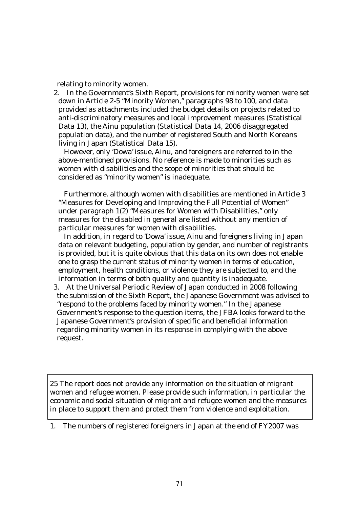relating to minority women.

 2. In the Government's Sixth Report, provisions for minority women were set down in Article 2-5 "Minority Women," paragraphs 98 to 100, and data provided as attachments included the budget details on projects related to anti-discriminatory measures and local improvement measures (Statistical Data 13), the Ainu population (Statistical Data 14, 2006 disaggregated population data), and the number of registered South and North Koreans living in Japan (Statistical Data 15).

However, only 'Dowa' issue, Ainu, and foreigners are referred to in the above-mentioned provisions. No reference is made to minorities such as women with disabilities and the scope of minorities that should be considered as "minority women" is inadequate.

Furthermore, although women with disabilities are mentioned in Article 3 "Measures for Developing and Improving the Full Potential of Women" under paragraph 1(2) "Measures for Women with Disabilities," only measures for the disabled in general are listed without any mention of particular measures for women with disabilities.

In addition, in regard to 'Dowa' issue, Ainu and foreigners living in Japan data on relevant budgeting, population by gender, and number of registrants is provided, but it is quite obvious that this data on its own does not enable one to grasp the current status of minority women in terms of education, employment, health conditions, or violence they are subjected to, and the information in terms of both quality and quantity is inadequate.

 3. At the Universal Periodic Review of Japan conducted in 2008 following the submission of the Sixth Report, the Japanese Government was advised to "respond to the problems faced by minority women." In the Japanese Government's response to the question items, the JFBA looks forward to the Japanese Government's provision of specific and beneficial information regarding minority women in its response in complying with the above request.

25 The report does not provide any information on the situation of migrant women and refugee women. Please provide such information, in particular the economic and social situation of migrant and refugee women and the measures in place to support them and protect them from violence and exploitation.

1. The numbers of registered foreigners in Japan at the end of FY2007 was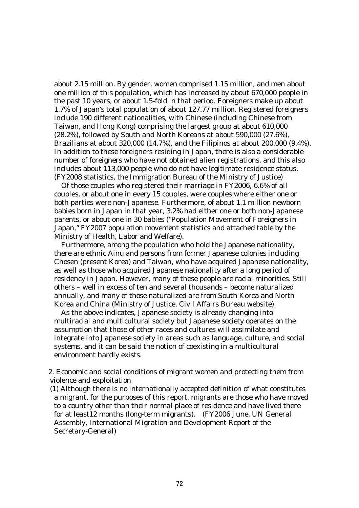about 2.15 million. By gender, women comprised 1.15 million, and men about one million of this population, which has increased by about 670,000 people in the past 10 years, or about 1.5-fold in that period. Foreigners make up about 1.7% of Japan's total population of about 127.77 million. Registered foreigners include 190 different nationalities, with Chinese (including Chinese from Taiwan, and Hong Kong) comprising the largest group at about 610,000 (28.2%), followed by South and North Koreans at about 590,000 (27.6%), Brazilians at about 320,000 (14.7%), and the Filipinos at about 200,000 (9.4%). In addition to these foreigners residing in Japan, there is also a considerable number of foreigners who have not obtained alien registrations, and this also includes about 113,000 people who do not have legitimate residence status. (FY2008 statistics, the Immigration Bureau of the Ministry of Justice)

Of those couples who registered their marriage in FY2006, 6.6% of all couples, or about one in every 15 couples, were couples where either one or both parties were non-Japanese. Furthermore, of about 1.1 million newborn babies born in Japan in that year, 3.2% had either one or both non-Japanese parents, or about one in 30 babies ("Population Movement of Foreigners in Japan," FY2007 population movement statistics and attached table by the Ministry of Health, Labor and Welfare).

Furthermore, among the population who hold the Japanese nationality, there are ethnic Ainu and persons from former Japanese colonies including Chosen (present Korea) and Taiwan, who have acquired Japanese nationality, as well as those who acquired Japanese nationality after a long period of residency in Japan. However, many of these people are racial minorities. Still others – well in excess of ten and several thousands – become naturalized annually, and many of those naturalized are from South Korea and North Korea and China (Ministry of Justice, Civil Affairs Bureau website).

As the above indicates, Japanese society is already changing into multiracial and multicultural society but Japanese society operates on the assumption that those of other races and cultures will assimilate and integrate into Japanese society in areas such as language, culture, and social systems, and it can be said the notion of coexisting in a multicultural environment hardly exists.

2. Economic and social conditions of migrant women and protecting them from violence and exploitation

(1) Although there is no internationally accepted definition of what constitutes a migrant, for the purposes of this report, migrants are those who have moved to a country other than their normal place of residence and have lived there for at least12 months (long-term migrants). (FY2006 June, UN General Assembly, International Migration and Development Report of the Secretary-General)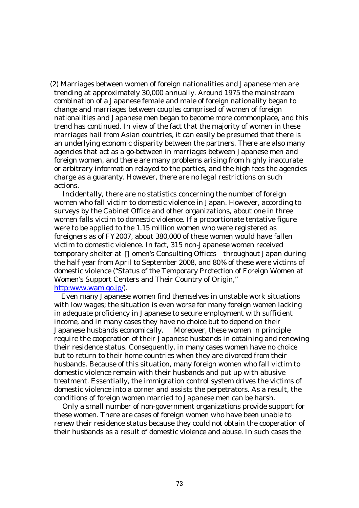(2) Marriages between women of foreign nationalities and Japanese men are trending at approximately 30,000 annually. Around 1975 the mainstream combination of a Japanese female and male of foreign nationality began to change and marriages between couples comprised of women of foreign nationalities and Japanese men began to become more commonplace, and this trend has continued. In view of the fact that the majority of women in these marriages hail from Asian countries, it can easily be presumed that there is an underlying economic disparity between the partners. There are also many agencies that act as a go-between in marriages between Japanese men and foreign women, and there are many problems arising from highly inaccurate or arbitrary information relayed to the parties, and the high fees the agencies charge as a guaranty. However, there are no legal restrictions on such actions.

Incidentally, there are no statistics concerning the number of foreign women who fall victim to domestic violence in Japan. However, according to surveys by the Cabinet Office and other organizations, about one in three women falls victim to domestic violence. If a proportionate tentative figure were to be applied to the 1.15 million women who were registered as foreigners as of FY2007, about 380,000 of these women would have fallen victim to domestic violence. In fact, 315 non-Japanese women received temporary shelter at omen's Consulting Offices throughout Japan during the half year from April to September 2008, and 80% of these were victims of domestic violence ("Status of the Temporary Protection of Foreign Women at Women's Support Centers and Their Country of Origin," http:www.wam.go.jp/).

Even many Japanese women find themselves in unstable work situations with low wages; the situation is even worse for many foreign women lacking in adequate proficiency in Japanese to secure employment with sufficient income, and in many cases they have no choice but to depend on their Japanese husbands economically. Moreover, these women in principle require the cooperation of their Japanese husbands in obtaining and renewing their residence status. Consequently, in many cases women have no choice but to return to their home countries when they are divorced from their husbands. Because of this situation, many foreign women who fall victim to domestic violence remain with their husbands and put up with abusive treatment. Essentially, the immigration control system drives the victims of domestic violence into a corner and assists the perpetrators. As a result, the conditions of foreign women married to Japanese men can be harsh.

Only a small number of non-government organizations provide support for these women. There are cases of foreign women who have been unable to renew their residence status because they could not obtain the cooperation of their husbands as a result of domestic violence and abuse. In such cases the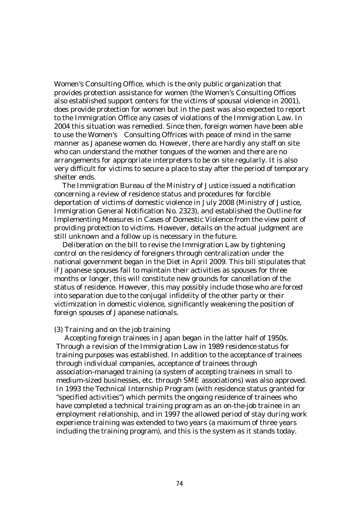Women's Consulting Office, which is the only public organization that provides protection assistance for women (the Women's Consulting Offices also established support centers for the victims of spousal violence in 2001), does provide protection for women but in the past was also expected to report to the Immigration Office any cases of violations of the Immigration Law. In 2004 this situation was remedied. Since then, foreign women have been able to use the Women's Consulting Offrices with peace of mind in the same manner as Japanese women do. However, there are hardly any staff on site who can understand the mother tongues of the women and there are no arrangements for appropriate interpreters to be on site regularly. It is also very difficult for victims to secure a place to stay after the period of temporary shelter ends.

The Immigration Bureau of the Ministry of Justice issued a notification concerning a review of residence status and procedures for forcible deportation of victims of domestic violence in July 2008 (Ministry of Justice, Immigration General Notification No. 2323), and established the Outline for Implementing Measures in Cases of Domestic Violence from the view point of providing protection to victims. However, details on the actual judgment are still unknown and a follow up is necessary in the future.

Deliberation on the bill to revise the Immigration Law by tightening control on the residency of foreigners through centralization under the national government began in the Diet in April 2009. This bill stipulates that if Japanese spouses fail to maintain their activities as spouses for three months or longer, this will constitute new grounds for cancellation of the status of residence. However, this may possibly include those who are forced into separation due to the conjugal infidelity of the other party or their victimization in domestic violence, significantly weakening the position of foreign spouses of Japanese nationals.

# (3) Training and on the job training

Accepting foreign trainees in Japan began in the latter half of 1950s. Through a revision of the Immigration Law in 1989 residence status for training purposes was established. In addition to the acceptance of trainees through individual companies, acceptance of trainees through association-managed training (a system of accepting trainees in small to medium-sized businesses, etc. through SME associations) was also approved. In 1993 the Technical Internship Program (with residence status granted for "specified activities") which permits the ongoing residence of trainees who have completed a technical training program as an on-the-job trainee in an employment relationship, and in 1997 the allowed period of stay during work experience training was extended to two years (a maximum of three years including the training program), and this is the system as it stands today.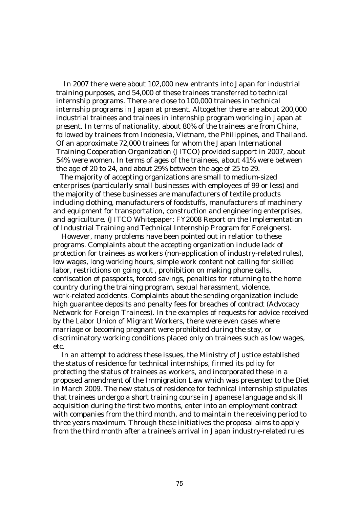In 2007 there were about 102,000 new entrants into Japan for industrial training purposes, and 54,000 of these trainees transferred to technical internship programs. There are close to 100,000 trainees in technical internship programs in Japan at present. Altogether there are about 200,000 industrial trainees and trainees in internship program working in Japan at present. In terms of nationality, about 80% of the trainees are from China, followed by trainees from Indonesia, Vietnam, the Philippines, and Thailand. Of an approximate 72,000 trainees for whom the Japan International Training Cooperation Organization (JITCO) provided support in 2007, about 54% were women. In terms of ages of the trainees, about 41% were between the age of 20 to 24, and about 29% between the age of 25 to 29.

The majority of accepting organizations are small to medium-sized enterprises (particularly small businesses with employees of 99 or less) and the majority of these businesses are manufacturers of textile products including clothing, manufacturers of foodstuffs, manufacturers of machinery and equipment for transportation, construction and engineering enterprises, and agriculture. (JITCO Whitepaper: FY2008 Report on the Implementation of Industrial Training and Technical Internship Program for Foreigners).

However, many problems have been pointed out in relation to these programs. Complaints about the accepting organization include lack of protection for trainees as workers (non-application of industry-related rules), low wages, long working hours, simple work content not calling for skilled labor, restrictions on going out , prohibition on making phone calls, confiscation of passports, forced savings, penalties for returning to the home country during the training program, sexual harassment, violence, work-related accidents. Complaints about the sending organization include high guarantee deposits and penalty fees for breaches of contract (Advocacy Network for Foreign Trainees). In the examples of requests for advice received by the Labor Union of Migrant Workers, there were even cases where marriage or becoming pregnant were prohibited during the stay, or discriminatory working conditions placed only on trainees such as low wages, etc.

In an attempt to address these issues, the Ministry of Justice established the status of residence for technical internships, firmed its policy for protecting the status of trainees as workers, and incorporated these in a proposed amendment of the Immigration Law which was presented to the Diet in March 2009. The new status of residence for technical internship stipulates that trainees undergo a short training course in Japanese language and skill acquisition during the first two months, enter into an employment contract with companies from the third month, and to maintain the receiving period to three years maximum. Through these initiatives the proposal aims to apply from the third month after a trainee's arrival in Japan industry-related rules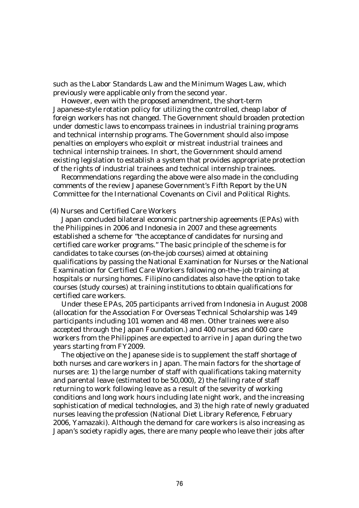such as the Labor Standards Law and the Minimum Wages Law, which previously were applicable only from the second year.

However, even with the proposed amendment, the short-term Japanese-style rotation policy for utilizing the controlled, cheap labor of foreign workers has not changed. The Government should broaden protection under domestic laws to encompass trainees in industrial training programs and technical internship programs. The Government should also impose penalties on employers who exploit or mistreat industrial trainees and technical internship trainees. In short, the Government should amend existing legislation to establish a system that provides appropriate protection of the rights of industrial trainees and technical internship trainees.

Recommendations regarding the above were also made in the concluding comments of the review Japanese Government's Fifth Report by the UN Committee for the International Covenants on Civil and Political Rights.

## (4) Nurses and Certified Care Workers

Japan concluded bilateral economic partnership agreements (EPAs) with the Philippines in 2006 and Indonesia in 2007 and these agreements established a scheme for "the acceptance of candidates for nursing and certified care worker programs." The basic principle of the scheme is for candidates to take courses (on-the-job courses) aimed at obtaining qualifications by passing the National Examination for Nurses or the National Examination for Certified Care Workers following on-the–job training at hospitals or nursing homes. Filipino candidates also have the option to take courses (study courses) at training institutions to obtain qualifications for certified care workers.

Under these EPAs, 205 participants arrived from Indonesia in August 2008 (allocation for the Association For Overseas Technical Scholarship was 149 participants including 101 women and 48 men. Other trainees were also accepted through the Japan Foundation.) and 400 nurses and 600 care workers from the Philippines are expected to arrive in Japan during the two years starting from FY2009.

The objective on the Japanese side is to supplement the staff shortage of both nurses and care workers in Japan. The main factors for the shortage of nurses are: 1) the large number of staff with qualifications taking maternity and parental leave (estimated to be 50,000), 2) the falling rate of staff returning to work following leave as a result of the severity of working conditions and long work hours including late night work, and the increasing sophistication of medical technologies, and 3) the high rate of newly graduated nurses leaving the profession (National Diet Library Reference, February 2006, Yamazaki). Although the demand for care workers is also increasing as Japan's society rapidly ages, there are many people who leave their jobs after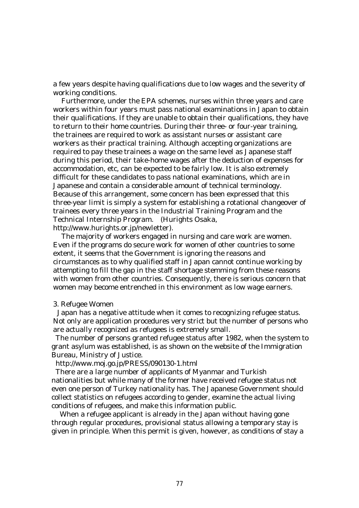a few years despite having qualifications due to low wages and the severity of working conditions.

Furthermore, under the EPA schemes, nurses within three years and care workers within four years must pass national examinations in Japan to obtain their qualifications. If they are unable to obtain their qualifications, they have to return to their home countries. During their three- or four-year training, the trainees are required to work as assistant nurses or assistant care workers as their practical training. Although accepting organizations are required to pay these trainees a wage on the same level as Japanese staff during this period, their take-home wages after the deduction of expenses for accommodation, etc, can be expected to be fairly low. It is also extremely difficult for these candidates to pass national examinations, which are in Japanese and contain a considerable amount of technical terminology. Because of this arrangement, some concern has been expressed that this three-year limit is simply a system for establishing a rotational changeover of trainees every three years in the Industrial Training Program and the Technical Internship Program. (Hurights Osaka, http://www.hurights.or.jp/newletter).

The majority of workers engaged in nursing and care work are women. Even if the programs do secure work for women of other countries to some extent, it seems that the Government is ignoring the reasons and circumstances as to why qualified staff in Japan cannot continue working by attempting to fill the gap in the staff shortage stemming from these reasons with women from other countries. Consequently, there is serious concern that women may become entrenched in this environment as low wage earners.

#### 3. Refugee Women

Japan has a negative attitude when it comes to recognizing refugee status. Not only are application procedures very strict but the number of persons who are actually recognized as refugees is extremely small.

The number of persons granted refugee status after 1982, when the system to grant asylum was established, is as shown on the website of the Immigration Bureau, Ministry of Justice.

http://www.moj.go.jp/PRESS/090130-1.html

There are a large number of applicants of Myanmar and Turkish nationalities but while many of the former have received refugee status not even one person of Turkey nationality has. The Japanese Government should collect statistics on refugees according to gender, examine the actual living conditions of refugees, and make this information public.

When a refugee applicant is already in the Japan without having gone through regular procedures, provisional status allowing a temporary stay is given in principle. When this permit is given, however, as conditions of stay a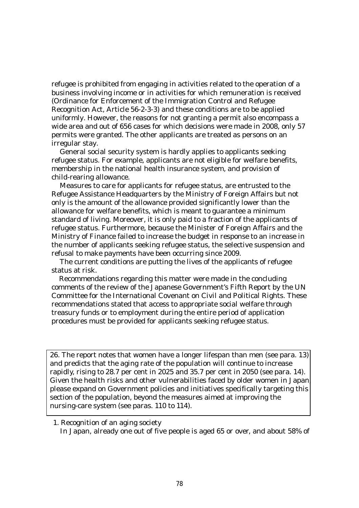refugee is prohibited from engaging in activities related to the operation of a business involving income or in activities for which remuneration is received (Ordinance for Enforcement of the Immigration Control and Refugee Recognition Act, Article 56-2-3-3) and these conditions are to be applied uniformly. However, the reasons for not granting a permit also encompass a wide area and out of 656 cases for which decisions were made in 2008, only 57 permits were granted. The other applicants are treated as persons on an irregular stay.

General social security system is hardly applies to applicants seeking refugee status. For example, applicants are not eligible for welfare benefits, membership in the national health insurance system, and provision of child-rearing allowance.

Measures to care for applicants for refugee status, are entrusted to the Refugee Assistance Headquarters by the Ministry of Foreign Affairs but not only is the amount of the allowance provided significantly lower than the allowance for welfare benefits, which is meant to guarantee a minimum standard of living. Moreover, it is only paid to a fraction of the applicants of refugee status. Furthermore, because the Minister of Foreign Affairs and the Ministry of Finance failed to increase the budget in response to an increase in the number of applicants seeking refugee status, the selective suspension and refusal to make payments have been occurring since 2009.

The current conditions are putting the lives of the applicants of refugee status at risk.

Recommendations regarding this matter were made in the concluding comments of the review of the Japanese Government's Fifth Report by the UN Committee for the International Covenant on Civil and Political Rights. These recommendations stated that access to appropriate social welfare through treasury funds or to employment during the entire period of application procedures must be provided for applicants seeking refugee status.

26. The report notes that women have a longer lifespan than men (see para. 13) and predicts that the aging rate of the population will continue to increase rapidly, rising to 28.7 per cent in 2025 and 35.7 per cent in 2050 (see para. 14). Given the health risks and other vulnerabilities faced by older women in Japan, please expand on Government policies and initiatives specifically targeting this section of the population, beyond the measures aimed at improving the nursing-care system (see paras. 110 to 114).

1. Recognition of an aging society

In Japan, already one out of five people is aged 65 or over, and about 58% of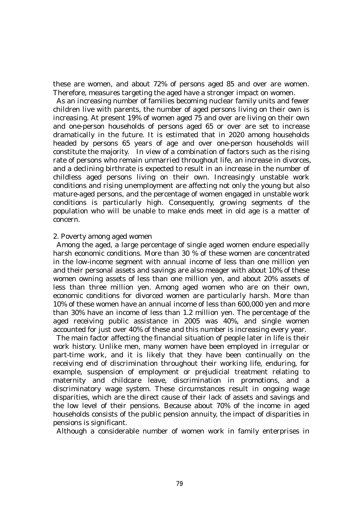these are women, and about 72% of persons aged 85 and over are women. Therefore, measures targeting the aged have a stronger impact on women.

As an increasing number of families becoming nuclear family units and fewer children live with parents, the number of aged persons living on their own is increasing. At present 19% of women aged 75 and over are living on their own and one-person households of persons aged 65 or over are set to increase dramatically in the future. It is estimated that in 2020 among households headed by persons 65 years of age and over one-person households will constitute the majority. In view of a combination of factors such as the rising rate of persons who remain unmarried throughout life, an increase in divorces, and a declining birthrate is expected to result in an increase in the number of childless aged persons living on their own. Increasingly unstable work conditions and rising unemployment are affecting not only the young but also mature-aged persons, and the percentage of women engaged in unstable work conditions is particularly high. Consequently, growing segments of the population who will be unable to make ends meet in old age is a matter of concern.

## 2. Poverty among aged women

 Among the aged, a large percentage of single aged women endure especially harsh economic conditions. More than 30 % of these women are concentrated in the low-income segment with annual income of less than one million yen and their personal assets and savings are also meager with about 10% of these women owning assets of less than one million yen, and about 20% assets of less than three million yen. Among aged women who are on their own, economic conditions for divorced women are particularly harsh. More than 10% of these women have an annual income of less than 600,000 yen and more than 30% have an income of less than 1.2 million yen. The percentage of the aged receiving public assistance in 2005 was 40%, and single women accounted for just over 40% of these and this number is increasing every year.

The main factor affecting the financial situation of people later in life is their work history. Unlike men, many women have been employed in irregular or part-time work, and it is likely that they have been continually on the receiving end of discrimination throughout their working life, enduring, for example, suspension of employment or prejudicial treatment relating to maternity and childcare leave, discrimination in promotions, and a discriminatory wage system. These circumstances result in ongoing wage disparities, which are the direct cause of their lack of assets and savings and the low level of their pensions. Because about 70% of the income in aged households consists of the public pension annuity, the impact of disparities in pensions is significant.

Although a considerable number of women work in family enterprises in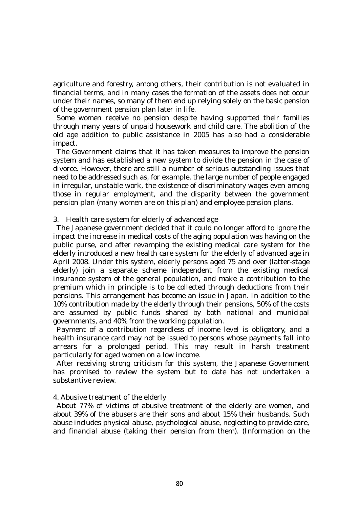agriculture and forestry, among others, their contribution is not evaluated in financial terms, and in many cases the formation of the assets does not occur under their names, so many of them end up relying solely on the basic pension of the government pension plan later in life.

Some women receive no pension despite having supported their families through many years of unpaid housework and child care. The abolition of the old age addition to public assistance in 2005 has also had a considerable impact.

The Government claims that it has taken measures to improve the pension system and has established a new system to divide the pension in the case of divorce. However, there are still a number of serious outstanding issues that need to be addressed such as, for example, the large number of people engaged in irregular, unstable work, the existence of discriminatory wages even among those in regular employment, and the disparity between the government pension plan (many women are on this plan) and employee pension plans.

# 3. Health care system for elderly of advanced age

The Japanese government decided that it could no longer afford to ignore the impact the increase in medical costs of the aging population was having on the public purse, and after revamping the existing medical care system for the elderly introduced a new health care system for the elderly of advanced age in April 2008. Under this system, elderly persons aged 75 and over (latter-stage elderly) join a separate scheme independent from the existing medical insurance system of the general population, and make a contribution to the premium which in principle is to be collected through deductions from their pensions. This arrangement has become an issue in Japan. In addition to the 10% contribution made by the elderly through their pensions, 50% of the costs are assumed by public funds shared by both national and municipal governments, and 40% from the working population.

Payment of a contribution regardless of income level is obligatory, and a health insurance card may not be issued to persons whose payments fall into arrears for a prolonged period. This may result in harsh treatment particularly for aged women on a low income.

After receiving strong criticism for this system, the Japanese Government has promised to review the system but to date has not undertaken a substantive review.

# 4. Abusive treatment of the elderly

 About 77% of victims of abusive treatment of the elderly are women, and about 39% of the abusers are their sons and about 15% their husbands. Such abuse includes physical abuse, psychological abuse, neglecting to provide care, and financial abuse (taking their pension from them). (Information on the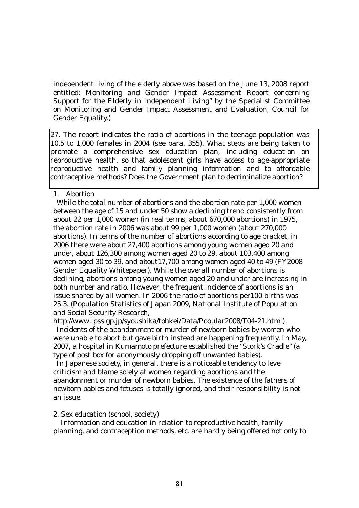independent living of the elderly above was based on the June 13, 2008 report entitled: Monitoring and Gender Impact Assessment Report concerning Support for the Elderly in Independent Living" by the Specialist Committee on Monitoring and Gender Impact Assessment and Evaluation, Council for Gender Equality.)

27. The report indicates the ratio of abortions in the teenage population was 10.5 to 1,000 females in 2004 (see para. 355). What steps are being taken to promote a comprehensive sex education plan, including education on reproductive health, so that adolescent girls have access to age-appropriate reproductive health and family planning information and to affordable contraceptive methods? Does the Government plan to decriminalize abortion?

1. Abortion

While the total number of abortions and the abortion rate per 1,000 women between the age of 15 and under 50 show a declining trend consistently from about 22 per 1,000 women (in real terms, about 670,000 abortions) in 1975, the abortion rate in 2006 was about 99 per 1,000 women (about 270,000 abortions). In terms of the number of abortions according to age bracket, in 2006 there were about 27,400 abortions among young women aged 20 and under, about 126,300 among women aged 20 to 29, about 103,400 among women aged 30 to 39, and about17,700 among women aged 40 to 49 (FY2008 Gender Equality Whitepaper). While the overall number of abortions is declining, abortions among young women aged 20 and under are increasing in both number and ratio. However, the frequent incidence of abortions is an issue shared by all women. In 2006 the ratio of abortions per100 births was 25.3. (Population Statistics of Japan 2009, National Institute of Population and Social Security Research,

http://www.ipss.gp.jp/syoushika/tohkei/Data/Popular2008/T04-21.html).

Incidents of the abandonment or murder of newborn babies by women who were unable to abort but gave birth instead are happening frequently. In May, 2007, a hospital in Kumamoto prefecture established the "Stork's Cradle" (a type of post box for anonymously dropping off unwanted babies).

In Japanese society, in general, there is a noticeable tendency to level criticism and blame solely at women regarding abortions and the abandonment or murder of newborn babies. The existence of the fathers of newborn babies and fetuses is totally ignored, and their responsibility is not an issue.

2. Sex education (school, society)

 Information and education in relation to reproductive health, family planning, and contraception methods, etc. are hardly being offered not only to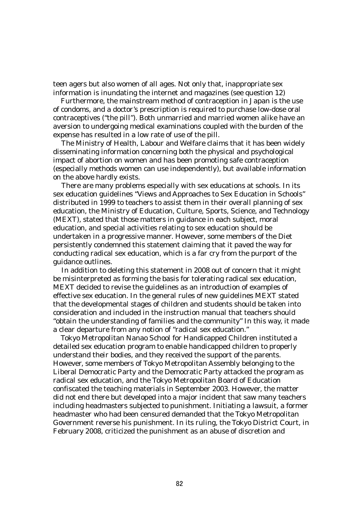teen agers but also women of all ages. Not only that, inappropriate sex information is inundating the internet and magazines (see question 12)

 Furthermore, the mainstream method of contraception in Japan is the use of condoms, and a doctor's prescription is required to purchase low-dose oral contraceptives ("the pill"). Both unmarried and married women alike have an aversion to undergoing medical examinations coupled with the burden of the expense has resulted in a low rate of use of the pill.

The Ministry of Health, Labour and Welfare claims that it has been widely disseminating information concerning both the physical and psychological impact of abortion on women and has been promoting safe contraception (especially methods women can use independently), but available information on the above hardly exists.

There are many problems especially with sex educations at schools. In its sex education guidelines "Views and Approaches to Sex Education in Schools" distributed in 1999 to teachers to assist them in their overall planning of sex education, the Ministry of Education, Culture, Sports, Science, and Technology (MEXT), stated that those matters in guidance in each subject, moral education, and special activities relating to sex education should be undertaken in a progressive manner. However, some members of the Diet persistently condemned this statement claiming that it paved the way for conducting radical sex education, which is a far cry from the purport of the guidance outlines.

In addition to deleting this statement in 2008 out of concern that it might be misinterpreted as forming the basis for tolerating radical sex education, MEXT decided to revise the guidelines as an introduction of examples of effective sex education. In the general rules of new guidelines MEXT stated that the developmental stages of children and students should be taken into consideration and included in the instruction manual that teachers should "obtain the understanding of families and the community" In this way, it made a clear departure from any notion of "radical sex education."

 Tokyo Metropolitan Nanao School for Handicapped Children instituted a detailed sex education program to enable handicapped children to properly understand their bodies, and they received the support of the parents. However, some members of Tokyo Metropolitan Assembly belonging to the Liberal Democratic Party and the Democratic Party attacked the program as radical sex education, and the Tokyo Metropolitan Board of Education confiscated the teaching materials in September 2003. However, the matter did not end there but developed into a major incident that saw many teachers including headmasters subjected to punishment. Initiating a lawsuit, a former headmaster who had been censured demanded that the Tokyo Metropolitan Government reverse his punishment. In its ruling, the Tokyo District Court, in February 2008, criticized the punishment as an abuse of discretion and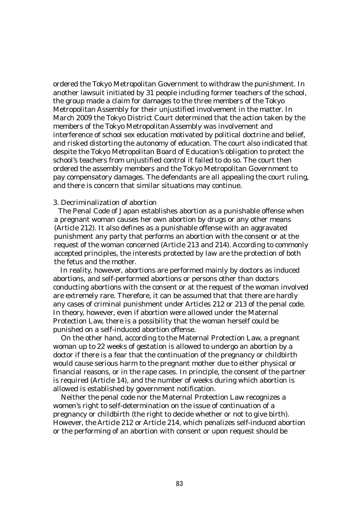ordered the Tokyo Metropolitan Government to withdraw the punishment. In another lawsuit initiated by 31 people including former teachers of the school, the group made a claim for damages to the three members of the Tokyo Metropolitan Assembly for their unjustified involvement in the matter. In March 2009 the Tokyo District Court determined that the action taken by the members of the Tokyo Metropolitan Assembly was involvement and interference of school sex education motivated by political doctrine and belief, and risked distorting the autonomy of education. The court also indicated that despite the Tokyo Metropolitan Board of Education's obligation to protect the school's teachers from unjustified control it failed to do so. The court then ordered the assembly members and the Tokyo Metropolitan Government to pay compensatory damages. The defendants are all appealing the court ruling, and there is concern that similar situations may continue.

# 3. Decriminalization of abortion

The Penal Code of Japan establishes abortion as a punishable offense when a pregnant woman causes her own abortion by drugs or any other means (Article 212). It also defines as a punishable offense with an aggravated punishment any party that performs an abortion with the consent or at the request of the woman concerned (Article 213 and 214). According to commonly accepted principles, the interests protected by law are the protection of both the fetus and the mother.

In reality, however, abortions are performed mainly by doctors as induced abortions, and self-performed abortions or persons other than doctors conducting abortions with the consent or at the request of the woman involved are extremely rare. Therefore, it can be assumed that that there are hardly any cases of criminal punishment under Articles 212 or 213 of the penal code. In theory, however, even if abortion were allowed under the Maternal Protection Law, there is a possibility that the woman herself could be punished on a self-induced abortion offense.

On the other hand, according to the Maternal Protection Law, a pregnant woman up to 22 weeks of gestation is allowed to undergo an abortion by a doctor if there is a fear that the continuation of the pregnancy or childbirth would cause serious harm to the pregnant mother due to either physical or financial reasons, or in the rape cases. In principle, the consent of the partner is required (Article 14), and the number of weeks during which abortion is allowed is established by government notification.

Neither the penal code nor the Maternal Protection Law recognizes a women's right to self-determination on the issue of continuation of a pregnancy or childbirth (the right to decide whether or not to give birth). However, the Article 212 or Article 214, which penalizes self-induced abortion or the performing of an abortion with consent or upon request should be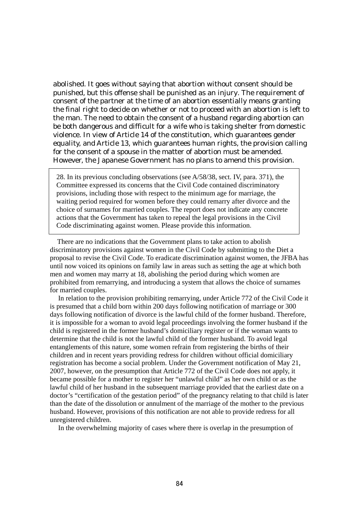abolished. It goes without saying that abortion without consent should be punished, but this offense shall be punished as an injury. The requirement of consent of the partner at the time of an abortion essentially means granting the final right to decide on whether or not to proceed with an abortion is left to the man. The need to obtain the consent of a husband regarding abortion can be both dangerous and difficult for a wife who is taking shelter from domestic violence. In view of Article 14 of the constitution, which guarantees gender equality, and Article 13, which guarantees human rights, the provision calling for the consent of a spouse in the matter of abortion must be amended. However, the Japanese Government has no plans to amend this provision.

28. In its previous concluding observations (see A/58/38, sect. IV, para. 371), the Committee expressed its concerns that the Civil Code contained discriminatory provisions, including those with respect to the minimum age for marriage, the waiting period required for women before they could remarry after divorce and the choice of surnames for married couples. The report does not indicate any concrete actions that the Government has taken to repeal the legal provisions in the Civil Code discriminating against women. Please provide this information.

l

There are no indications that the Government plans to take action to abolish discriminatory provisions against women in the Civil Code by submitting to the Diet a proposal to revise the Civil Code. To eradicate discrimination against women, the JFBA has until now voiced its opinions on family law in areas such as setting the age at which both men and women may marry at 18, abolishing the period during which women are prohibited from remarrying, and introducing a system that allows the choice of surnames for married couples.

In relation to the provision prohibiting remarrying, under Article 772 of the Civil Code it is presumed that a child born within 200 days following notification of marriage or 300 days following notification of divorce is the lawful child of the former husband. Therefore, it is impossible for a woman to avoid legal proceedings involving the former husband if the child is registered in the former husband's domiciliary register or if the woman wants to determine that the child is not the lawful child of the former husband. To avoid legal entanglements of this nature, some women refrain from registering the births of their children and in recent years providing redress for children without official domiciliary registration has become a social problem. Under the Government notification of May 21, 2007, however, on the presumption that Article 772 of the Civil Code does not apply, it became possible for a mother to register her "unlawful child" as her own child or as the lawful child of her husband in the subsequent marriage provided that the earliest date on a doctor's "certification of the gestation period" of the pregnancy relating to that child is later than the date of the dissolution or annulment of the marriage of the mother to the previous husband. However, provisions of this notification are not able to provide redress for all unregistered children.

In the overwhelming majority of cases where there is overlap in the presumption of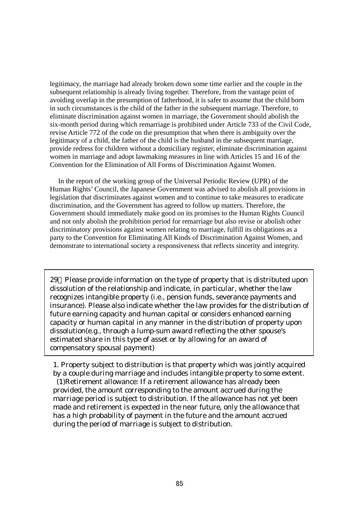legitimacy, the marriage had already broken down some time earlier and the couple in the subsequent relationship is already living together. Therefore, from the vantage point of avoiding overlap in the presumption of fatherhood, it is safer to assume that the child born in such circumstances is the child of the father in the subsequent marriage. Therefore, to eliminate discrimination against women in marriage, the Government should abolish the six-month period during which remarriage is prohibited under Article 733 of the Civil Code, revise Article 772 of the code on the presumption that when there is ambiguity over the legitimacy of a child, the father of the child is the husband in the subsequent marriage, provide redress for children without a domiciliary register, eliminate discrimination against women in marriage and adopt lawmaking measures in line with Articles 15 and 16 of the Convention for the Elimination of All Forms of Discrimination Against Women.

In the report of the working group of the Universal Periodic Review (UPR) of the Human Rights' Council, the Japanese Government was advised to abolish all provisions in legislation that discriminates against women and to continue to take measures to eradicate discrimination, and the Government has agreed to follow up matters. Therefore, the Government should immediately make good on its promises to the Human Rights Council and not only abolish the prohibition period for remarriage but also revise or abolish other discriminatory provisions against women relating to marriage, fulfill its obligations as a party to the Convention for Eliminating All Kinds of Discrimination Against Women, and demonstrate to international society a responsiveness that reflects sincerity and integrity.

29 Please provide information on the type of property that is distributed upon dissolution of the relationship and indicate, in particular, whether the law recognizes intangible property (i.e., pension funds, severance payments and insurance). Please also indicate whether the law provides for the distribution of future earning capacity and human capital or considers enhanced earning capacity or human capital in any manner in the distribution of property upon dissolution(e.g., through a lump-sum award reflecting the other spouse's estimated share in this type of asset or by allowing for an award of compensatory spousal payment)

1. Property subject to distribution is that property which was jointly acquired by a couple during marriage and includes intangible property to some extent. (1)Retirement allowance: If a retirement allowance has already been provided, the amount corresponding to the amount accrued during the marriage period is subject to distribution. If the allowance has not yet been made and retirement is expected in the near future, only the allowance that has a high probability of payment in the future and the amount accrued during the period of marriage is subject to distribution.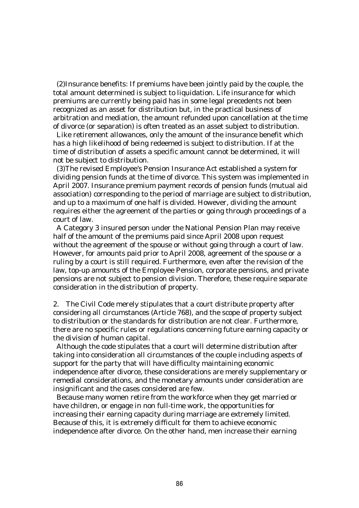(2)Insurance benefits: If premiums have been jointly paid by the couple, the total amount determined is subject to liquidation. Life insurance for which premiums are currently being paid has in some legal precedents not been recognized as an asset for distribution but, in the practical business of arbitration and mediation, the amount refunded upon cancellation at the time of divorce (or separation) is often treated as an asset subject to distribution.

Like retirement allowances, only the amount of the insurance benefit which has a high likelihood of being redeemed is subject to distribution. If at the time of distribution of assets a specific amount cannot be determined, it will not be subject to distribution.

 (3)The revised Employee's Pension Insurance Act established a system for dividing pension funds at the time of divorce. This system was implemented in April 2007. Insurance premium payment records of pension funds (mutual aid association) corresponding to the period of marriage are subject to distribution, and up to a maximum of one half is divided. However, dividing the amount requires either the agreement of the parties or going through proceedings of a court of law.

 A Category 3 insured person under the National Pension Plan may receive half of the amount of the premiums paid since April 2008 upon request without the agreement of the spouse or without going through a court of law. However, for amounts paid prior to April 2008, agreement of the spouse or a ruling by a court is still required. Furthermore, even after the revision of the law, top-up amounts of the Employee Pension, corporate pensions, and private pensions are not subject to pension division. Therefore, these require separate consideration in the distribution of property.

2. The Civil Code merely stipulates that a court distribute property after considering all circumstances (Article 768), and the scope of property subject to distribution or the standards for distribution are not clear. Furthermore, there are no specific rules or regulations concerning future earning capacity or the division of human capital.

Although the code stipulates that a court will determine distribution after taking into consideration all circumstances of the couple including aspects of support for the party that will have difficulty maintaining economic independence after divorce, these considerations are merely supplementary or remedial considerations, and the monetary amounts under consideration are insignificant and the cases considered are few.

Because many women retire from the workforce when they get married or have children, or engage in non full-time work, the opportunities for increasing their earning capacity during marriage are extremely limited. Because of this, it is extremely difficult for them to achieve economic independence after divorce. On the other hand, men increase their earning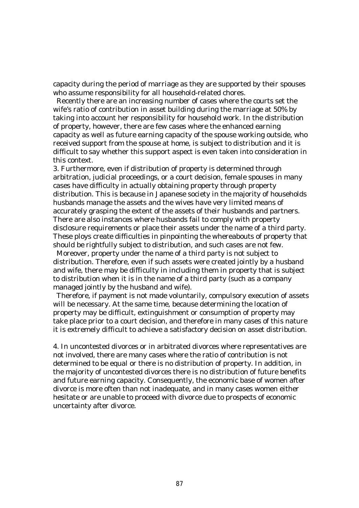capacity during the period of marriage as they are supported by their spouses who assume responsibility for all household-related chores.

Recently there are an increasing number of cases where the courts set the wife's ratio of contribution in asset building during the marriage at 50% by taking into account her responsibility for household work. In the distribution of property, however, there are few cases where the enhanced earning capacity as well as future earning capacity of the spouse working outside, who received support from the spouse at home, is subject to distribution and it is difficult to say whether this support aspect is even taken into consideration in this context.

3. Furthermore, even if distribution of property is determined through arbitration, judicial proceedings, or a court decision, female spouses in many cases have difficulty in actually obtaining property through property distribution. This is because in Japanese society in the majority of households husbands manage the assets and the wives have very limited means of accurately grasping the extent of the assets of their husbands and partners. There are also instances where husbands fail to comply with property disclosure requirements or place their assets under the name of a third party. These ploys create difficulties in pinpointing the whereabouts of property that should be rightfully subject to distribution, and such cases are not few.

Moreover, property under the name of a third party is not subject to distribution. Therefore, even if such assets were created jointly by a husband and wife, there may be difficulty in including them in property that is subject to distribution when it is in the name of a third party (such as a company managed jointly by the husband and wife).

Therefore, if payment is not made voluntarily, compulsory execution of assets will be necessary. At the same time, because determining the location of property may be difficult, extinguishment or consumption of property may take place prior to a court decision, and therefore in many cases of this nature it is extremely difficult to achieve a satisfactory decision on asset distribution.

4. In uncontested divorces or in arbitrated divorces where representatives are not involved, there are many cases where the ratio of contribution is not determined to be equal or there is no distribution of property. In addition, in the majority of uncontested divorces there is no distribution of future benefits and future earning capacity. Consequently, the economic base of women after divorce is more often than not inadequate, and in many cases women either hesitate or are unable to proceed with divorce due to prospects of economic uncertainty after divorce.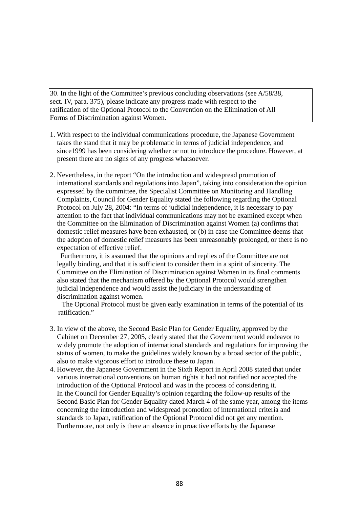30. In the light of the Committee's previous concluding observations (see A/58/38, sect. IV, para. 375), please indicate any progress made with respect to the ratification of the Optional Protocol to the Convention on the Elimination of All Forms of Discrimination against Women.

- 1. With respect to the individual communications procedure, the Japanese Government takes the stand that it may be problematic in terms of judicial independence, and since1999 has been considering whether or not to introduce the procedure. However, at present there are no signs of any progress whatsoever.
- 2. Nevertheless, in the report "On the introduction and widespread promotion of international standards and regulations into Japan", taking into consideration the opinion expressed by the committee, the Specialist Committee on Monitoring and Handling Complaints, Council for Gender Equality stated the following regarding the Optional Protocol on July 28, 2004: "In terms of judicial independence, it is necessary to pay attention to the fact that individual communications may not be examined except when the Committee on the Elimination of Discrimination against Women (a) confirms that domestic relief measures have been exhausted, or (b) in case the Committee deems that the adoption of domestic relief measures has been unreasonably prolonged, or there is no expectation of effective relief.

Furthermore, it is assumed that the opinions and replies of the Committee are not legally binding, and that it is sufficient to consider them in a spirit of sincerity. The Committee on the Elimination of Discrimination against Women in its final comments also stated that the mechanism offered by the Optional Protocol would strengthen judicial independence and would assist the judiciary in the understanding of discrimination against women.

 The Optional Protocol must be given early examination in terms of the potential of its ratification."

- 3. In view of the above, the Second Basic Plan for Gender Equality, approved by the Cabinet on December 27, 2005, clearly stated that the Government would endeavor to widely promote the adoption of international standards and regulations for improving the status of women, to make the guidelines widely known by a broad sector of the public, also to make vigorous effort to introduce these to Japan.
- 4. However, the Japanese Government in the Sixth Report in April 2008 stated that under various international conventions on human rights it had not ratified nor accepted the introduction of the Optional Protocol and was in the process of considering it. In the Council for Gender Equality's opinion regarding the follow-up results of the Second Basic Plan for Gender Equality dated March 4 of the same year, among the items concerning the introduction and widespread promotion of international criteria and standards to Japan, ratification of the Optional Protocol did not get any mention. Furthermore, not only is there an absence in proactive efforts by the Japanese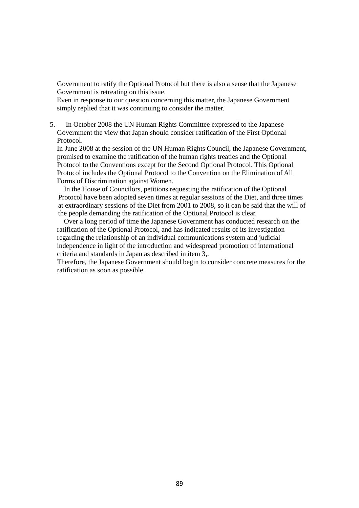Government to ratify the Optional Protocol but there is also a sense that the Japanese Government is retreating on this issue.

 Even in response to our question concerning this matter, the Japanese Government simply replied that it was continuing to consider the matter.

5. In October 2008 the UN Human Rights Committee expressed to the Japanese Government the view that Japan should consider ratification of the First Optional Protocol.

 In June 2008 at the session of the UN Human Rights Council, the Japanese Government, promised to examine the ratification of the human rights treaties and the Optional Protocol to the Conventions except for the Second Optional Protocol. This Optional Protocol includes the Optional Protocol to the Convention on the Elimination of All Forms of Discrimination against Women.

In the House of Councilors, petitions requesting the ratification of the Optional Protocol have been adopted seven times at regular sessions of the Diet, and three times at extraordinary sessions of the Diet from 2001 to 2008, so it can be said that the will of the people demanding the ratification of the Optional Protocol is clear.

 Over a long period of time the Japanese Government has conducted research on the ratification of the Optional Protocol, and has indicated results of its investigation regarding the relationship of an individual communications system and judicial independence in light of the introduction and widespread promotion of international criteria and standards in Japan as described in item 3,.

 Therefore, the Japanese Government should begin to consider concrete measures for the ratification as soon as possible.